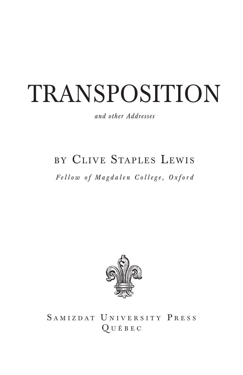# **TRANSPOSITION**

*and other Addresses*

## BY CLIVE STAPLES LEWIS

*Fellow of Magdalen College, Oxford*



SAMIZDAT UNIVERSITY PRESS Q <sup>u</sup> é b e <sup>c</sup>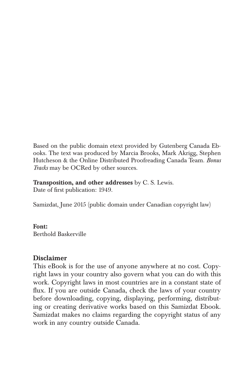Based on the public domain etext provided by [Gutenberg Canada Eb](http://www.gutenberg.ca/)[ooks.](http://www.gutenberg.ca/) The text was produced by Marcia Brooks, Mark Akrigg, Stephen Hutcheson & the [Online Distributed Proofreading Canada Team](http://www.pgdpcanada.net). *Bonus Tracks* may be OCRed by other sources.

#### Transposition, and other addresses by C. S. Lewis.

Date of first publication: 1949.

Samizdat, June 2015 (public domain under [Canadian copyright law](http://laws-lois.justice.gc.ca/eng/acts/C-42/page-6.html#h-6))

#### Font:

Berthold Baskerville

#### Disclaimer

This eBook is for the use of anyone anywhere at no cost. Copyright laws in your country also govern what you can do with this work. Copyright laws in most countries are in a constant state of flux. If you are outside Canada, check the laws of your country before downloading, copying, displaying, performing, distributing or creating derivative works based on this Samizdat Ebook. Samizdat makes no claims regarding the copyright status of any work in any country outside Canada.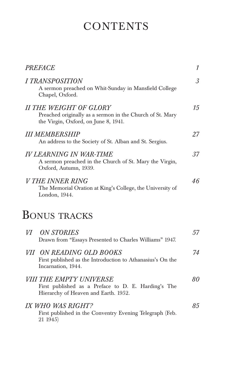# **CONTENTS**

| <b>PREFACE</b>                                                                                                                     | 1  |
|------------------------------------------------------------------------------------------------------------------------------------|----|
| I TRANSPOSITION<br>A sermon preached on Whit-Sunday in Mansfield College<br>Chapel, Oxford.                                        | 3  |
| <b>II THE WEIGHT OF GLORY</b><br>Preached originally as a sermon in the Church of St. Mary<br>the Virgin, Oxford, on June 8, 1941. | 15 |
| <b>III MEMBERSHIP</b><br>An address to the Society of St. Alban and St. Sergius.                                                   | 27 |
| <b>IV LEARNING IN WAR-TIME</b><br>A sermon preached in the Church of St. Mary the Virgin,<br>Oxford, Autumn, 1939.                 | 37 |
| <b>V THE INNER RING</b><br>The Memorial Oration at King's College, the University of<br>London, 1944.                              | 46 |
| <b>BONUS TRACKS</b>                                                                                                                |    |
| VI ON STORIES<br>Drawn from "Essays Presented to Charles Williams" 1947.                                                           | 57 |
| VII ON READING OLD BOOKS<br>First published as the Introduction to Athanasius's On the<br>Incarnation, 1944.                       | 74 |
| <b>VIII THE EMPTY UNIVERSE</b><br>First published as a Preface to D. E. Harding's The<br>Hierarchy of Heaven and Earth. 1952.      | 80 |
| IX WHO WAS RIGHT?<br>First published in the Conventry Evening Telegraph (Feb.<br>21 1945)                                          | 85 |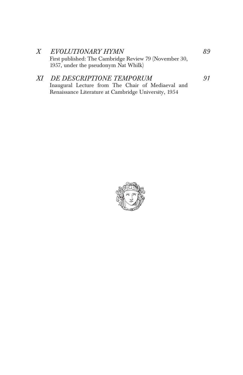| $\,X\,$ | EVOLUTIONARY HYMN                                      | 89 |
|---------|--------------------------------------------------------|----|
|         | First published: The Cambridge Review 79 (November 30, |    |
|         | 1957, under the pseudonym Nat Whilk                    |    |

#### *[XI](#page-94-0) [De Descriptione Temporum](#page-94-0) 91* [Inaugural Lecture from The Chair of Mediaeval and](#page-94-0)  [Renaissance Literature at Cambridge University, 1954](#page-94-0)

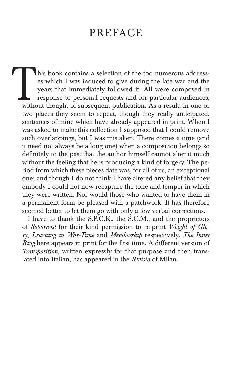## PREFACE

<span id="page-4-0"></span>This book contains a selection of the too numerous addresses es which I was induced to give during the late war and the years that immediately followed it. All were composed in response to personal requests and for particu his book contains a selection of the too numerous addresses which I was induced to give during the late war and the years that immediately followed it. All were composed in response to personal requests and for particular audiences, two places they seem to repeat, though they really anticipated, sentences of mine which have already appeared in print. When I was asked to make this collection I supposed that I could remove such overlappings, but I was mistaken. There comes a time (and it need not always be a long one) when a composition belongs so definitely to the past that the author himself cannot alter it much without the feeling that he is producing a kind of forgery. The period from which these pieces date was, for all of us, an exceptional one; and though I do not think I have altered any belief that they embody I could not now recapture the tone and temper in which they were written. Nor would those who wanted to have them in a permanent form be pleased with a patchwork. It has therefore seemed better to let them go with only a few verbal corrections.

I have to thank the S.P.C.K., the S.C.M., and the proprietors of *Sobornost* for their kind permission to re-print *Weight of Glory*, *Learning in War-Time* and *Membership* respectively. *The Inner Ring* here appears in print for the first time. A different version of *Transposition*, written expressly for that purpose and then translated into Italian, has appeared in the *Rivista* of Milan.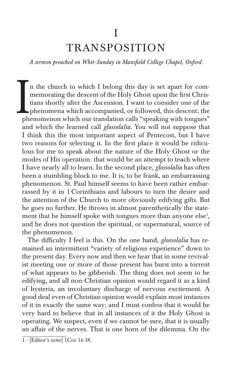## I TRANSPOSITION

<span id="page-6-0"></span>*A sermon preached on Whit-Sunday in Mansfield College Chapel, Oxford.*

n the church to which I belong this day is set apart for com-<br>
memorating the descent of the Holy Ghost upon the first Chris-<br>
tians shortly after the Ascension. I want to consider one of the<br>
phenomena which accompanied, n the church to which I belong this day is set apart for commemorating the descent of the Holy Ghost upon the first Christians shortly after the Ascension. I want to consider one of the phenomena which accompanied, or followed, this descent; the and which the learned call *glossolalia*. You will not suppose that I think this the most important aspect of Pentecost, but I have two reasons for selecting it. In the first place it would be ridiculous for me to speak about the nature of the Holy Ghost or the modes of His operation: that would be an attempt to teach where I have nearly all to learn. In the second place, *glossolalia* has often been a stumbling-block to me. It is, to be frank, an embarrassing phenomenon. St. Paul himself seems to have been rather embarrassed by it in 1 Corinthians and labours to turn the desire and the attention of the Church to more obviously edifying gifts. But he goes no further. He throws in almost parenthetically the statement that he himself spoke with tongues more than anyone  $else<sup>1</sup>,$ and he does not question the spiritual, or supernatural, source of the phenomenon.

The difficulty I feel is this. On the one hand, *glossolalia* has remained an intermittent "variety of religious experience" down to the present day. Every now and then we hear that in some revivalist meeting one or more of those present has burst into a torrent of what appears to be gibberish. The thing does not seem to be edifying, and all non-Christian opinion would regard it as a kind of hysteria, an involuntary discharge of nervous excitement. A good deal even of Christian opinion would explain most instances of it in exactly the same way; and I must confess that it would be very hard to believe that in all instances of it the Holy Ghost is operating. We suspect, even if we cannot be sure, that it is usually an affair of the nerves. That is one horn of the dilemma. On the

<sup>1 - [</sup>Editor's note] 1Cor 14:18.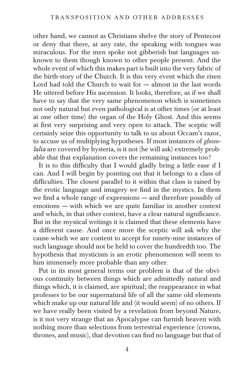other hand, we cannot as Christians shelve the story of Pentecost or deny that there, at any rate, the speaking with tongues was miraculous. For the men spoke not gibberish but languages unknown to them though known to other people present. And the whole event of which this makes part is built into the very fabric of the birth-story of the Church. It is this very event which the risen Lord had told the Church to wait for ― almost in the last words He uttered before His ascension. It looks, therefore, as if we shall have to say that the very same phenomenon which is sometimes not only natural but even pathological is at other times (or at least at one other time) the organ of the Holy Ghost. And this seems at first very surprising and very open to attack. The sceptic will certainly seize this opportunity to talk to us about Occam's razor, to accuse us of multiplying hypotheses. If most instances of *glossolalia* are covered by hysteria, is it not (he will ask) extremely probable that that explanation covers the remaining instances too?

It is to this difficulty that I would gladly bring a little ease if I can. And I will begin by pointing out that it belongs to a class of difficulties. The closest parallel to it within that class is raised by the erotic language and imagery we find in the mystics. In them we find a whole range of expressions ― and therefore possibly of emotions ― with which we are quite familiar in another context and which, in that other context, have a clear natural significance. But in the mystical writings it is claimed that these elements have a different cause. And once more the sceptic will ask why the cause which we are content to accept for ninety-nine instances of such language should not be held to cover the hundredth too. The hypothesis that mysticism is an erotic phenomenon will seem to him immensely more probable than any other.

Put in its most general terms our problem is that of the obvious continuity between things which are admittedly natural and things which, it is claimed, are spiritual; the reappearance in what professes to be our supernatural life of all the same old elements which make up our natural life and (it would seem) of no others. If we have really been visited by a revelation from beyond Nature, is it not very strange that an Apocalypse can furnish heaven with nothing more than selections from terrestrial experience (crowns, thrones, and music), that devotion can find no language but that of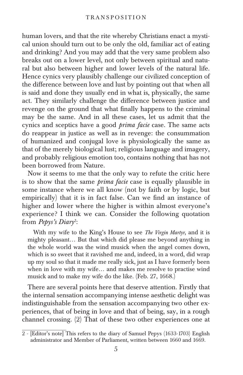human lovers, and that the rite whereby Christians enact a mystical union should turn out to be only the old, familiar act of eating and drinking? And you may add that the very same problem also breaks out on a lower level, not only between spiritual and natural but also between higher and lower levels of the natural life. Hence cynics very plausibly challenge our civilized conception of the difference between love and lust by pointing out that when all is said and done they usually end in what is, physically, the same act. They similarly challenge the difference between justice and revenge on the ground that what finally happens to the criminal may be the same. And in all these cases, let us admit that the cynics and sceptics have a good *prima facie* case. The same acts do reappear in justice as well as in revenge: the consummation of humanized and conjugal love is physiologically the same as that of the merely biological lust; religious language and imagery, and probably religious emotion too, contains nothing that has not been borrowed from Nature.

Now it seems to me that the only way to refute the critic here is to show that the same *prima facie* case is equally plausible in some instance where we all know (not by faith or by logic, but empirically) that it is in fact false. Can we find an instance of higher and lower where the higher is within almost everyone's experience? I think we can. Consider the following quotation from *Pepys's Diary<sup>2</sup>*:

With my wife to the King's House to see *The Virgin Martyr*, and it is mighty pleasant… But that which did please me beyond anything in the whole world was the wind musick when the angel comes down, which is so sweet that it ravished me and, indeed, in a word, did wrap up my soul so that it made me really sick, just as I have formerly been when in love with my wife… and makes me resolve to practise wind musick and to make my wife do the like. (Feb. 27, 1668.)

There are several points here that deserve attention. Firstly that the internal sensation accompanying intense aesthetic delight was indistinguishable from the sensation accompanying two other experiences, that of being in love and that of being, say, in a rough channel crossing. (2) That of these two other experiences one at

<sup>2 - [</sup>Editor's note] This refers to the diary of Samuel Pepys (1633-1703) English administrator and Member of Parliament, written between 1660 and 1669.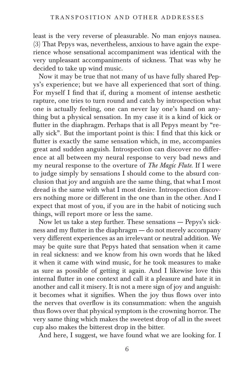least is the very reverse of pleasurable. No man enjoys nausea. (3) That Pepys was, nevertheless, anxious to have again the experience whose sensational accompaniment was identical with the very unpleasant accompaniments of sickness. That was why he decided to take up wind music.

Now it may be true that not many of us have fully shared Pepys's experience; but we have all experienced that sort of thing. For myself I find that if, during a moment of intense aesthetic rapture, one tries to turn round and catch by introspection what one is actually feeling, one can never lay one's hand on anything but a physical sensation. In my case it is a kind of kick or flutter in the diaphragm. Perhaps that is all Pepys meant by "really sick". But the important point is this: I find that this kick or flutter is exactly the same sensation which, in me, accompanies great and sudden anguish. Introspection can discover no difference at all between my neural response to very bad news and my neural response to the overture of *The Magic Flute*. If I were to judge simply by sensations I should come to the absurd conclusion that joy and anguish are the same thing, that what I most dread is the same with what I most desire. Introspection discovers nothing more or different in the one than in the other. And I expect that most of you, if you are in the habit of noticing such things, will report more or less the same.

Now let us take a step further. These sensations ― Pepys's sickness and my flutter in the diaphragm ― do not merely accompany very different experiences as an irrelevant or neutral addition. We may be quite sure that Pepys hated that sensation when it came in real sickness: and we know from his own words that he liked it when it came with wind music, for he took measures to make as sure as possible of getting it again. And I likewise love this internal flutter in one context and call it a pleasure and hate it in another and call it misery. It is not a mere sign of joy and anguish: it becomes what it signifies. When the joy thus flows over into the nerves that overflow is its consummation: when the anguish thus flows over that physical symptom is the crowning horror. The very same thing which makes the sweetest drop of all in the sweet cup also makes the bitterest drop in the bitter.

And here, I suggest, we have found what we are looking for. I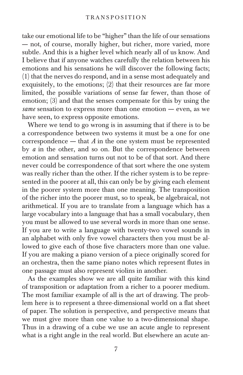take our emotional life to be "higher" than the life of our sensations ― not, of course, morally higher, but richer, more varied, more subtle. And this is a higher level which nearly all of us know. And I believe that if anyone watches carefully the relation between his emotions and his sensations he will discover the following facts; (1) that the nerves do respond, and in a sense most adequately and exquisitely, to the emotions; (2) that their resources are far more limited, the possible variations of sense far fewer, than those of emotion; (3) and that the senses compensate for this by using the *same* sensation to express more than one emotion ― even, as we have seen, to express opposite emotions.

Where we tend to go wrong is in assuming that if there is to be a correspondence between two systems it must be a one for one correspondence — that  $A$  in the one system must be represented by *a* in the other, and so on. But the correspondence between emotion and sensation turns out not to be of that sort. And there never could be correspondence of that sort where the one system was really richer than the other. If the richer system is to be represented in the poorer at all, this can only be by giving each element in the poorer system more than one meaning. The transposition of the richer into the poorer must, so to speak, be algebraical, not arithmetical. If you are to translate from a language which has a large vocabulary into a language that has a small vocabulary, then you must be allowed to use several words in more than one sense. If you are to write a language with twenty-two vowel sounds in an alphabet with only five vowel characters then you must be allowed to give each of those five characters more than one value. If you are making a piano version of a piece originally scored for an orchestra, then the same piano notes which represent flutes in one passage must also represent violins in another.

As the examples show we are all quite familiar with this kind of transposition or adaptation from a richer to a poorer medium. The most familiar example of all is the art of drawing. The problem here is to represent a three-dimensional world on a flat sheet of paper. The solution is perspective, and perspective means that we must give more than one value to a two-dimensional shape. Thus in a drawing of a cube we use an acute angle to represent what is a right angle in the real world. But elsewhere an acute an-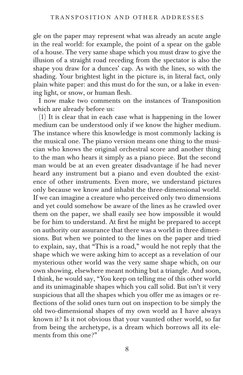gle on the paper may represent what was already an acute angle in the real world: for example, the point of a spear on the gable of a house. The very same shape which you must draw to give the illusion of a straight road receding from the spectator is also the shape you draw for a dunces' cap. As with the lines, so with the shading. Your brightest light in the picture is, in literal fact, only plain white paper: and this must do for the sun, or a lake in evening light, or snow, or human flesh.

I now make two comments on the instances of Transposition which are already before us:

(1) It is clear that in each case what is happening in the lower medium can be understood only if we know the higher medium. The instance where this knowledge is most commonly lacking is the musical one. The piano version means one thing to the musician who knows the original orchestral score and another thing to the man who hears it simply as a piano piece. But the second man would be at an even greater disadvantage if he had never heard any instrument but a piano and even doubted the existence of other instruments. Even more, we understand pictures only because we know and inhabit the three-dimensional world. If we can imagine a creature who perceived only two dimensions and yet could somehow be aware of the lines as he crawled over them on the paper, we shall easily see how impossible it would be for him to understand. At first he might be prepared to accept on authority our assurance that there was a world in three dimensions. But when we pointed to the lines on the paper and tried to explain, say, that "This is a road," would he not reply that the shape which we were asking him to accept as a revelation of our mysterious other world was the very same shape which, on our own showing, elsewhere meant nothing but a triangle. And soon, I think, he would say, "You keep on telling me of this other world and its unimaginable shapes which you call solid. But isn't it very suspicious that all the shapes which you offer me as images or reflections of the solid ones turn out on inspection to be simply the old two-dimensional shapes of my own world as I have always known it? Is it not obvious that your vaunted other world, so far from being the archetype, is a dream which borrows all its elements from this one?"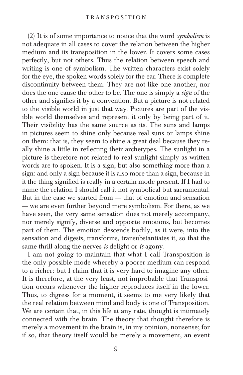(2) It is of some importance to notice that the word *symbolism* is not adequate in all cases to cover the relation between the higher medium and its transposition in the lower. It covers some cases perfectly, but not others. Thus the relation between speech and writing is one of symbolism. The written characters exist solely for the eye, the spoken words solely for the ear. There is complete discontinuity between them. They are not like one another, nor does the one cause the other to be. The one is simply a *sign* of the other and signifies it by a convention. But a picture is not related to the visible world in just that way. Pictures are part of the visible world themselves and represent it only by being part of it. Their visibility has the same source as its. The suns and lamps in pictures seem to shine only because real suns or lamps shine on them: that is, they seem to shine a great deal because they really shine a little in reflecting their archetypes. The sunlight in a picture is therefore not related to real sunlight simply as written words are to spoken. It is a sign, but also something more than a sign: and only a sign because it is also more than a sign, because in it the thing signified is really in a certain mode present. If I had to name the relation I should call it not symbolical but sacramental. But in the case we started from ― that of emotion and sensation ― we are even further beyond mere symbolism. For there, as we have seen, the very same sensation does not merely accompany, nor merely signify, diverse and opposite emotions, but becomes part of them. The emotion descends bodily, as it were, into the sensation and digests, transforms, transubstantiates it, so that the same thrill along the nerves *is* delight or *is* agony.

I am not going to maintain that what I call Transposition is the only possible mode whereby a poorer medium can respond to a richer: but I claim that it is very hard to imagine any other. It is therefore, at the very least, not improbable that Transposition occurs whenever the higher reproduces itself in the lower. Thus, to digress for a moment, it seems to me very likely that the real relation between mind and body is one of Transposition. We are certain that, in this life at any rate, thought is intimately connected with the brain. The theory that thought therefore is merely a movement in the brain is, in my opinion, nonsense; for if so, that theory itself would be merely a movement, an event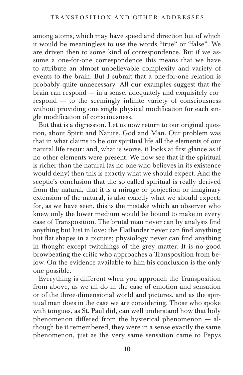among atoms, which may have speed and direction but of which it would be meaningless to use the words "true" or "false". We are driven then to some kind of correspondence. But if we assume a one-for-one correspondence this means that we have to attribute an almost unbelievable complexity and variety of events to the brain. But I submit that a one-for-one relation is probably quite unnecessary. All our examples suggest that the brain can respond ― in a sense, adequately and exquisitely correspond ― to the seemingly infinite variety of consciousness without providing one single physical modification for each single modification of consciousness.

But that is a digression. Let us now return to our original question, about Spirit and Nature, God and Man. Our problem was that in what claims to be our spiritual life all the elements of our natural life recur: and, what is worse, it looks at first glance as if no other elements were present. We now see that if the spiritual is richer than the natural (as no one who believes in its existence would deny) then this is exactly what we should expect. And the sceptic's conclusion that the so-called spiritual is really derived from the natural, that it is a mirage or projection or imaginary extension of the natural, is also exactly what we should expect; for, as we have seen, this is the mistake which an observer who knew only the lower medium would be bound to make in every case of Transposition. The brutal man never can by analysis find anything but lust in love; the Flatlander never can find anything but flat shapes in a picture; physiology never can find anything in thought except twitchings of the grey matter. It is no good browbeating the critic who approaches a Transposition from below. On the evidence available to him his conclusion is the only one possible.

Everything is different when you approach the Transposition from above, as we all do in the case of emotion and sensation or of the three-dimensional world and pictures, and as the spiritual man does in the case we are considering. Those who spoke with tongues, as St. Paul did, can well understand how that holy phenomenon differed from the hysterical phenomenon ― although be it remembered, they were in a sense exactly the same phenomenon, just as the very same sensation came to Pepys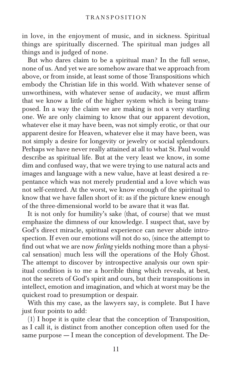in love, in the enjoyment of music, and in sickness. Spiritual things are spiritually discerned. The spiritual man judges all things and is judged of none.

But who dares claim to be a spiritual man? In the full sense, none of us. And yet we are somehow aware that we approach from above, or from inside, at least some of those Transpositions which embody the Christian life in this world. With whatever sense of unworthiness, with whatever sense of audacity, we must affirm that we know a little of the higher system which is being transposed. In a way the claim we are making is not a very startling one. We are only claiming to know that our apparent devotion, whatever else it may have been, was not simply erotic, or that our apparent desire for Heaven, whatever else it may have been, was not simply a desire for longevity or jewelry or social splendours. Perhaps we have never really attained at all to what St. Paul would describe as spiritual life. But at the very least we know, in some dim and confused way, that we were trying to use natural acts and images and language with a new value, have at least desired a repentance which was not merely prudential and a love which was not self-centred. At the worst, we know enough of the spiritual to know that we have fallen short of it: as if the picture knew enough of the three-dimensional world to be aware that it was flat.

It is not only for humility's sake (that, of course) that we must emphasize the dimness of our knowledge. I suspect that, save by God's direct miracle, spiritual experience can never abide introspection. If even our emotions will not do so, (since the attempt to find out what we are now *feeling* yields nothing more than a physical sensation) much less will the operations of the Holy Ghost. The attempt to discover by introspective analysis our own spiritual condition is to me a horrible thing which reveals, at best, not the secrets of God's spirit and ours, but their transpositions in intellect, emotion and imagination, and which at worst may be the quickest road to presumption or despair.

With this my case, as the lawyers say, is complete. But I have just four points to add:

(1) I hope it is quite clear that the conception of Transposition, as I call it, is distinct from another conception often used for the same purpose — I mean the conception of development. The De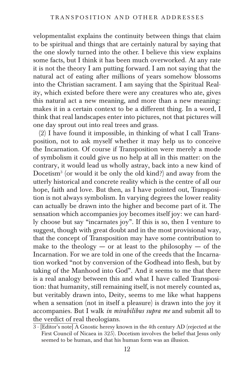velopmentalist explains the continuity between things that claim to be spiritual and things that are certainly natural by saying that the one slowly turned into the other. I believe this view explains some facts, but I think it has been much overworked. At any rate it is not the theory I am putting forward. I am not saying that the natural act of eating after millions of years somehow blossoms into the Christian sacrament. I am saying that the Spiritual Reality, which existed before there were any creatures who ate, gives this natural act a new meaning, and more than a new meaning: makes it in a certain context to be a different thing. In a word, I think that real landscapes enter into pictures, not that pictures will one day sprout out into real trees and grass.

(2) I have found it impossible, in thinking of what I call Transposition, not to ask myself whether it may help us to conceive the Incarnation. Of course if Transposition were merely a mode of symbolism it could give us no help at all in this matter: on the contrary, it would lead us wholly astray, back into a new kind of Docetism<sup>3</sup> (or would it be only the old kind?) and away from the utterly historical and concrete reality which is the centre of all our hope, faith and love. But then, as I have pointed out, Transposition is not always symbolism. In varying degrees the lower reality can actually be drawn into the higher and become part of it. The sensation which accompanies joy becomes itself joy: we can hardly choose but say "incarnates joy". If this is so, then I venture to suggest, though with great doubt and in the most provisional way, that the concept of Transposition may have some contribution to make to the theology — or at least to the philosophy — of the Incarnation. For we are told in one of the creeds that the Incarnation worked "not by conversion of the Godhead into flesh, but by taking of the Manhood into God". And it seems to me that there is a real analogy between this and what I have called Transposition: that humanity, still remaining itself, is not merely counted as, but veritably drawn into, Deity, seems to me like what happens when a sensation (not in itself a pleasure) is drawn into the joy it accompanies. But I walk *in mirabilibus supra me* and submit all to the verdict of real theologians.

<sup>3 - [</sup>Editor's note] A Gnostic heresy known in the 4th century AD (rejected at the First Council of Nicaea in 325). Docetism involves the belief that Jesus only seemed to be human, and that his human form was an illusion.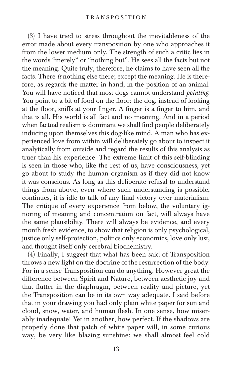(3) I have tried to stress throughout the inevitableness of the error made about every transposition by one who approaches it from the lower medium only. The strength of such a critic lies in the words "merely" or "nothing but". He sees all the facts but not the meaning. Quite truly, therefore, he claims to have seen all the facts. There *is* nothing else there; except the meaning. He is therefore, as regards the matter in hand, in the position of an animal. You will have noticed that most dogs cannot understand *pointing*. You point to a bit of food on the floor: the dog, instead of looking at the floor, sniffs at your finger. A finger is a finger to him, and that is all. His world is all fact and no meaning. And in a period when factual realism is dominant we shall find people deliberately inducing upon themselves this dog-like mind. A man who has experienced love from within will deliberately go about to inspect it analytically from outside and regard the results of this analysis as truer than his experience. The extreme limit of this self-blinding is seen in those who, like the rest of us, have consciousness, yet go about to study the human organism as if they did not know it was conscious. As long as this deliberate refusal to understand things from above, even where such understanding is possible, continues, it is idle to talk of any final victory over materialism. The critique of every experience from below, the voluntary ignoring of meaning and concentration on fact, will always have the same plausibility. There will always be evidence, and every month fresh evidence, to show that religion is only psychological, justice only self-protection, politics only economics, love only lust, and thought itself only cerebral biochemistry.

(4) Finally, I suggest that what has been said of Transposition throws a new light on the doctrine of the resurrection of the body. For in a sense Transposition can do anything. However great the difference between Spirit and Nature, between aesthetic joy and that flutter in the diaphragm, between reality and picture, yet the Transposition can be in its own way adequate. I said before that in your drawing you had only plain white paper for sun and cloud, snow, water, and human flesh. In one sense, how miserably inadequate! Yet in another, how perfect. If the shadows are properly done that patch of white paper will, in some curious way, be very like blazing sunshine: we shall almost feel cold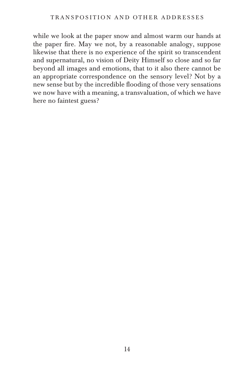while we look at the paper snow and almost warm our hands at the paper fire. May we not, by a reasonable analogy, suppose likewise that there is no experience of the spirit so transcendent and supernatural, no vision of Deity Himself so close and so far beyond all images and emotions, that to it also there cannot be an appropriate correspondence on the sensory level? Not by a new sense but by the incredible flooding of those very sensations we now have with a meaning, a transvaluation, of which we have here no faintest guess?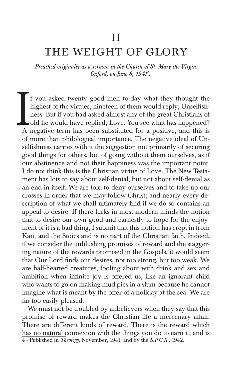II

### <span id="page-18-0"></span>THE WEIGHT OF GLORY

*Preached originally as a sermon in the Church of St. Mary the Virgin, Oxford, on June 8, 19414 .*

 $\prod_{\substack{\mathbf{A} \in \mathbb{R}^n}}$ f you asked twenty good men to-day what they thought the highest of the virtues, nineteen of them would reply, Unselfishness. But if you had asked almost any of the great Christians of old he would have replied, Love. You see what has happened? A negative term has been substituted for a positive, and this is of more than philological importance. The negative ideal of Unselfishness carries with it the suggestion not primarily of securing good things for others, but of going without them ourselves, as if our abstinence and not their happiness was the important point. I do not think this is the Christian virtue of Love. The New Testament has lots to say about self-denial, but not about self-denial as an end in itself. We are told to deny ourselves and to take up our crosses in order that we may follow Christ; and nearly every description of what we shall ultimately find if we do so contains an appeal to desire. If there lurks in most modern minds the notion that to desire our own good and earnestly to hope for the enjoyment of it is a bad thing, I submit that this notion has crept in from Kant and the Stoics and is no part of the Christian faith. Indeed, if we consider the unblushing promises of reward and the staggering nature of the rewards promised in the Gospels, it would seem that Our Lord finds our desires, not too strong, but too weak. We are half-hearted creatures, fooling about with drink and sex and ambition when infinite joy is offered us, like an ignorant child who wants to go on making mud pies in a slum because he cannot imagine what is meant by the offer of a holiday at the sea. We are far too easily pleased.

We must not be troubled by unbelievers when they say that this promise of reward makes the Christian life a mercenary affair. There are different kinds of reward. There is the reward which has no natural connexion with the things you do to earn it, and is 4 - Published in *Theology*, November, 1941, and by the *S.P.C.K*., 1942.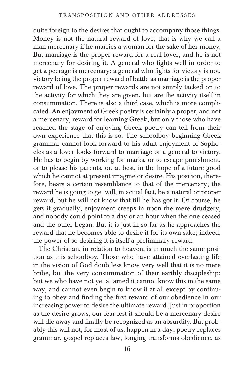quite foreign to the desires that ought to accompany those things. Money is not the natural reward of love; that is why we call a man mercenary if he marries a woman for the sake of her money. But marriage is the proper reward for a real lover, and he is not mercenary for desiring it. A general who fights well in order to get a peerage is mercenary; a general who fights for victory is not, victory being the proper reward of battle as marriage is the proper reward of love. The proper rewards are not simply tacked on to the activity for which they are given, but are the activity itself in consummation. There is also a third case, which is more complicated. An enjoyment of Greek poetry is certainly a proper, and not a mercenary, reward for learning Greek; but only those who have reached the stage of enjoying Greek poetry can tell from their own experience that this is so. The schoolboy beginning Greek grammar cannot look forward to his adult enjoyment of Sophocles as a lover looks forward to marriage or a general to victory. He has to begin by working for marks, or to escape punishment, or to please his parents, or, at best, in the hope of a future good which he cannot at present imagine or desire. His position, therefore, bears a certain resemblance to that of the mercenary; the reward he is going to get will, in actual fact, be a natural or proper reward, but he will not know that till he has got it. Of course, he gets it gradually; enjoyment creeps in upon the mere drudgery, and nobody could point to a day or an hour when the one ceased and the other began. But it is just in so far as he approaches the reward that he becomes able to desire it for its own sake; indeed, the power of so desiring it is itself a preliminary reward.

The Christian, in relation to heaven, is in much the same position as this schoolboy. Those who have attained everlasting life in the vision of God doubtless know very well that it is no mere bribe, but the very consummation of their earthly discipleship; but we who have not yet attained it cannot know this in the same way, and cannot even begin to know it at all except by continuing to obey and finding the first reward of our obedience in our increasing power to desire the ultimate reward. Just in proportion as the desire grows, our fear lest it should be a mercenary desire will die away and finally be recognized as an absurdity. But probably this will not, for most of us, happen in a day; poetry replaces grammar, gospel replaces law, longing transforms obedience, as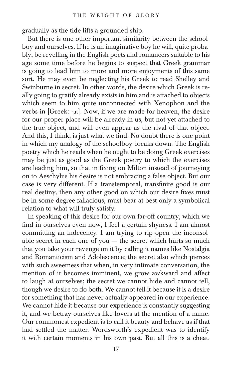gradually as the tide lifts a grounded ship.

But there is one other important similarity between the schoolboy and ourselves. If he is an imaginative boy he will, quite probably, be revelling in the English poets and romancers suitable to his age some time before he begins to suspect that Greek grammar is going to lead him to more and more enjoyments of this same sort. He may even be neglecting his Greek to read Shelley and Swinburne in secret. In other words, the desire which Greek is really going to gratify already exists in him and is attached to objects which seem to him quite unconnected with Xenophon and the verbs in [Greek:  $-\mu$ ]. Now, if we are made for heaven, the desire for our proper place will be already in us, but not yet attached to the true object, and will even appear as the rival of that object. And this, I think, is just what we find. No doubt there is one point in which my analogy of the schoolboy breaks down. The English poetry which he reads when he ought to be doing Greek exercises may be just as good as the Greek poetry to which the exercises are leading him, so that in fixing on Milton instead of journeying on to Aeschylus his desire is not embracing a false object. But our case is very different. If a transtemporal, transfinite good is our real destiny, then any other good on which our desire fixes must be in some degree fallacious, must bear at best only a symbolical relation to what will truly satisfy.

In speaking of this desire for our own far-off country, which we find in ourselves even now, I feel a certain shyness. I am almost committing an indecency. I am trying to rip open the inconsolable secret in each one of you ― the secret which hurts so much that you take your revenge on it by calling it names like Nostalgia and Romanticism and Adolescence; the secret also which pierces with such sweetness that when, in very intimate conversation, the mention of it becomes imminent, we grow awkward and affect to laugh at ourselves; the secret we cannot hide and cannot tell, though we desire to do both. We cannot tell it because it is a desire for something that has never actually appeared in our experience. We cannot hide it because our experience is constantly suggesting it, and we betray ourselves like lovers at the mention of a name. Our commonest expedient is to call it beauty and behave as if that had settled the matter. Wordsworth's expedient was to identify it with certain moments in his own past. But all this is a cheat.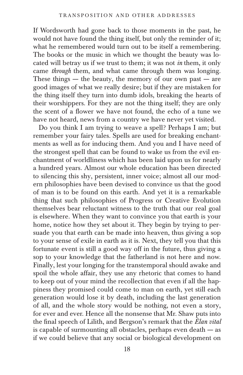If Wordsworth had gone back to those moments in the past, he would not have found the thing itself, but only the reminder of it; what he remembered would turn out to be itself a remembering. The books or the music in which we thought the beauty was located will betray us if we trust to them; it was not *in* them, it only came *through* them, and what came through them was longing. These things — the beauty, the memory of our own past — are good images of what we really desire; but if they are mistaken for the thing itself they turn into dumb idols, breaking the hearts of their worshippers. For they are not the thing itself; they are only the scent of a flower we have not found, the echo of a tune we have not heard, news from a country we have never yet visited.

Do you think I am trying to weave a spell? Perhaps I am; but remember your fairy tales. Spells are used for breaking enchantments as well as for inducing them. And you and I have need of the strongest spell that can be found to wake us from the evil enchantment of worldliness which has been laid upon us for nearly a hundred years. Almost our whole education has been directed to silencing this shy, persistent, inner voice; almost all our modern philosophies have been devised to convince us that the good of man is to be found on this earth. And yet it is a remarkable thing that such philosophies of Progress or Creative Evolution themselves bear reluctant witness to the truth that our real goal is elsewhere. When they want to convince you that earth is your home, notice how they set about it. They begin by trying to persuade you that earth can be made into heaven, thus giving a sop to your sense of exile in earth as it is. Next, they tell you that this fortunate event is still a good way off in the future, thus giving a sop to your knowledge that the fatherland is not here and now. Finally, lest your longing for the transtemporal should awake and spoil the whole affair, they use any rhetoric that comes to hand to keep out of your mind the recollection that even if all the happiness they promised could come to man on earth, yet still each generation would lose it by death, including the last generation of all, and the whole story would be nothing, not even a story, for ever and ever. Hence all the nonsense that Mr. Shaw puts into the final speech of Lilith, and Bergson's remark that the *Èlan vital* is capable of surmounting all obstacles, perhaps even death ― as if we could believe that any social or biological development on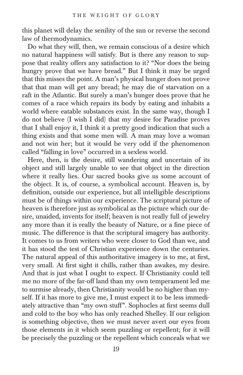this planet will delay the senility of the sun or reverse the second law of thermodynamics.

Do what they will, then, we remain conscious of a desire which no natural happiness will satisfy. But is there any reason to suppose that reality offers any satisfaction to it? "Nor does the being hungry prove that we have bread." But I think it may be urged that this misses the point. A man's physical hunger does not prove that that man will get any bread; he may die of starvation on a raft in the Atlantic. But surely a man's hunger does prove that he comes of a race which repairs its body by eating and inhabits a world where eatable substances exist. In the same way, though I do not believe (I wish I did) that my desire for Paradise proves that I shall enjoy it, I think it a pretty good indication that such a thing exists and that some men will. A man may love a woman and not win her; but it would be very odd if the phenomenon called "falling in love" occurred in a sexless world.

Here, then, is the desire, still wandering and uncertain of its object and still largely unable to see that object in the direction where it really lies. Our sacred books give us some account of the object. It is, of course, a symbolical account. Heaven is, by definition, outside our experience, but all intelligible descriptions must be of things within our experience. The scriptural picture of heaven is therefore just as symbolical as the picture which our desire, unaided, invents for itself; heaven is not really full of jewelry any more than it is really the beauty of Nature, or a fine piece of music. The difference is that the scriptural imagery has authority. It comes to us from writers who were closer to God than we, and it has stood the test of Christian experience down the centuries. The natural appeal of this authoritative imagery is to me, at first, very small. At first sight it chills, rather than awakes, my desire. And that is just what I ought to expect. If Christianity could tell me no more of the far-off land than my own temperament led me to surmise already, then Christianity would be no higher than myself. If it has more to give me, I must expect it to be less immediately attractive than "my own stuff". Sophocles at first seems dull and cold to the boy who has only reached Shelley. If our religion is something objective, then we must never avert our eyes from those elements in it which seem puzzling or repellent; for it will be precisely the puzzling or the repellent which conceals what we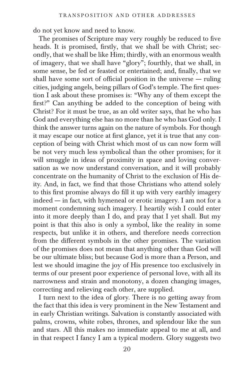do not yet know and need to know.

The promises of Scripture may very roughly be reduced to five heads. It is promised, firstly, that we shall be with Christ; secondly, that we shall be like Him; thirdly, with an enormous wealth of imagery, that we shall have "glory"; fourthly, that we shall, in some sense, be fed or feasted or entertained; and, finally, that we shall have some sort of official position in the universe ― ruling cities, judging angels, being pillars of God's temple. The first question I ask about these promises is: "Why any of them except the first?" Can anything be added to the conception of being with Christ? For it must be true, as an old writer says, that he who has God and everything else has no more than he who has God only. I think the answer turns again on the nature of symbols. For though it may escape our notice at first glance, yet it is true that any conception of being with Christ which most of us can now form will be not very much less symbolical than the other promises; for it will smuggle in ideas of proximity in space and loving conversation as we now understand conversation, and it will probably concentrate on the humanity of Christ to the exclusion of His deity. And, in fact, we find that those Christians who attend solely to this first promise always do fill it up with very earthly imagery indeed ― in fact, with hymeneal or erotic imagery. I am not for a moment condemning such imagery. I heartily wish I could enter into it more deeply than I do, and pray that I yet shall. But my point is that this also is only a symbol, like the reality in some respects, but unlike it in others, and therefore needs correction from the different symbols in the other promises. The variation of the promises does not mean that anything other than God will be our ultimate bliss; but because God is more than a Person, and lest we should imagine the joy of His presence too exclusively in terms of our present poor experience of personal love, with all its narrowness and strain and monotony, a dozen changing images, correcting and relieving each other, are supplied.

I turn next to the idea of glory. There is no getting away from the fact that this idea is very prominent in the New Testament and in early Christian writings. Salvation is constantly associated with palms, crowns, white robes, thrones, and splendour like the sun and stars. All this makes no immediate appeal to me at all, and in that respect I fancy I am a typical modern. Glory suggests two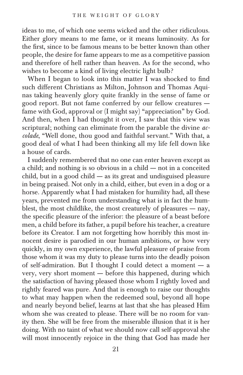ideas to me, of which one seems wicked and the other ridiculous. Either glory means to me fame, or it means luminosity. As for the first, since to be famous means to be better known than other people, the desire for fame appears to me as a competitive passion and therefore of hell rather than heaven. As for the second, who wishes to become a kind of living electric light bulb?

When I began to look into this matter I was shocked to find such different Christians as Milton, Johnson and Thomas Aquinas taking heavenly glory quite frankly in the sense of fame or good report. But not fame conferred by our fellow creatures ― fame with God, approval or (I might say) "appreciation" by God. And then, when I had thought it over, I saw that this view was scriptural; nothing can eliminate from the parable the divine *accolade*, "Well done, thou good and faithful servant." With that, a good deal of what I had been thinking all my life fell down like a house of cards.

I suddenly remembered that no one can enter heaven except as a child; and nothing is so obvious in a child ― not in a conceited child, but in a good child ― as its great and undisguised pleasure in being praised. Not only in a child, either, but even in a dog or a horse. Apparently what I had mistaken for humility had, all these years, prevented me from understanding what is in fact the humblest, the most childlike, the most creaturely of pleasures ― nay, the specific pleasure of the inferior: the pleasure of a beast before men, a child before its father, a pupil before his teacher, a creature before its Creator. I am not forgetting how horribly this most innocent desire is parodied in our human ambitions, or how very quickly, in my own experience, the lawful pleasure of praise from those whom it was my duty to please turns into the deadly poison of self-admiration. But I thought I could detect a moment ― a very, very short moment ― before this happened, during which the satisfaction of having pleased those whom I rightly loved and rightly feared was pure. And that is enough to raise our thoughts to what may happen when the redeemed soul, beyond all hope and nearly beyond belief, learns at last that she has pleased Him whom she was created to please. There will be no room for vanity then. She will be free from the miserable illusion that it is her doing. With no taint of what we should now call self-approval she will most innocently rejoice in the thing that God has made her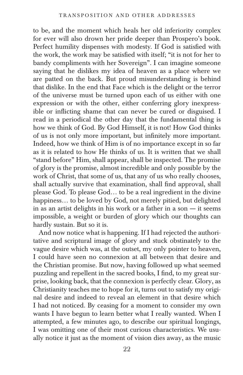to be, and the moment which heals her old inferiority complex for ever will also drown her pride deeper than Prospero's book. Perfect humility dispenses with modesty. If God is satisfied with the work, the work may be satisfied with itself; "it is not for her to bandy compliments with her Sovereign". I can imagine someone saying that he dislikes my idea of heaven as a place where we are patted on the back. But proud misunderstanding is behind that dislike. In the end that Face which is the delight or the terror of the universe must be turned upon each of us either with one expression or with the other, either conferring glory inexpressible or inflicting shame that can never be cured or disguised. I read in a periodical the other day that the fundamental thing is how we think of God. By God Himself, it is not! How God thinks of us is not only more important, but infinitely more important. Indeed, how we think of Him is of no importance except in so far as it is related to how He thinks of us. It is written that we shall "stand before" Him, shall appear, shall be inspected. The promise of glory is the promise, almost incredible and only possible by the work of Christ, that some of us, that any of us who really chooses, shall actually survive that examination, shall find approval, shall please God. To please God… to be a real ingredient in the divine happiness… to be loved by God, not merely pitied, but delighted in as an artist delights in his work or a father in a son ― it seems impossible, a weight or burden of glory which our thoughts can hardly sustain. But so it is.

And now notice what is happening. If I had rejected the authoritative and scriptural image of glory and stuck obstinately to the vague desire which was, at the outset, my only pointer to heaven, I could have seen no connexion at all between that desire and the Christian promise. But now, having followed up what seemed puzzling and repellent in the sacred books, I find, to my great surprise, looking back, that the connexion is perfectly clear. Glory, as Christianity teaches me to hope for it, turns out to satisfy my original desire and indeed to reveal an element in that desire which I had not noticed. By ceasing for a moment to consider my own wants I have begun to learn better what I really wanted. When I attempted, a few minutes ago, to describe our spiritual longings, I was omitting one of their most curious characteristics. We usually notice it just as the moment of vision dies away, as the music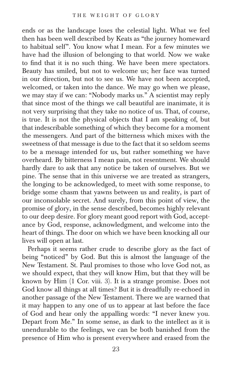ends or as the landscape loses the celestial light. What we feel then has been well described by Keats as "the journey homeward to habitual self". You know what I mean. For a few minutes we have had the illusion of belonging to that world. Now we wake to find that it is no such thing. We have been mere spectators. Beauty has smiled, but not to welcome us; her face was turned in our direction, but not to see us. We have not been accepted, welcomed, or taken into the dance. We may go when we please, we may stay if we can: "Nobody marks us." A scientist may reply that since most of the things we call beautiful are inanimate, it is not very surprising that they take no notice of us. That, of course, is true. It is not the physical objects that I am speaking of, but that indescribable something of which they become for a moment the messengers. And part of the bitterness which mixes with the sweetness of that message is due to the fact that it so seldom seems to be a message intended for us, but rather something we have overheard. By bitterness I mean pain, not resentment. We should hardly dare to ask that any notice be taken of ourselves. But we pine. The sense that in this universe we are treated as strangers, the longing to be acknowledged, to meet with some response, to bridge some chasm that yawns between us and reality, is part of our inconsolable secret. And surely, from this point of view, the promise of glory, in the sense described, becomes highly relevant to our deep desire. For glory meant good report with God, acceptance by God, response, acknowledgment, and welcome into the heart of things. The door on which we have been knocking all our lives will open at last.

Perhaps it seems rather crude to describe glory as the fact of being "noticed" by God. But this is almost the language of the New Testament. St. Paul promises to those who love God not, as we should expect, that they will know Him, but that they will be known by Him (1 Cor. viii. 3). It is a strange promise. Does not God know all things at all times? But it is dreadfully re-echoed in another passage of the New Testament. There we are warned that it may happen to any one of us to appear at last before the face of God and hear only the appalling words: "I never knew you. Depart from Me." In some sense, as dark to the intellect as it is unendurable to the feelings, we can be both banished from the presence of Him who is present everywhere and erased from the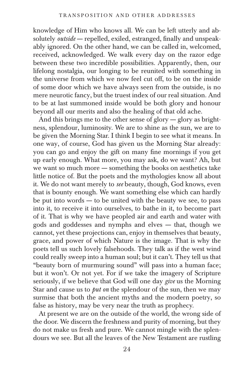knowledge of Him who knows all. We can be left utterly and absolutely *outside* — repelled, exiled, estranged, finally and unspeakably ignored. On the other hand, we can be called in, welcomed, received, acknowledged. We walk every day on the razor edge between these two incredible possibilities. Apparently, then, our lifelong nostalgia, our longing to be reunited with something in the universe from which we now feel cut off, to be on the inside of some door which we have always seen from the outside, is no mere neurotic fancy, but the truest index of our real situation. And to be at last summoned inside would be both glory and honour beyond all our merits and also the healing of that old ache.

And this brings me to the other sense of glory ― glory as brightness, splendour, luminosity. We are to shine as the sun, we are to be given the Morning Star. I think I begin to see what it means. In one way, of course, God has given us the Morning Star already: you can go and enjoy the gift on many fine mornings if you get up early enough. What more, you may ask, do we want? Ah, but we want so much more ― something the books on aesthetics take little notice of. But the poets and the mythologies know all about it. We do not want merely to *see* beauty, though, God knows, even that is bounty enough. We want something else which can hardly be put into words ― to be united with the beauty we see, to pass into it, to receive it into ourselves, to bathe in it, to become part of it. That is why we have peopled air and earth and water with gods and goddesses and nymphs and elves ― that, though we cannot, yet these projections can, enjoy in themselves that beauty, grace, and power of which Nature is the image. That is why the poets tell us such lovely falsehoods. They talk as if the west wind could really sweep into a human soul; but it can't. They tell us that "beauty born of murmuring sound" will pass into a human face; but it won't. Or not yet. For if we take the imagery of Scripture seriously, if we believe that God will one day *give* us the Morning Star and cause us to *put on* the splendour of the sun, then we may surmise that both the ancient myths and the modern poetry, so false as history, may be very near the truth as prophecy.

At present we are on the outside of the world, the wrong side of the door. We discern the freshness and purity of morning, but they do not make us fresh and pure. We cannot mingle with the splendours we see. But all the leaves of the New Testament are rustling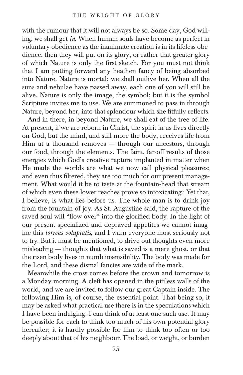with the rumour that it will not always be so. Some day, God willing, we shall get *in*. When human souls have become as perfect in voluntary obedience as the inanimate creation is in its lifeless obedience, then they will put on its glory, or rather that greater glory of which Nature is only the first sketch. For you must not think that I am putting forward any heathen fancy of being absorbed into Nature. Nature is mortal; we shall outlive her. When all the suns and nebulae have passed away, each one of you will still be alive. Nature is only the image, the symbol; but it is the symbol Scripture invites me to use. We are summoned to pass in through Nature, beyond her, into that splendour which she fitfully reflects.

And in there, in beyond Nature, we shall eat of the tree of life. At present, if we are reborn in Christ, the spirit in us lives directly on God; but the mind, and still more the body, receives life from Him at a thousand removes ― through our ancestors, through our food, through the elements. The faint, far-off results of those energies which God's creative rapture implanted in matter when He made the worlds are what we now call physical pleasures; and even thus filtered, they are too much for our present management. What would it be to taste at the fountain-head that stream of which even these lower reaches prove so intoxicating? Yet that, I believe, is what lies before us. The whole man is to drink joy from the fountain of joy. As St. Augustine said, the rapture of the saved soul will "flow over" into the glorified body. In the light of our present specialized and depraved appetites we cannot imagine this *torrens voluptatis*, and I warn everyone most seriously not to try. But it must be mentioned, to drive out thoughts even more misleading ― thoughts that what is saved is a mere ghost, or that the risen body lives in numb insensibility. The body was made for the Lord, and these dismal fancies are wide of the mark.

Meanwhile the cross comes before the crown and tomorrow is a Monday morning. A cleft has opened in the pitiless walls of the world, and we are invited to follow our great Captain inside. The following Him is, of course, the essential point. That being so, it may be asked what practical use there is in the speculations which I have been indulging. I can think of at least one such use. It may be possible for each to think too much of his own potential glory hereafter; it is hardly possible for him to think too often or too deeply about that of his neighbour. The load, or weight, or burden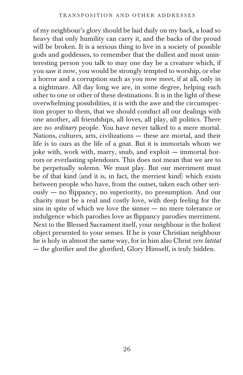of my neighbour's glory should be laid daily on my back, a load so heavy that only humility can carry it, and the backs of the proud will be broken. It is a serious thing to live in a society of possible gods and goddesses, to remember that the dullest and most uninteresting person you talk to may one day be a creature which, if you saw it now, you would be strongly tempted to worship, or else a horror and a corruption such as you now meet, if at all, only in a nightmare. All day long we are, in some degree, helping each other to one or other of these destinations. It is in the light of these overwhelming possibilities, it is with the awe and the circumspection proper to them, that we should conduct all our dealings with one another, all friendships, all loves, all play, all politics. There are no *ordinary* people. You have never talked to a mere mortal. Nations, cultures, arts, civilizations ― these are mortal, and their life is to ours as the life of a gnat. But it is immortals whom we joke with, work with, marry, snub, and exploit ― immortal horrors or everlasting splendours. This does not mean that we are to be perpetually solemn. We must play. But our merriment must be of that kind (and it is, in fact, the merriest kind) which exists between people who have, from the outset, taken each other seriously ― no flippancy, no superiority, no presumption. And our charity must be a real and costly love, with deep feeling for the sins in spite of which we love the sinner ― no mere tolerance or indulgence which parodies love as flippancy parodies merriment. Next to the Blessed Sacrament itself, your neighbour is the holiest object presented to your senses. If he is your Christian neighbour he is holy in almost the same way, for in him also Christ *vere latitat* ― the glorifier and the glorified, Glory Himself, is truly hidden.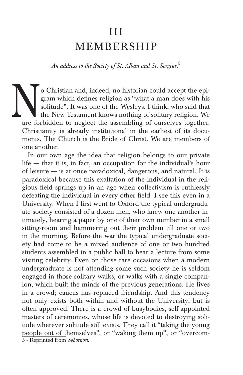## <span id="page-30-0"></span>III **MEMBERSHIP**

*An address to the Society of St. Alban and St. Sergius.*<sup>5</sup>

o Christian and, indeed, no historian could accept the epigram which defines religion as "what a man does with his solitude". It was one of the Wesleys, I think, who said that the New Testament knows nothing of solitary re gram which defines religion as "what a man does with his solitude". It was one of the Wesleys, I think, who said that the New Testament knows nothing of solitary religion. We are forbidden to neglect the assembling of ourselves together. Christianity is already institutional in the earliest of its documents. The Church is the Bride of Christ. We are members of one another.

In our own age the idea that religion belongs to our private life ― that it is, in fact, an occupation for the individual's hour of leisure ― is at once paradoxical, dangerous, and natural. It is paradoxical because this exaltation of the individual in the religious field springs up in an age when collectivism is ruthlessly defeating the individual in every other field. I see this even in a University. When I first went to Oxford the typical undergraduate society consisted of a dozen men, who knew one another intimately, hearing a paper by one of their own number in a small sitting-room and hammering out their problem till one or two in the morning. Before the war the typical undergraduate society had come to be a mixed audience of one or two hundred students assembled in a public hall to hear a lecture from some visiting celebrity. Even on those rare occasions when a modern undergraduate is not attending some such society he is seldom engaged in those solitary walks, or walks with a single companion, which built the minds of the previous generations. He lives in a crowd; caucus has replaced friendship. And this tendency not only exists both within and without the University, but is often approved. There is a crowd of busybodies, self-appointed masters of ceremonies, whose life is devoted to destroying solitude wherever solitude still exists. They call it "taking the young people out of themselves", or "waking them up", or "overcom- 5 - Reprinted from *Sobornost*.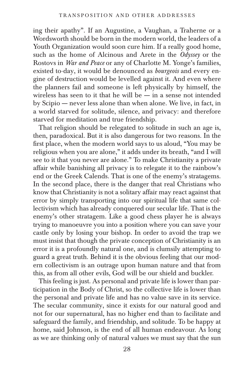ing their apathy". If an Augustine, a Vaughan, a Traherne or a Wordsworth should be born in the modern world, the leaders of a Youth Organization would soon cure him. If a really good home, such as the home of Alcinous and Arete in the *Odyssey* or the Rostovs in *War and Peace* or any of Charlotte M. Yonge's families, existed to-day, it would be denounced as *bourgeois* and every engine of destruction would be levelled against it. And even where the planners fail and someone is left physically by himself, the wireless has seen to it that he will be ― in a sense not intended by Scipio ― never less alone than when alone. We live, in fact, in a world starved for solitude, silence, and privacy: and therefore starved for meditation and true friendship.

That religion should be relegated to solitude in such an age is, then, paradoxical. But it is also dangerous for two reasons. In the first place, when the modern world says to us aloud, "You may be religious when you are alone," it adds under its breath, "and I will see to it that you never are alone." To make Christianity a private affair while banishing all privacy is to relegate it to the rainbow's end or the Greek Calends. That is one of the enemy's stratagems. In the second place, there is the danger that real Christians who know that Christianity is not a solitary affair may react against that error by simply transporting into our spiritual life that same collectivism which has already conquered our secular life. That is the enemy's other stratagem. Like a good chess player he is always trying to manoeuvre you into a position where you can save your castle only by losing your bishop. In order to avoid the trap we must insist that though the private conception of Christianity is an error it is a profoundly natural one, and is clumsily attempting to guard a great truth. Behind it is the obvious feeling that our modern collectivism is an outrage upon human nature and that from this, as from all other evils, God will be our shield and buckler.

This feeling is just. As personal and private life is lower than participation in the Body of Christ, so the collective life is lower than the personal and private life and has no value save in its service. The secular community, since it exists for our natural good and not for our supernatural, has no higher end than to facilitate and safeguard the family, and friendship, and solitude. To be happy at home, said Johnson, is the end of all human endeavour. As long as we are thinking only of natural values we must say that the sun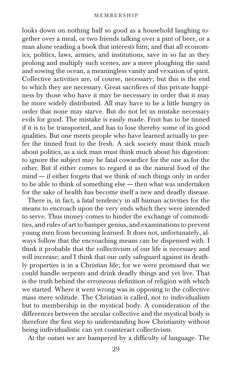looks down on nothing half so good as a household laughing together over a meal, or two friends talking over a pint of beer, or a man alone reading a book that interests him; and that all economics, politics, laws, armies, and institutions, save in so far as they prolong and multiply such scenes, are a mere ploughing the sand and sowing the ocean, a meaningless vanity and vexation of spirit. Collective activities are, of course, necessary; but this is the end to which they are necessary. Great sacrifices of this private happiness by those who have it may be necessary in order that it may be more widely distributed. All may have to be a little hungry in order that none may starve. But do not let us mistake necessary evils for good. The mistake is easily made. Fruit has to be tinned if it is to be transported, and has to lose thereby some of its good qualities. But one meets people who have learned actually to prefer the tinned fruit to the fresh. A sick society must think much about politics, as a sick man must think much about his digestion: to ignore the subject may be fatal cowardice for the one as for the other. But if either comes to regard it as the natural food of the mind ― if either forgets that we think of such things only in order to be able to think of something else ― then what was undertaken for the sake of health has become itself a new and deadly disease.

There is, in fact, a fatal tendency in all human activities for the means to encroach upon the very ends which they were intended to serve. Thus money comes to hinder the exchange of commodities, and rules of art to hamper genius, and examinations to prevent young men from becoming learned. It does not, unfortunately, always follow that the encroaching means can be dispensed with. I think it probable that the collectivism of our life is necessary and will increase; and I think that our only safeguard against its deathly properties is in a Christian life; for we were promised that we could handle serpents and drink deadly things and yet live. That is the truth behind the erroneous definition of religion with which we started. Where it went wrong was in opposing to the collective mass mere solitude. The Christian is called, not to individualism but to membership in the mystical body. A consideration of the differences between the secular collective and the mystical body is therefore the first step to understanding how Christianity without being individualistic can yet counteract collectivism.

At the outset we are hampered by a difficulty of language. The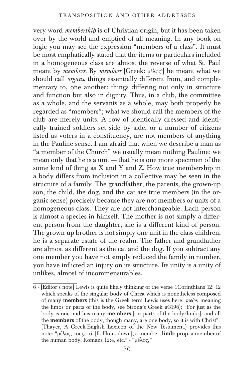very word *membership* is of Christian origin, but it has been taken over by the world and emptied of all meaning. In any book on logic you may see the expression "members of a class". It must be most emphatically stated that the items or particulars included in a homogeneous class are almost the reverse of what St. Paul meant by *members*. By *members* [Greek: μέλος<sup>6</sup>] he meant what we should call *organs*, things essentially different from, and complementary to, one another: things differing not only in structure and function but also in dignity. Thus, in a club, the committee as a whole, and the servants as a whole, may both properly be regarded as "members"; what we should call the members of the club are merely units. A row of identically dressed and identically trained soldiers set side by side, or a number of citizens listed as voters in a constituency, are not members of anything in the Pauline sense. I am afraid that when we describe a man as "a member of the Church" we usually mean nothing Pauline: we mean only that he is a unit ― that he is one more specimen of the some kind of thing as X and Y and Z. How true membership in a body differs from inclusion in a collective may be seen in the structure of a family. The grandfather, the parents, the grown-up son, the child, the dog, and the cat are true members (in the organic sense) precisely because they are not members or units of a homogeneous class. They are not interchangeable. Each person is almost a species in himself. The mother is not simply a different person from the daughter, she is a different kind of person. The grown-up brother is not simply one unit in the class children, he is a separate estate of the realm. The father and grandfather are almost as different as the cat and the dog. If you subtract any one member you have not simply reduced the family in number, you have inflicted an injury on its structure. Its unity is a unity of unlikes, almost of incommensurables.

<sup>6 - [</sup>Editor's note] Lewis is quite likely thinking of the verse 1Corinthians 12: 12 which speaks of the singular body of Christ which is nonetheless composed of many members (this is the Greek term Lewis uses here: *melos*, meaning the limbs or parts of the body, see Strong's Greek #3196): "For just as the body is one and has many **members** [or: parts of the body/limbs], and all the **members** of the body, though many, are one body, so it is with Christ" (Thayer, A Greek-English Lexicon of the New Testament.) provides this note: "μέλος, -ους, τό, [fr. Hom. down], a member, limb: prop. a member of the human body, Romans 12:4, etc." - "μέλος,".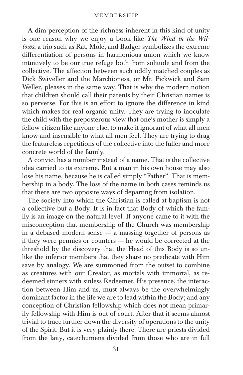A dim perception of the richness inherent in this kind of unity is one reason why we enjoy a book like *The Wind in the Willows*; a trio such as Rat, Mole, and Badger symbolizes the extreme differentiation of persons in harmonious union which we know intuitively to be our true refuge both from solitude and from the collective. The affection between such oddly matched couples as Dick Swiveller and the Marchioness, or Mr. Pickwick and Sam Weller, pleases in the same way. That is why the modern notion that children should call their parents by their Christian names is so perverse. For this is an effort to ignore the difference in kind which makes for real organic unity. They are trying to inoculate the child with the preposterous view that one's mother is simply a fellow-citizen like anyone else, to make it ignorant of what all men know and insensible to what all men feel. They are trying to drag the featureless repetitions of the collective into the fuller and more concrete world of the family.

A convict has a number instead of a name. That is the collective idea carried to its extreme. But a man in his own house may also lose his name, because he is called simply "Father". That is membership in a body. The loss of the name in both cases reminds us that there are two opposite ways of departing from isolation.

The society into which the Christian is called at baptism is not a collective but a Body. It is in fact that Body of which the family is an image on the natural level. If anyone came to it with the misconception that membership of the Church was membership in a debased modern sense ― a massing together of persons as if they were pennies or counters ― he would be corrected at the threshold by the discovery that the Head of this Body is so unlike the inferior members that they share no predicate with Him save by analogy. We are summoned from the outset to combine as creatures with our Creator, as mortals with immortal, as redeemed sinners with sinless Redeemer. His presence, the interaction between Him and us, must always be the overwhelmingly dominant factor in the life we are to lead within the Body; and any conception of Christian fellowship which does not mean primarily fellowship with Him is out of court. After that it seems almost trivial to trace further down the diversity of operations to the unity of the Spirit. But it is very plainly there. There are priests divided from the laity, catechumens divided from those who are in full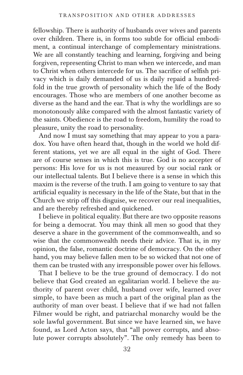fellowship. There is authority of husbands over wives and parents over children. There is, in forms too subtle for official embodiment, a continual interchange of complementary ministrations. We are all constantly teaching and learning, forgiving and being forgiven, representing Christ to man when we intercede, and man to Christ when others intercede for us. The sacrifice of selfish privacy which is daily demanded of us is daily repaid a hundredfold in the true growth of personality which the life of the Body encourages. Those who are members of one another become as diverse as the hand and the ear. That is why the worldlings are so monotonously alike compared with the almost fantastic variety of the saints. Obedience is the road to freedom, humility the road to pleasure, unity the road to personality.

And now I must say something that may appear to you a paradox. You have often heard that, though in the world we hold different stations, yet we are all equal in the sight of God. There are of course senses in which this is true. God is no accepter of persons: His love for us is not measured by our social rank or our intellectual talents. But I believe there is a sense in which this maxim is the reverse of the truth. I am going to venture to say that artificial equality is necessary in the life of the State, but that in the Church we strip off this disguise, we recover our real inequalities, and are thereby refreshed and quickened.

I believe in political equality. But there are two opposite reasons for being a democrat. You may think all men so good that they deserve a share in the government of the commonwealth, and so wise that the commonwealth needs their advice. That is, in my opinion, the false, romantic doctrine of democracy. On the other hand, you may believe fallen men to be so wicked that not one of them can be trusted with any irresponsible power over his fellows.

That I believe to be the true ground of democracy. I do not believe that God created an egalitarian world. I believe the authority of parent over child, husband over wife, learned over simple, to have been as much a part of the original plan as the authority of man over beast. I believe that if we had not fallen Filmer would be right, and patriarchal monarchy would be the sole lawful government. But since we have learned sin, we have found, as Lord Acton says, that "all power corrupts, and absolute power corrupts absolutely". The only remedy has been to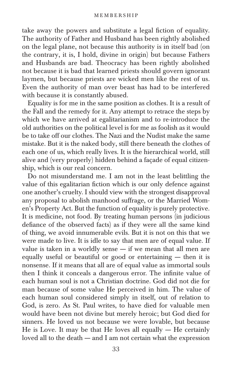take away the powers and substitute a legal fiction of equality. The authority of Father and Husband has been rightly abolished on the legal plane, not because this authority is in itself bad (on the contrary, it is, I hold, divine in origin) but because Fathers and Husbands are bad. Theocracy has been rightly abolished not because it is bad that learned priests should govern ignorant laymen, but because priests are wicked men like the rest of us. Even the authority of man over beast has had to be interfered with because it is constantly abused.

Equality is for me in the same position as clothes. It is a result of the Fall and the remedy for it. Any attempt to retrace the steps by which we have arrived at egalitarianism and to re-introduce the old authorities on the political level is for me as foolish as it would be to take off our clothes. The Nazi and the Nudist make the same mistake. But it is the naked body, still there beneath the clothes of each one of us, which really lives. It is the hierarchical world, still alive and (very properly) hidden behind a façade of equal citizenship, which is our real concern.

Do not misunderstand me. I am not in the least belittling the value of this egalitarian fiction which is our only defence against one another's cruelty. I should view with the strongest disapproval any proposal to abolish manhood suffrage, or the Married Women's Property Act. But the function of equality is purely protective. It is medicine, not food. By treating human persons (in judicious defiance of the observed facts) as if they were all the same kind of thing, we avoid innumerable evils. But it is not on this that we were made to live. It is idle to say that men are of equal value. If value is taken in a worldly sense ― if we mean that all men are equally useful or beautiful or good or entertaining ― then it is nonsense. If it means that all are of equal value as immortal souls then I think it conceals a dangerous error. The infinite value of each human soul is not a Christian doctrine. God did not die for man because of some value He perceived in him. The value of each human soul considered simply in itself, out of relation to God, is zero. As St. Paul writes, to have died for valuable men would have been not divine but merely heroic; but God died for sinners. He loved us not because we were lovable, but because He is Love. It may be that He loves all equally  $-$  He certainly loved all to the death ― and I am not certain what the expression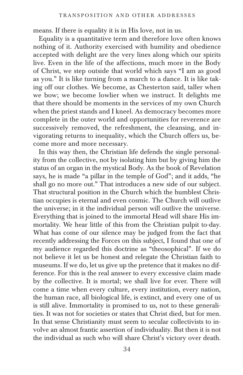means. If there is equality it is in His love, not in us.

Equality is a quantitative term and therefore love often knows nothing of it. Authority exercised with humility and obedience accepted with delight are the very lines along which our spirits live. Even in the life of the affections, much more in the Body of Christ, we step outside that world which says "I am as good as you." It is like turning from a march to a dance. It is like taking off our clothes. We become, as Chesterton said, taller when we bow; we become lowlier when we instruct. It delights me that there should be moments in the services of my own Church when the priest stands and I kneel. As democracy becomes more complete in the outer world and opportunities for reverence are successively removed, the refreshment, the cleansing, and invigorating returns to inequality, which the Church offers us, become more and more necessary.

In this way then, the Christian life defends the single personality from the collective, not by isolating him but by giving him the status of an organ in the mystical Body. As the book of Revelation says, he is made "a pillar in the temple of God"; and it adds, "he shall go no more out." That introduces a new side of our subject. That structural position in the Church which the humblest Christian occupies is eternal and even cosmic. The Church will outlive the universe; in it the individual person will outlive the universe. Everything that is joined to the immortal Head will share His immortality. We hear little of this from the Christian pulpit to-day. What has come of our silence may be judged from the fact that recently addressing the Forces on this subject, I found that one of my audience regarded this doctrine as "theosophical". If we do not believe it let us be honest and relegate the Christian faith to museums. If we do, let us give up the pretence that it makes no difference. For this is the real answer to every excessive claim made by the collective. It is mortal; we shall live for ever. There will come a time when every culture, every institution, every nation, the human race, all biological life, is extinct, and every one of us is still alive. Immortality is promised to us, not to these generalities. It was not for societies or states that Christ died, but for men. In that sense Christianity must seem to secular collectivists to involve an almost frantic assertion of individuality. But then it is not the individual as such who will share Christ's victory over death.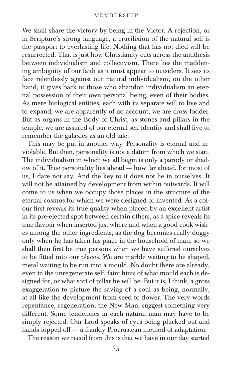We shall share the victory by being in the Victor. A rejection, or in Scripture's strong language, a crucifixion of the natural self is the passport to everlasting life. Nothing that has not died will be resurrected. That is just how Christianity cuts across the antithesis between individualism and collectivism. There lies the maddening ambiguity of our faith as it must appear to outsiders. It sets its face relentlessly against our natural individualism; on the other hand, it gives back to those who abandon individualism an eternal possession of their own personal being, even of their bodies. As mere biological entities, each with its separate will to live and to expand, we are apparently of no account; we are cross-fodder. But as organs in the Body of Christ, as stones and pillars in the temple, we are assured of our eternal self-identity and shall live to remember the galaxies as an old tale.

This may be put in another way. Personality is eternal and inviolable. But then, personality is not a datum from which we start. The individualism in which we all begin is only a parody or shadow of it. True personality lies ahead ― how far ahead, for most of us, I dare not say. And the key to it does not lie in ourselves. It will not be attained by development from within outwards. It will come to us when we occupy those places in the structure of the eternal cosmos for which we were designed or invented. As a colour first reveals its true quality when placed by an excellent artist in its pre-elected spot between certain others, as a spice reveals its true flavour when inserted just where and when a good cook wishes among the other ingredients, as the dog becomes really doggy only when he has taken his place in the household of man, so we shall then first be true persons when we have suffered ourselves to be fitted into our places. We are marble waiting to be shaped, metal waiting to be run into a mould. No doubt there are already, even in the unregenerate self, faint hints of what mould each is designed for, or what sort of pillar he will be. But it is, I think, a gross exaggeration to picture the saving of a soul as being, normally, at all like the development from seed to flower. The very words repentance, regeneration, the New Man, suggest something very different. Some tendencies in each natural man may have to be simply rejected. Our Lord speaks of eyes being plucked out and hands lopped off — a frankly Procrustean method of adaptation.

The reason we recoil from this is that we have in our day started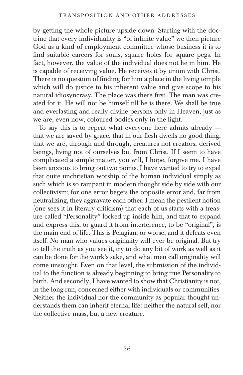by getting the whole picture upside down. Starting with the doctrine that every individuality is "of infinite value" we then picture God as a kind of employment committee whose business it is to find suitable careers for souls, square holes for square pegs. In fact, however, the value of the individual does not lie in him. He is capable of receiving value. He receives it by union with Christ. There is no question of finding for him a place in the living temple which will do justice to his inherent value and give scope to his natural idiosyncrasy. The place was there first. The man was created for it. He will not be himself till he is there. We shall be true and everlasting and really divine persons only in Heaven, just as we are, even now, coloured bodies only in the light.

To say this is to repeat what everyone here admits already ― that we are saved by grace, that in our flesh dwells no good thing, that we are, through and through, creatures not creators, derived beings, living not of ourselves but from Christ. If I seem to have complicated a simple matter, you will, I hope, forgive me. I have been anxious to bring out two points. I have wanted to try to expel that quite unchristian worship of the human individual simply as such which is so rampant in modern thought side by side with our collectivism; for one error begets the opposite error and, far from neutralizing, they aggravate each other. I mean the pestilent notion (one sees it in literary criticism) that each of us starts with a treasure called "Personality" locked up inside him, and that to expand and express this, to guard it from interference, to be "original", is the main end of life. This is Pelagian, or worse, and it defeats even itself. No man who values originality will ever be original. But try to tell the truth as you see it, try to do any bit of work as well as it can be done for the work's sake, and what men call originality will come unsought. Even on that level, the submission of the individual to the function is already beginning to bring true Personality to birth. And secondly, I have wanted to show that Christianity is not, in the long run, concerned either with individuals or communities. Neither the individual nor the community as popular thought understands them can inherit eternal life: neither the natural self, nor the collective mass, but a new creature.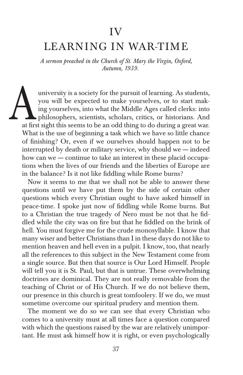IV

## LEARNING IN WAR-TIME

*A sermon preached in the Church of St. Mary the Virgin, Oxford, Autumn, 1939.*

university is a society for the pursuit of learning. As students, you will be expected to make yourselves, or to start making yourselves, into what the Middle Ages called clerks: into philosophers, scientists, scholars, cr you will be expected to make yourselves, or to start making yourselves, into what the Middle Ages called clerks: into philosophers, scientists, scholars, critics, or historians. And What is the use of beginning a task which we have so little chance of finishing? Or, even if we ourselves should happen not to be interrupted by death or military service, why should we ― indeed how can we — continue to take an interest in these placid occupations when the lives of our friends and the liberties of Europe are in the balance? Is it not like fiddling while Rome burns?

Now it seems to me that we shall not be able to answer these questions until we have put them by the side of certain other questions which every Christian ought to have asked himself in peace-time. I spoke just now of fiddling while Rome burns. But to a Christian the true tragedy of Nero must be not that he fiddled while the city was on fire but that he fiddled on the brink of hell. You must forgive me for the crude monosyllable. I know that many wiser and better Christians than I in these days do not like to mention heaven and hell even in a pulpit. I know, too, that nearly all the references to this subject in the New Testament come from a single source. But then that source is Our Lord Himself. People will tell you it is St. Paul, but that is untrue. These overwhelming doctrines are dominical. They are not really removable from the teaching of Christ or of His Church. If we do not believe them, our presence in this church is great tomfoolery. If we do, we must sometime overcome our spiritual prudery and mention them.

The moment we do so we can see that every Christian who comes to a university must at all times face a question compared with which the questions raised by the war are relatively unimportant. He must ask himself how it is right, or even psychologically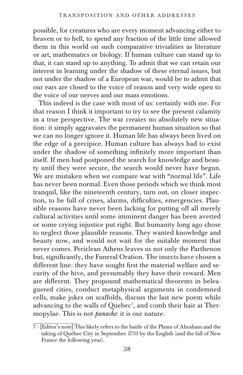possible, for creatures who are every moment advancing either to heaven or to hell, to spend any fraction of the little time allowed them in this world on such comparative trivialities as literature or art, mathematics or biology. If human culture can stand up to that, it can stand up to anything. To admit that we can retain our interest in learning under the shadow of these eternal issues, but not under the shadow of a European war, would be to admit that our ears are closed to the voice of reason and very wide open to the voice of our nerves and our mass emotions.

This indeed is the case with most of us: certainly with me. For that reason I think it important to try to see the present calamity in a true perspective. The war creates no absolutely new situation: it simply aggravates the permanent human situation so that we can no longer ignore it. Human life has always been lived on the edge of a precipice. Human culture has always had to exist under the shadow of something infinitely more important than itself. If men had postponed the search for knowledge and beauty until they were secure, the search would never have begun. We are mistaken when we compare war with "normal life". Life has never been normal. Even those periods which we think most tranquil, like the nineteenth century, turn out, on closer inspection, to be full of crises, alarms, difficulties, emergencies. Plausible reasons have never been lacking for putting off all merely cultural activities until some imminent danger has been averted or some crying injustice put right. But humanity long ago chose to neglect those plausible reasons. They wanted knowledge and beauty now, and would not wait for the suitable moment that never comes. Periclean Athens leaves us not only the Parthenon but, significantly, the Funeral Oration. The insects have chosen a different line: they have sought first the material welfare and security of the hive, and presumably they have their reward. Men are different. They propound mathematical theorems in beleaguered cities, conduct metaphysical arguments in condemned cells, make jokes on scaffolds, discuss the last new poem while advancing to the walls of Quebec<sup>7</sup>, and comb their hair at Thermopylae. This is not *panache*: it is our nature.

<sup>7 - [</sup>Editor's note] This likely refers to the battle of the Plains of Abraham and the taking of Québec City in September 1759 by the English (and the fall of New France the following year).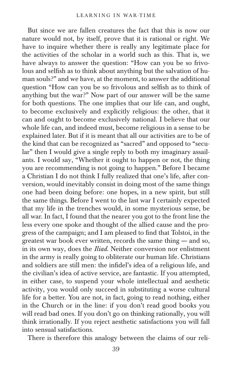But since we are fallen creatures the fact that this is now our nature would not, by itself, prove that it is rational or right. We have to inquire whether there is really any legitimate place for the activities of the scholar in a world such as this. That is, we have always to answer the question: "How can you be so frivolous and selfish as to think about anything but the salvation of human souls?" and we have, at the moment, to answer the additional question "How can you be so frivolous and selfish as to think of anything but the war?" Now part of our answer will be the same for both questions. The one implies that our life can, and ought, to become exclusively and explicitly religious: the other, that it can and ought to become exclusively national. I believe that our whole life can, and indeed must, become religious in a sense to be explained later. But if it is meant that all our activities are to be of the kind that can be recognized as "sacred" and opposed to "secular" then I would give a single reply to both my imaginary assailants. I would say, "Whether it ought to happen or not, the thing you are recommending is not going to happen." Before I became a Christian I do not think I fully realized that one's life, after conversion, would inevitably consist in doing most of the same things one had been doing before: one hopes, in a new spirit, but still the same things. Before I went to the last war I certainly expected that my life in the trenches would, in some mysterious sense, be all war. In fact, I found that the nearer you got to the front line the less every one spoke and thought of the allied cause and the progress of the campaign; and I am pleased to find that Tolstoi, in the greatest war book ever written, records the same thing ― and so, in its own way, does the *Iliad*. Neither conversion nor enlistment in the army is really going to obliterate our human life. Christians and soldiers are still men: the infidel's idea of a religious life, and the civilian's idea of active service, are fantastic. If you attempted, in either case, to suspend your whole intellectual and aesthetic activity, you would only succeed in substituting a worse cultural life for a better. You are not, in fact, going to read nothing, either in the Church or in the line: if you don't read good books you will read bad ones. If you don't go on thinking rationally, you will think irrationally. If you reject aesthetic satisfactions you will fall into sensual satisfactions.

There is therefore this analogy between the claims of our reli-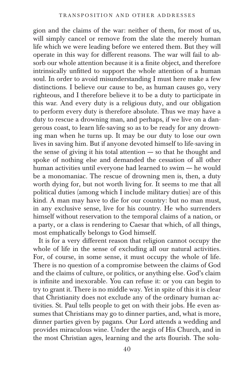gion and the claims of the war: neither of them, for most of us, will simply cancel or remove from the slate the merely human life which we were leading before we entered them. But they will operate in this way for different reasons. The war will fail to absorb our whole attention because it is a finite object, and therefore intrinsically unfitted to support the whole attention of a human soul. In order to avoid misunderstanding I must here make a few distinctions. I believe our cause to be, as human causes go, very righteous, and I therefore believe it to be a duty to participate in this war. And every duty is a religious duty, and our obligation to perform every duty is therefore absolute. Thus we may have a duty to rescue a drowning man, and perhaps, if we live on a dangerous coast, to learn life-saving so as to be ready for any drowning man when he turns up. It may be our duty to lose our own lives in saving him. But if anyone devoted himself to life-saving in the sense of giving it his total attention ― so that he thought and spoke of nothing else and demanded the cessation of all other human activities until everyone had learned to swim ― he would be a monomaniac. The rescue of drowning men is, then, a duty worth dying for, but not worth living for. It seems to me that all political duties (among which I include military duties) are of this kind. A man may have to die for our country: but no man must, in any exclusive sense, live for his country. He who surrenders himself without reservation to the temporal claims of a nation, or a party, or a class is rendering to Caesar that which, of all things, most emphatically belongs to God himself.

It is for a very different reason that religion cannot occupy the whole of life in the sense of excluding all our natural activities. For, of course, in some sense, it must occupy the whole of life. There is no question of a compromise between the claims of God and the claims of culture, or politics, or anything else. God's claim is infinite and inexorable. You can refuse it: or you can begin to try to grant it. There is no middle way. Yet in spite of this it is clear that Christianity does not exclude any of the ordinary human activities. St. Paul tells people to get on with their jobs. He even assumes that Christians may go to dinner parties, and, what is more, dinner parties given by pagans. Our Lord attends a wedding and provides miraculous wine. Under the aegis of His Church, and in the most Christian ages, learning and the arts flourish. The solu-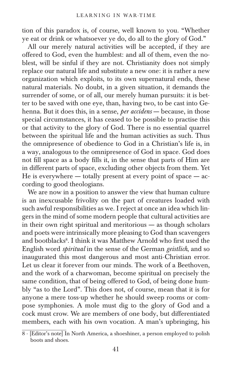tion of this paradox is, of course, well known to you. "Whether ye eat or drink or whatsoever ye do, do all to the glory of God."

All our merely natural activities will be accepted, if they are offered to God, even the humblest: and all of them, even the noblest, will be sinful if they are not. Christianity does not simply replace our natural life and substitute a new one: it is rather a new organization which exploits, to its own supernatural ends, these natural materials. No doubt, in a given situation, it demands the surrender of some, or of all, our merely human pursuits: it is better to be saved with one eye, than, having two, to be cast into Gehenna. But it does this, in a sense, *per accidens* ― because, in those special circumstances, it has ceased to be possible to practise this or that activity to the glory of God. There is no essential quarrel between the spiritual life and the human activities as such. Thus the omnipresence of obedience to God in a Christian's life is, in a way, analogous to the omnipresence of God in space. God does not fill space as a body fills it, in the sense that parts of Him are in different parts of space, excluding other objects from them. Yet He is everywhere ― totally present at every point of space ― according to good theologians.

We are now in a position to answer the view that human culture is an inexcusable frivolity on the part of creatures loaded with such awful responsibilities as we. I reject at once an idea which lingers in the mind of some modern people that cultural activities are in their own right spiritual and meritorious ― as though scholars and poets were intrinsically more pleasing to God than scavengers and bootblacks<sup>8</sup>. I think it was Matthew Arnold who first used the English word *spiritual* in the sense of the German *geistlich*, and so inaugurated this most dangerous and most anti-Christian error. Let us clear it forever from our minds. The work of a Beethoven, and the work of a charwoman, become spiritual on precisely the same condition, that of being offered to God, of being done humbly "as to the Lord". This does not, of course, mean that it is for anyone a mere toss-up whether he should sweep rooms or compose symphonies. A mole must dig to the glory of God and a cock must crow. We are members of one body, but differentiated members, each with his own vocation. A man's upbringing, his

<sup>8 - [</sup>Editor's note] In North America, a shoeshiner, a person employed to polish boots and shoes.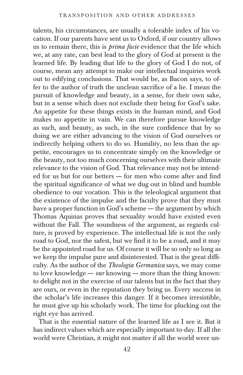talents, his circumstances, are usually a tolerable index of his vocation. If our parents have sent us to Oxford, if our country allows us to remain there, this is *prima facie* evidence that the life which we, at any rate, can best lead to the glory of God at present is the learned life. By leading that life to the glory of God I do not, of course, mean any attempt to make our intellectual inquiries work out to edifying conclusions. That would be, as Bacon says, to offer to the author of truth the unclean sacrifice of a lie. I mean the pursuit of knowledge and beauty, in a sense, for their own sake, but in a sense which does not exclude their being for God's sake. An appetite for these things exists in the human mind, and God makes no appetite in vain. We can therefore pursue knowledge as such, and beauty, as such, in the sure confidence that by so doing we are either advancing to the vision of God ourselves or indirectly helping others to do so. Humility, no less than the appetite, encourages us to concentrate simply on the knowledge or the beauty, not too much concerning ourselves with their ultimate relevance to the vision of God. That relevance may not be intended for us but for our betters ― for men who come after and find the spiritual significance of what we dug out in blind and humble obedience to our vocation. This is the teleological argument that the existence of the impulse and the faculty prove that they must have a proper function in God's scheme ― the argument by which Thomas Aquinas proves that sexuality would have existed even without the Fall. The soundness of the argument, as regards culture, is proved by experience. The intellectual life is not the only road to God, nor the safest, but we find it to be a road, and it may be the appointed road for us. Of course it will be so only so long as we keep the impulse pure and disinterested. That is the great difficulty. As the author of the *Theologia Germanica* says, we may come to love knowledge ― *our* knowing ― more than the thing known: to delight not in the exercise of our talents but in the fact that they are ours, or even in the reputation they bring us. Every success in the scholar's life increases this danger. If it becomes irresistible, he must give up his scholarly work. The time for plucking out the right eye has arrived.

That is the essential nature of the learned life as I see it. But it has indirect values which are especially important to-day. If all the world were Christian, it might not matter if all the world were un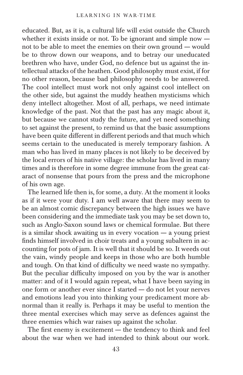educated. But, as it is, a cultural life will exist outside the Church whether it exists inside or not. To be ignorant and simple now ― not to be able to meet the enemies on their own ground ― would be to throw down our weapons, and to betray our uneducated brethren who have, under God, no defence but us against the intellectual attacks of the heathen. Good philosophy must exist, if for no other reason, because bad philosophy needs to be answered. The cool intellect must work not only against cool intellect on the other side, but against the muddy heathen mysticisms which deny intellect altogether. Most of all, perhaps, we need intimate knowledge of the past. Not that the past has any magic about it, but because we cannot study the future, and yet need something to set against the present, to remind us that the basic assumptions have been quite different in different periods and that much which seems certain to the uneducated is merely temporary fashion. A man who has lived in many places is not likely to be deceived by the local errors of his native village: the scholar has lived in many times and is therefore in some degree immune from the great cataract of nonsense that pours from the press and the microphone of his own age.

The learned life then is, for some, a duty. At the moment it looks as if it were your duty. I am well aware that there may seem to be an almost comic discrepancy between the high issues we have been considering and the immediate task you may be set down to, such as Anglo-Saxon sound laws or chemical formulae. But there is a similar shock awaiting us in every vocation ― a young priest finds himself involved in choir treats and a young subaltern in accounting for pots of jam. It is well that it should be so. It weeds out the vain, windy people and keeps in those who are both humble and tough. On that kind of difficulty we need waste no sympathy. But the peculiar difficulty imposed on you by the war is another matter: and of it I would again repeat, what I have been saying in one form or another ever since I started ― do not let your nerves and emotions lead you into thinking your predicament more abnormal than it really is. Perhaps it may be useful to mention the three mental exercises which may serve as defences against the three enemies which war raises up against the scholar.

The first enemy is excitement ― the tendency to think and feel about the war when we had intended to think about our work.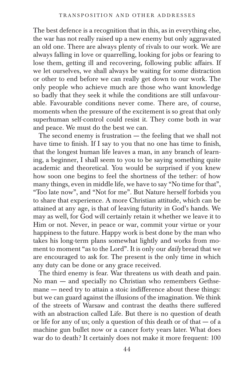The best defence is a recognition that in this, as in everything else, the war has not really raised up a new enemy but only aggravated an old one. There are always plenty of rivals to our work. We are always falling in love or quarrelling, looking for jobs or fearing to lose them, getting ill and recovering, following public affairs. If we let ourselves, we shall always be waiting for some distraction or other to end before we can really get down to our work. The only people who achieve much are those who want knowledge so badly that they seek it while the conditions are still unfavourable. Favourable conditions never come. There are, of course, moments when the pressure of the excitement is so great that only superhuman self-control could resist it. They come both in war and peace. We must do the best we can.

The second enemy is frustration — the feeling that we shall not have time to finish. If I say to you that no one has time to finish, that the longest human life leaves a man, in any branch of learning, a beginner, I shall seem to you to be saying something quite academic and theoretical. You would be surprised if you knew how soon one begins to feel the shortness of the tether: of how many things, even in middle life, we have to say "No time for that", "Too late now", and "Not for me". But Nature herself forbids you to share that experience. A more Christian attitude, which can be attained at any age, is that of leaving futurity in God's hands. We may as well, for God will certainly retain it whether we leave it to Him or not. Never, in peace or war, commit your virtue or your happiness to the future. Happy work is best done by the man who takes his long-term plans somewhat lightly and works from moment to moment "as to the Lord". It is only our *daily* bread that we are encouraged to ask for. The present is the only time in which any duty can be done or any grace received.

The third enemy is fear. War threatens us with death and pain. No man ― and specially no Christian who remembers Gethsemane — need try to attain a stoic indifference about these things: but we can guard against the illusions of the imagination. We think of the streets of Warsaw and contrast the deaths there suffered with an abstraction called Life. But there is no question of death or life for any of us; only a question of this death or of that ― of a machine gun bullet now or a cancer forty years later. What does war do to death? It certainly does not make it more frequent: 100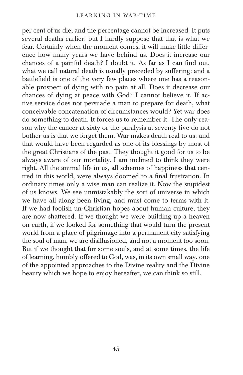per cent of us die, and the percentage cannot be increased. It puts several deaths earlier: but I hardly suppose that that is what we fear. Certainly when the moment comes, it will make little difference how many years we have behind us. Does it increase our chances of a painful death? I doubt it. As far as I can find out, what we call natural death is usually preceded by suffering: and a battlefield is one of the very few places where one has a reasonable prospect of dying with no pain at all. Does it decrease our chances of dying at peace with God? I cannot believe it. If active service does not persuade a man to prepare for death, what conceivable concatenation of circumstances would? Yet war does do something to death. It forces us to remember it. The only reason why the cancer at sixty or the paralysis at seventy-five do not bother us is that we forget them. War makes death real to us: and that would have been regarded as one of its blessings by most of the great Christians of the past. They thought it good for us to be always aware of our mortality. I am inclined to think they were right. All the animal life in us, all schemes of happiness that centred in this world, were always doomed to a final frustration. In ordinary times only a wise man can realize it. Now the stupidest of us knows. We see unmistakably the sort of universe in which we have all along been living, and must come to terms with it. If we had foolish un-Christian hopes about human culture, they are now shattered. If we thought we were building up a heaven on earth, if we looked for something that would turn the present world from a place of pilgrimage into a permanent city satisfying the soul of man, we are disillusioned, and not a moment too soon. But if we thought that for some souls, and at some times, the life of learning, humbly offered to God, was, in its own small way, one of the appointed approaches to the Divine reality and the Divine beauty which we hope to enjoy hereafter, we can think so still.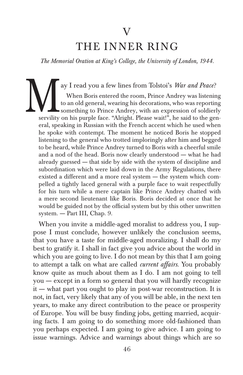## THE INNER RING

*The Memorial Oration at King's College, the University of London, 1944.*

ay I read you a few lines from Tolstoi's *War and Peace*?<br>When Boris entered the room, Prince Andrey was listenir<br>to an old general, wearing his decorations, who was reportir<br>servility on his purple face. "Alright. Please When Boris entered the room, Prince Andrey was listening to an old general, wearing his decorations, who was reporting something to Prince Andrey, with an expression of soldierly servility on his purple face. "Alright. Please wait!", he said to the general, speaking in Russian with the French accent which he used when he spoke with contempt. The moment he noticed Boris he stopped listening to the general who trotted imploringly after him and begged to be heard, while Prince Andrey turned to Boris with a cheerful smile and a nod of the head. Boris now clearly understood ― what he had already guessed ― that side by side with the system of discipline and subordination which were laid down in the Army Regulations, there existed a different and a more real system ― the system which compelled a tightly laced general with a purple face to wait respectfully for his turn while a mere captain like Prince Andrey chatted with a mere second lieutenant like Boris. Boris decided at once that he would be guided not by the official system but by this other unwritten system. ― Part III, Chap. 9.

When you invite a middle-aged moralist to address you, I suppose I must conclude, however unlikely the conclusion seems, that you have a taste for middle-aged moralizing. I shall do my best to gratify it. I shall in fact give you advice about the world in which you are going to live. I do not mean by this that I am going to attempt a talk on what are called *current affairs*. You probably know quite as much about them as I do. I am not going to tell you ― except in a form so general that you will hardly recognize it ― what part you ought to play in post-war reconstruction. It is not, in fact, very likely that any of you will be able, in the next ten years, to make any direct contribution to the peace or prosperity of Europe. You will be busy finding jobs, getting married, acquiring facts. I am going to do something more old-fashioned than you perhaps expected. I am going to give advice. I am going to issue warnings. Advice and warnings about things which are so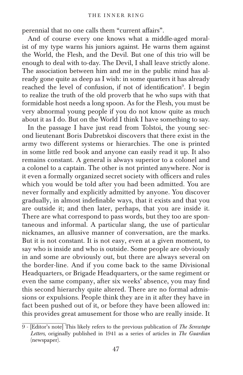perennial that no one calls them "current affairs".

And of course every one knows what a middle-aged moralist of my type warns his juniors against. He warns them against the World, the Flesh, and the Devil. But one of this trio will be enough to deal with to-day. The Devil, I shall leave strictly alone. The association between him and me in the public mind has already gone quite as deep as I wish: in some quarters it has already reached the level of confusion, if not of identification<sup>9</sup>. I begin to realize the truth of the old proverb that he who sups with that formidable host needs a long spoon. As for the Flesh, you must be very abnormal young people if you do not know quite as much about it as I do. But on the World I think I have something to say.

In the passage I have just read from Tolstoi, the young second lieutenant Boris Dubretskoi discovers that there exist in the army two different systems or hierarchies. The one is printed in some little red book and anyone can easily read it up. It also remains constant. A general is always superior to a colonel and a colonel to a captain. The other is not printed anywhere. Nor is it even a formally organized secret society with officers and rules which you would be told after you had been admitted. You are never formally and explicitly admitted by anyone. You discover gradually, in almost indefinable ways, that it exists and that you are outside it; and then later, perhaps, that you are inside it. There are what correspond to pass words, but they too are spontaneous and informal. A particular slang, the use of particular nicknames, an allusive manner of conversation, are the marks. But it is not constant. It is not easy, even at a given moment, to say who is inside and who is outside. Some people are obviously in and some are obviously out, but there are always several on the border-line. And if you come back to the same Divisional Headquarters, or Brigade Headquarters, or the same regiment or even the same company, after six weeks' absence, you may find this second hierarchy quite altered. There are no formal admissions or expulsions. People think they are in it after they have in fact been pushed out of it, or before they have been allowed in: this provides great amusement for those who are really inside. It

<sup>9 - [</sup>Editor's note] This likely refers to the previous publication of *The Screwtape Letters*, originally published in 1941 as a series of articles in *The Guardian* (newspaper).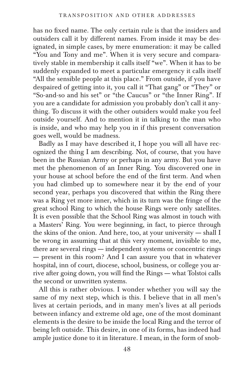has no fixed name. The only certain rule is that the insiders and outsiders call it by different names. From inside it may be designated, in simple cases, by mere enumeration: it may be called "You and Tony and me". When it is very secure and comparatively stable in membership it calls itself "we". When it has to be suddenly expanded to meet a particular emergency it calls itself "All the sensible people at this place." From outside, if you have despaired of getting into it, you call it "That gang" or "They" or "So-and-so and his set" or "the Caucus" or "the Inner Ring". If you are a candidate for admission you probably don't call it anything. To discuss it with the other outsiders would make you feel outside yourself. And to mention it in talking to the man who is inside, and who may help you in if this present conversation goes well, would be madness.

Badly as I may have described it, I hope you will all have recognized the thing I am describing. Not, of course, that you have been in the Russian Army or perhaps in any army. But you have met the phenomenon of an Inner Ring. You discovered one in your house at school before the end of the first term. And when you had climbed up to somewhere near it by the end of your second year, perhaps you discovered that within the Ring there was a Ring yet more inner, which in its turn was the fringe of the great school Ring to which the house Rings were only satellites. It is even possible that the School Ring was almost in touch with a Masters' Ring. You were beginning, in fact, to pierce through the skins of the onion. And here, too, at your university ― shall I be wrong in assuming that at this very moment, invisible to me, there are several rings ― independent systems or concentric rings ― present in this room? And I can assure you that in whatever hospital, inn of court, diocese, school, business, or college you arrive after going down, you will find the Rings ― what Tolstoi calls the second or unwritten systems.

All this is rather obvious. I wonder whether you will say the same of my next step, which is this. I believe that in all men's lives at certain periods, and in many men's lives at all periods between infancy and extreme old age, one of the most dominant elements is the desire to be inside the local Ring and the terror of being left outside. This desire, in one of its forms, has indeed had ample justice done to it in literature. I mean, in the form of snob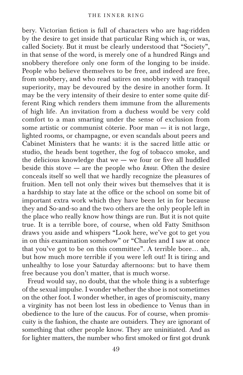bery. Victorian fiction is full of characters who are hag-ridden by the desire to get inside that particular Ring which is, or was, called Society. But it must be clearly understood that "Society", in that sense of the word, is merely one of a hundred Rings and snobbery therefore only one form of the longing to be inside. People who believe themselves to be free, and indeed are free, from snobbery, and who read satires on snobbery with tranquil superiority, may be devoured by the desire in another form. It may be the very intensity of their desire to enter some quite different Ring which renders them immune from the allurements of high life. An invitation from a duchess would be very cold comfort to a man smarting under the sense of exclusion from some artistic or communist côterie. Poor man ― it is not large, lighted rooms, or champagne, or even scandals about peers and Cabinet Ministers that he wants: it is the sacred little attic or studio, the heads bent together, the fog of tobacco smoke, and the delicious knowledge that we — we four or five all huddled beside this stove ― are the people who *know*. Often the desire conceals itself so well that we hardly recognize the pleasures of fruition. Men tell not only their wives but themselves that it is a hardship to stay late at the office or the school on some bit of important extra work which they have been let in for because they and So-and-so and the two others are the only people left in the place who really know how things are run. But it is not quite true. It is a terrible bore, of course, when old Fatty Smithson draws you aside and whispers "Look here, we've got to get you in on this examination somehow" or "Charles and I saw at once that you've got to be on this committee". A terrible bore… ah, but how much more terrible if you were left out! It is tiring and unhealthy to lose your Saturday afternoons: but to have them free because you don't matter, that is much worse.

Freud would say, no doubt, that the whole thing is a subterfuge of the sexual impulse. I wonder whether the shoe is not sometimes on the other foot. I wonder whether, in ages of promiscuity, many a virginity has not been lost less in obedience to Venus than in obedience to the lure of the caucus. For of course, when promiscuity is the fashion, the chaste are outsiders. They are ignorant of something that other people know. They are uninitiated. And as for lighter matters, the number who first smoked or first got drunk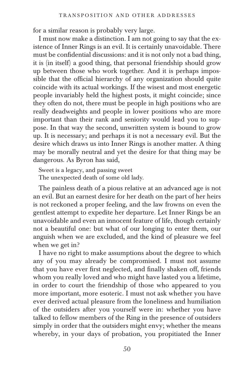for a similar reason is probably very large.

I must now make a distinction. I am not going to say that the existence of Inner Rings is an evil. It is certainly unavoidable. There must be confidential discussions: and it is not only not a bad thing, it is (in itself) a good thing, that personal friendship should grow up between those who work together. And it is perhaps impossible that the official hierarchy of any organization should quite coincide with its actual workings. If the wisest and most energetic people invariably held the highest posts, it might coincide; since they often do not, there must be people in high positions who are really deadweights and people in lower positions who are more important than their rank and seniority would lead you to suppose. In that way the second, unwritten system is bound to grow up. It is necessary; and perhaps it is not a necessary evil. But the desire which draws us into Inner Rings is another matter. A thing may be morally neutral and yet the desire for that thing may be dangerous. As Byron has said,

Sweet is a legacy, and passing sweet The unexpected death of some old lady.

The painless death of a pious relative at an advanced age is not an evil. But an earnest desire for her death on the part of her heirs is not reckoned a proper feeling, and the law frowns on even the gentlest attempt to expedite her departure. Let Inner Rings be an unavoidable and even an innocent feature of life, though certainly not a beautiful one: but what of our longing to enter them, our anguish when we are excluded, and the kind of pleasure we feel when we get in?

I have no right to make assumptions about the degree to which any of you may already be compromised. I must not assume that you have ever first neglected, and finally shaken off, friends whom you really loved and who might have lasted you a lifetime, in order to court the friendship of those who appeared to you more important, more esoteric. I must not ask whether you have ever derived actual pleasure from the loneliness and humiliation of the outsiders after you yourself were in: whether you have talked to fellow members of the Ring in the presence of outsiders simply in order that the outsiders might envy; whether the means whereby, in your days of probation, you propitiated the Inner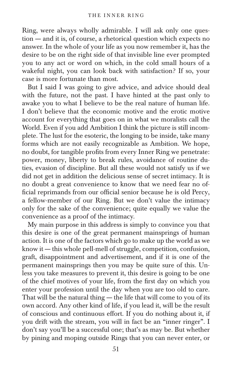Ring, were always wholly admirable. I will ask only one question ― and it is, of course, a rhetorical question which expects no answer. In the whole of your life as you now remember it, has the desire to be on the right side of that invisible line ever prompted you to any act or word on which, in the cold small hours of a wakeful night, you can look back with satisfaction? If so, your case is more fortunate than most.

But I said I was going to give advice, and advice should deal with the future, not the past. I have hinted at the past only to awake you to what I believe to be the real nature of human life. I don't believe that the economic motive and the erotic motive account for everything that goes on in what we moralists call the World. Even if you add Ambition I think the picture is still incomplete. The lust for the esoteric, the longing to be inside, take many forms which are not easily recognizable as Ambition. We hope, no doubt, for tangible profits from every Inner Ring we penetrate: power, money, liberty to break rules, avoidance of routine duties, evasion of discipline. But all these would not satisfy us if we did not get in addition the delicious sense of secret intimacy. It is no doubt a great convenience to know that we need fear no official reprimands from our official senior because he is old Percy, a fellow-member of our Ring. But we don't value the intimacy only for the sake of the convenience; quite equally we value the convenience as a proof of the intimacy.

My main purpose in this address is simply to convince you that this desire is one of the great permanent mainsprings of human action. It is one of the factors which go to make up the world as we know it ― this whole pell-mell of struggle, competition, confusion, graft, disappointment and advertisement, and if it is one of the permanent mainsprings then you may be quite sure of this. Unless you take measures to prevent it, this desire is going to be one of the chief motives of your life, from the first day on which you enter your profession until the day when you are too old to care. That will be the natural thing ― the life that will come to you of its own accord. Any other kind of life, if you lead it, will be the result of conscious and continuous effort. If you do nothing about it, if you drift with the stream, you will in fact be an "inner ringer". I don't say you'll be a successful one; that's as may be. But whether by pining and moping outside Rings that you can never enter, or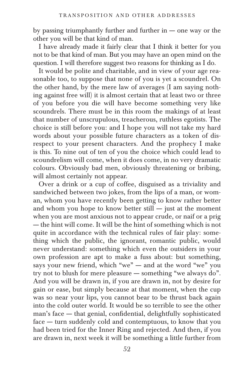by passing triumphantly further and further in ― one way or the other you will be that kind of man.

I have already made it fairly clear that I think it better for you not to be that kind of man. But you may have an open mind on the question. I will therefore suggest two reasons for thinking as I do.

It would be polite and charitable, and in view of your age reasonable too, to suppose that none of you is yet a scoundrel. On the other hand, by the mere law of averages (I am saying nothing against free will) it is almost certain that at least two or three of you before you die will have become something very like scoundrels. There must be in this room the makings of at least that number of unscrupulous, treacherous, ruthless egotists. The choice is still before you: and I hope you will not take my hard words about your possible future characters as a token of disrespect to your present characters. And the prophecy I make is this. To nine out of ten of you the choice which could lead to scoundrelism will come, when it does come, in no very dramatic colours. Obviously bad men, obviously threatening or bribing, will almost certainly not appear.

Over a drink or a cup of coffee, disguised as a triviality and sandwiched between two jokes, from the lips of a man, or woman, whom you have recently been getting to know rather better and whom you hope to know better still ― just at the moment when you are most anxious not to appear crude, or naif or a prig ― the hint will come. It will be the hint of something which is not quite in accordance with the technical rules of fair play: something which the public, the ignorant, romantic public, would never understand: something which even the outsiders in your own profession are apt to make a fuss about: but something, says your new friend, which "we" ― and at the word "we" you try not to blush for mere pleasure ― something "we always do". And you will be drawn in, if you are drawn in, not by desire for gain or ease, but simply because at that moment, when the cup was so near your lips, you cannot bear to be thrust back again into the cold outer world. It would be so terrible to see the other man's face ― that genial, confidential, delightfully sophisticated face ― turn suddenly cold and contemptuous, to know that you had been tried for the Inner Ring and rejected. And then, if you are drawn in, next week it will be something a little further from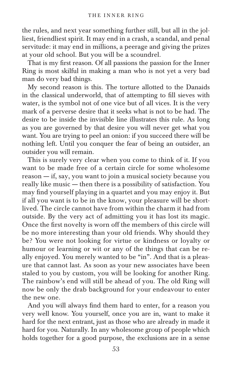the rules, and next year something further still, but all in the jolliest, friendliest spirit. It may end in a crash, a scandal, and penal servitude: it may end in millions, a peerage and giving the prizes at your old school. But you will be a scoundrel.

That is my first reason. Of all passions the passion for the Inner Ring is most skilful in making a man who is not yet a very bad man do very bad things.

My second reason is this. The torture allotted to the Danaids in the classical underworld, that of attempting to fill sieves with water, is the symbol not of one vice but of all vices. It is the very mark of a perverse desire that it seeks what is not to be had. The desire to be inside the invisible line illustrates this rule. As long as you are governed by that desire you will never get what you want. You are trying to peel an onion: if you succeed there will be nothing left. Until you conquer the fear of being an outsider, an outsider you will remain.

This is surely very clear when you come to think of it. If you want to be made free of a certain circle for some wholesome reason ― if, say, you want to join a musical society because you really like music ― then there is a possibility of satisfaction. You may find yourself playing in a quartet and you may enjoy it. But if all you want is to be in the know, your pleasure will be shortlived. The circle cannot have from within the charm it had from outside. By the very act of admitting you it has lost its magic. Once the first novelty is worn off the members of this circle will be no more interesting than your old friends. Why should they be? You were not looking for virtue or kindness or loyalty or humour or learning or wit or any of the things that can be really enjoyed. You merely wanted to be "in". And that is a pleasure that cannot last. As soon as your new associates have been staled to you by custom, you will be looking for another Ring. The rainbow's end will still be ahead of you. The old Ring will now be only the drab background for your endeavour to enter the new one.

And you will always find them hard to enter, for a reason you very well know. You yourself, once you are in, want to make it hard for the next entrant, just as those who are already in made it hard for you. Naturally. In any wholesome group of people which holds together for a good purpose, the exclusions are in a sense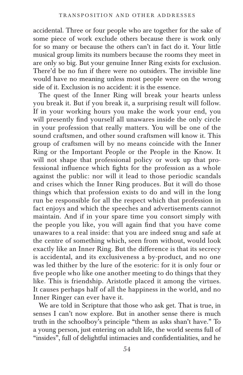accidental. Three or four people who are together for the sake of some piece of work exclude others because there is work only for so many or because the others can't in fact do it. Your little musical group limits its numbers because the rooms they meet in are only so big. But your genuine Inner Ring exists for exclusion. There'd be no fun if there were no outsiders. The invisible line would have no meaning unless most people were on the wrong side of it. Exclusion is no accident: it is the essence.

The quest of the Inner Ring will break your hearts unless you break it. But if you break it, a surprising result will follow. If in your working hours you make the work your end, you will presently find yourself all unawares inside the only circle in your profession that really matters. You will be one of the sound craftsmen, and other sound craftsmen will know it. This group of craftsmen will by no means coincide with the Inner Ring or the Important People or the People in the Know. It will not shape that professional policy or work up that professional influence which fights for the profession as a whole against the public: nor will it lead to those periodic scandals and crises which the Inner Ring produces. But it will do those things which that profession exists to do and will in the long run be responsible for all the respect which that profession in fact enjoys and which the speeches and advertisements cannot maintain. And if in your spare time you consort simply with the people you like, you will again find that you have come unawares to a real inside: that you are indeed snug and safe at the centre of something which, seen from without, would look exactly like an Inner Ring. But the difference is that its secrecy is accidental, and its exclusiveness a by-product, and no one was led thither by the lure of the esoteric: for it is only four or five people who like one another meeting to do things that they like. This is friendship. Aristotle placed it among the virtues. It causes perhaps half of all the happiness in the world, and no Inner Ringer can ever have it.

We are told in Scripture that those who ask get. That is true, in senses I can't now explore. But in another sense there is much truth in the schoolboy's principle "them as asks shan't have." To a young person, just entering on adult life, the world seems full of "insides", full of delightful intimacies and confidentialities, and he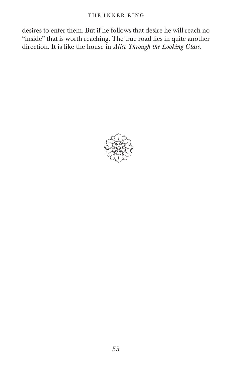desires to enter them. But if he follows that desire he will reach no "inside" that is worth reaching. The true road lies in quite another direction. It is like the house in *Alice Through the Looking Glass*.

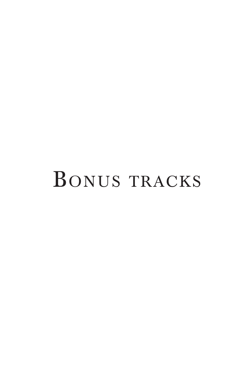## BONUS TRACKS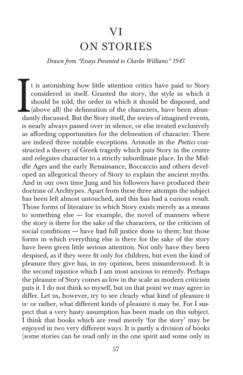## VI ON STORIES

*Drawn from "Essays Presented to Charles Williams" 1947.*

t is astonishing how little attention critics have paid to Story<br>considered in itself. Granted the story, the style in which it<br>should be told, the order in which it should be disposed, and<br>(above all) the delineation of t t is astonishing how little attention critics have paid to Story considered in itself. Granted the story, the style in which it should be told, the order in which it should be disposed, and  $\Box$  (above all) the delineation of the characters, have been abunis nearly always passed over in silence, or else treated exclusively as affording opportunities for the delineation of character. There are indeed three notable exceptions. Aristotle in the *Poetics* constructed a theory of Greek tragedy which puts Story in the centre and relegates character to a strictly subordinate place. In the Middle Ages and the early Renaissance, Boccaccio and others developed an allegorical theory of Story to explain the ancient myths. And in our own time Jung and his followers have produced their doctrine of Archtypes. Apart from these three attempts the subject has been left almost untouched, and this has had a curious result. Those forms of literature in which Story exists merely as a means to something else ― for example, the novel of manners where the story is there for the sake of the characters, or the criticism of social conditions ― have had full justice done to them; but those forms in which everything else is there for the sake of the story have been given little serious attention. Not only have they been despised, as if they were fit only for children, but even the kind of pleasure they give has, in my opinion, been misunderstood. It is the second injustice which I am most anxious to remedy. Perhaps the pleasure of Story comes as low in the scale as modern criticism puts it. I do not think so myself, but on that point we may agree to differ. Let us, however, try to see clearly what kind of pleasure it is: or rather, what different kinds of pleasure it may be. For I suspect that a very hasty assumption has been made on this subject. I think that books which are read merely 'for the story' may be enjoyed in two very different ways. It is partly a division of books (some stories can be read only in the one spirit and some only in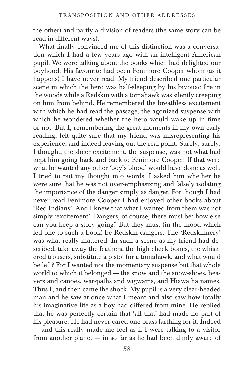the other) and partly a division of readers (the same story can be read in different ways).

What finally convinced me of this distinction was a conversation which I had a few years ago with an intelligent American pupil. We were talking about the books which had delighted our boyhood. His favourite had been Fenimore Cooper whom (as it happens) I have never read. My friend described one particular scene in which the hero was half-sleeping by his bivouac fire in the woods while a Redskin with a tomahawk was silently creeping on him from behind. He remembered the breathless excitement with which he had read the passage, the agonized suspense with which he wondered whether the hero would wake up in time or not. But I, remembering the great moments in my own early reading, felt quite sure that my friend was misrepresenting his experience, and indeed leaving out the real point. Surely, surely, I thought, the sheer excitement, the suspense, was not what had kept him going back and back to Fenimore Cooper. If that were what he wanted any other 'boy's blood' would have done as well. I tried to put my thought into words. I asked him whether he were sure that he was not over-emphasizing and falsely isolating the importance of the danger simply as danger. For though I had never read Fenimore Cooper I had enjoyed other books about 'Red Indians'. And I knew that what I wanted from them was not simply 'excitement'. Dangers, of course, there must be: how else can you keep a story going? But they must (in the mood which led one to such a book) be Redskin dangers. The 'Redskinnery' was what really mattered. In such a scene as my friend had described, take away the feathers, the high cheek-bones, the whiskered trousers, substitute a pistol for a tomahawk, and what would be left? For I wanted not the momentary suspense but that whole world to which it belonged ― the snow and the snow-shoes, beavers and canoes, war-paths and wigwams, and Hiawatha names. Thus I; and then came the shock. My pupil is a very clear-headed man and he saw at once what I meant and also saw how totally his imaginative life as a boy had differed from mine. He replied that he was perfectly certain that 'all that' had made no part of his pleasure. He had never cared one brass farthing for it. Indeed ― and this really made me feel as if I were talking to a visitor from another planet ― in so far as he had been dimly aware of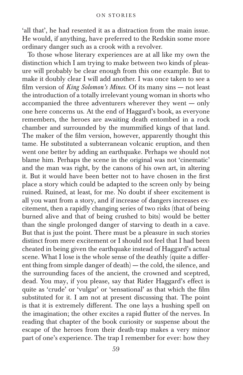'all that', he had resented it as a distraction from the main issue. He would, if anything, have preferred to the Redskin some more ordinary danger such as a crook with a revolver.

To those whose literary experiences are at all like my own the distinction which I am trying to make between two kinds of pleasure will probably be clear enough from this one example. But to make it doubly clear I will add another. I was once taken to see a film version of *King Solomon's Mines*. Of its many sins ― not least the introduction of a totally irrelevant young woman in shorts who accompanied the three adventurers wherever they went ― only one here concerns us. At the end of Haggard's book, as everyone remembers, the heroes are awaiting death entombed in a rock chamber and surrounded by the mummified kings of that land. The maker of the film version, however, apparently thought this tame. He substituted a subterranean volcanic eruption, and then went one better by adding an earthquake. Perhaps we should not blame him. Perhaps the scene in the original was not 'cinematic' and the man was right, by the canons of his own art, in altering it. But it would have been better not to have chosen in the first place a story which could be adapted to the screen only by being ruined. Ruined, at least, for me. No doubt if sheer excitement is all you want from a story, and if increase of dangers increases excitement, then a rapidly changing series of two risks (that of being burned alive and that of being crushed to bits) would be better than the single prolonged danger of starving to death in a cave. But that is just the point. There must be a pleasure in such stories distinct from mere excitement or I should not feel that I had been cheated in being given the earthquake instead of Haggard's actual scene. What I lose is the whole sense of the deathly (quite a different thing from simple danger of death) ― the cold, the silence, and the surrounding faces of the ancient, the crowned and sceptred, dead. You may, if you please, say that Rider Haggard's effect is quite as 'crude' or 'vulgar' or 'sensational' as that which the film substituted for it. I am not at present discussing that. The point is that it is extremely different. The one lays a hushing spell on the imagination; the other excites a rapid flutter of the nerves. In reading that chapter of the book curiosity or suspense about the escape of the heroes from their death-trap makes a very minor part of one's experience. The trap I remember for ever: how they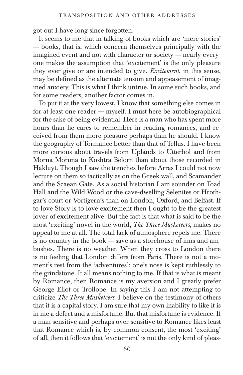got out I have long since forgotten.

It seems to me that in talking of books which are 'mere stories' ― books, that is, which concern themselves principally with the imagined event and not with character or society ― nearly everyone makes the assumption that 'excitement' is the only pleasure they ever give or are intended to give. *Excitement*, in this sense, may be defined as the alternate tension and appeasement of imagined anxiety. This is what I think untrue. In some such books, and for some readers, another factor comes in.

To put it at the very lowest, I know that something else comes in for at least one reader ― myself. I must here be autobiographical for the sake of being evidential. Here is a man who has spent more hours than he cares to remember in reading romances, and received from them more pleasure perhaps than he should. I know the geography of Tormance better than that of Tellus. I have been more curious about travels from Uplands to Utterbol and from Morna Moruna to Koshtra Belorn than about those recorded in Hakluyt. Though I saw the trenches before Arras I could not now lecture on them so tactically as on the Greek wall, and Scamander and the Scaean Gate. As a social historian I am sounder on Toad Hall and the Wild Wood or the cave-dwelling Selenites or Hrothgar's court or Vortigern's than on London, Oxford, and Belfast. If to love Story is to love excitement then I ought to be the greatest lover of excitement alive. But the fact is that what is said to be the most 'exciting' novel in the world, *The Three Musketeers*, makes no appeal to me at all. The total lack of atmosphere repels me. There is no country in the book ― save as a storehouse of inns and ambushes. There is no weather. When they cross to London there is no feeling that London differs from Paris. There is not a moment's rest from the 'adventures': one's nose is kept ruthlessly to the grindstone. It all means nothing to me. If that is what is meant by Romance, then Romance is my aversion and I greatly prefer George Eliot or Trollope. In saying this I am not attempting to criticize *The Three Musketeers*. I believe on the testimony of others that it is a capital story. I am sure that my own inability to like it is in me a defect and a misfortune. But that misfortune is evidence. If a man sensitive and perhaps over-sensitive to Romance likes least that Romance which is, by common consent, the most 'exciting' of all, then it follows that 'excitement' is not the only kind of pleas-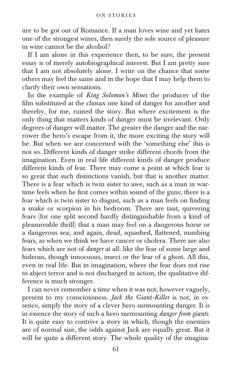ure to be got out of Romance. If a man loves wine and yet hates one of the strongest wines, then surely the sole source of pleasure in wine cannot be the alcohol?

If I am alone in this experience then, to be sure, the present essay is of merely autobiographical interest. But I am pretty sure that I am not absolutely alone. I write on the chance that some others may feel the same and in the hope that I may help them to clarify their own sensations.

In the example of *King Solomon's Mines* the producer of the film substituted at the climax one kind of danger for another and thereby, for me, ruined the story. But where excitement is the only thing that matters kinds of danger must be irrelevant. Only degrees of danger will matter. The greater the danger and the narrower the hero's escape from it, the more exciting the story will be. But when we are concerned with the 'something else' this is not so. Different kinds of danger strike different chords from the imagination. Even in real life different kinds of danger produce different kinds of fear. There may come a point at which fear is so great that such distinctions vanish, but that is another matter. There is a fear which is twin sister to awe, such as a man in wartime feels when he first comes within sound of the guns; there is a fear which is twin sister to disgust, such as a man feels on finding a snake or scorpion in his bedroom. There are taut, quivering fears (for one split second hardly distinguishable from a kind of pleasureable thrill) that a man may feel on a dangerous horse or a dangerous sea; and again, dead, squashed, flattened, numbing fears, as when we think we have cancer or cholera. There are also fears which are not of *danger* at all: like the fear of some large and hideous, though innocuous, insect or the fear of a ghost. All this, even in real life. But in imagination, where the fear does not rise to abject terror and is not discharged in action, the qualitative difference is much stronger.

I can never remember a time when it was not, however vaguely, present to my consciousness. *Jack the Giant-Killer* is not, in essence, simply the story of a clever hero surmounting danger. It is in essence the story of such a hero surmounting *danger from giants*. It is quite easy to contrive a story in which, though the enemies are of normal size, the odds against Jack are equally great. But it will be quite a different story. The whole quality of the imagina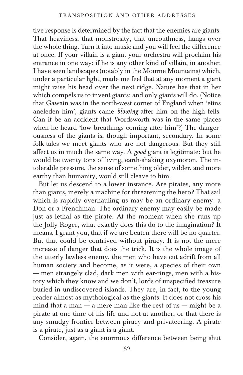tive response is determined by the fact that the enemies are giants. That heaviness, that monstrosity, that uncouthness, hangs over the whole thing. Turn it into music and you will feel the difference at once. If your villain is a giant your orchestra will proclaim his entrance in one way: if he is any other kind of villain, in another. I have seen landscapes (notably in the Mourne Mountains) which, under a particular light, made me feel that at any moment a giant might raise his head over the next ridge. Nature has that in her which compels us to invent giants: and only giants will do. (Notice that Gawain was in the north-west corner of England when 'etins aneleden him', giants came *blowing* after him on the high fells. Can it be an accident that Wordsworth was in the same places when he heard 'low breathings coming after him'?) The dangerousness of the giants is, though important, secondary. In some folk-tales we meet giants who are not dangerous. But they still affect us in much the same way. A *good* giant is legitimate: but he would be twenty tons of living, earth-shaking oxymoron. The intolerable pressure, the sense of something older, wilder, and more earthy than humanity, would still cleave to him.

But let us descend to a lower instance. Are pirates, any more than giants, merely a machine for threatening the hero? That sail which is rapidly overhauling us may be an ordinary enemy: a Don or a Frenchman. The ordinary enemy may easily be made just as lethal as the pirate. At the moment when she runs up the Jolly Roger, what exactly does this do to the imagination? It means, I grant you, that if we are beaten there will be no quarter. But that could be contrived without piracy. It is not the mere increase of danger that does the trick. It is the whole image of the utterly lawless enemy, the men who have cut adrift from all human society and become, as it were, a species of their own ― men strangely clad, dark men with ear-rings, men with a history which they know and we don't, lords of unspecified treasure buried in undiscovered islands. They are, in fact, to the young reader almost as mythological as the giants. It does not cross his mind that a man ― a mere man like the rest of us ― might be a pirate at one time of his life and not at another, or that there is any smudgy frontier between piracy and privateering. A pirate is a pirate, just as a giant is a giant.

Consider, again, the enormous difference between being shut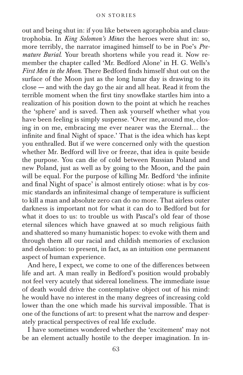out and being shut in: if you like between agoraphobia and claustrophobia. In *King Solomon's Mines* the heroes were shut in: so, more terribly, the narrator imagined himself to be in Poe's *Premature Burial*. Your breath shortens while you read it. Now remember the chapter called 'Mr. Bedford Alone' in H. G. Wells's *First Men in the Moon*. There Bedford finds himself shut out on the surface of the Moon just as the long lunar day is drawing to its close ― and with the day go the air and all heat. Read it from the terrible moment when the first tiny snowflake startles him into a realization of his position down to the point at which he reaches the 'sphere' and is saved. Then ask yourself whether what you have been feeling is simply suspense. 'Over me, around me, closing in on me, embracing me ever nearer was the Eternal… the infinite and final Night of space.' That is the idea which has kept you enthralled. But if we were concerned only with the question whether Mr. Bedford will live or freeze, that idea is quite beside the purpose. You can die of cold between Russian Poland and new Poland, just as well as by going to the Moon, and the pain will be equal. For the purpose of killing Mr. Bedford 'the infinite and final Night of space' is almost entirely otiose: what is by cosmic standards an infinitesimal change of temperature is sufficient to kill a man and absolute zero can do no more. That airless outer darkness is important not for what it can do to Bedford but for what it does to us: to trouble us with Pascal's old fear of those eternal silences which have gnawed at so much religious faith and shattered so many humanistic hopes: to evoke with them and through them all our racial and childish memories of exclusion and desolation: to present, in fact, as an intuition one permanent aspect of human experience.

And here, I expect, we come to one of the differences between life and art. A man really in Bedford's position would probably not feel very acutely that sidereal loneliness. The immediate issue of death would drive the contemplative object out of his mind: he would have no interest in the many degrees of increasing cold lower than the one which made his survival impossible. That is one of the functions of art: to present what the narrow and desperately practical perspectives of real life exclude.

I have sometimes wondered whether the 'excitement' may not be an element actually hostile to the deeper imagination. In in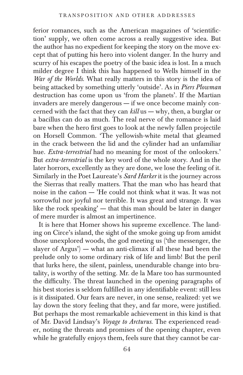ferior romances, such as the American magazines of 'scientifiction' supply, we often come across a really suggestive idea. But the author has no expedient for keeping the story on the move except that of putting his hero into violent danger. In the hurry and scurry of his escapes the poetry of the basic idea is lost. In a much milder degree I think this has happened to Wells himself in the *War of the Worlds*. What really matters in this story is the idea of being attacked by something utterly 'outside'. As in *Piers Plowman* destruction has come upon us 'from the planets'. If the Martian invaders are merely dangerous ― if we once become mainly concerned with the fact that they can *kill* us ― why, then, a burglar or a bacillus can do as much. The real nerve of the romance is laid bare when the hero first goes to look at the newly fallen projectile on Horsell Common. 'The yellowish-white metal that gleamed in the crack between the lid and the cylinder had an unfamiliar hue. *Extra-terrestrial* had no meaning for most of the onlookers.' But *extra-terrestrial* is the key word of the whole story. And in the later horrors, excellently as they are done, we lose the feeling of it. Similarly in the Poet Laureate's *Sard Harker* it is the journey across the Sierras that really matters. That the man who has heard that noise in the cañon ― 'He could not think what it was. It was not sorrowful nor joyful nor terrible. It was great and strange. It was like the rock speaking' ― that this man should be later in danger of mere murder is almost an impertinence.

It is here that Homer shows his supreme excellence. The landing on Circe's island, the sight of the smoke going up from amidst those unexplored woods, the god meeting us ('the messenger, the slayer of Argus') ― what an anti-climax if all these had been the prelude only to some ordinary risk of life and limb! But the peril that lurks here, the silent, painless, unendurable change into brutality, is worthy of the setting. Mr. de la Mare too has surmounted the difficulty. The threat launched in the opening paragraphs of his best stories is seldom fulfilled in any identifiable event: still less is it dissipated. Our fears are never, in one sense, realized: yet we lay down the story feeling that they, and far more, were justified. But perhaps the most remarkable achievement in this kind is that of Mr. David Lindsay's *Voyage to Arcturus*. The experienced reader, noting the threats and promises of the opening chapter, even while he gratefully enjoys them, feels sure that they cannot be car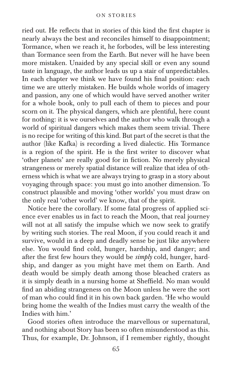ried out. He reflects that in stories of this kind the first chapter is nearly always the best and reconciles himself to disappointment; Tormance, when we reach it, he forbodes, will be less interesting than Tormance seen from the Earth. But never will he have been more mistaken. Unaided by any special skill or even any sound taste in language, the author leads us up a stair of unpredictables. In each chapter we think we have found his final position: each time we are utterly mistaken. He builds whole worlds of imagery and passion, any one of which would have served another writer for a whole book, only to pull each of them to pieces and pour scorn on it. The physical dangers, which are plentiful, here count for nothing: it is we ourselves and the author who walk through a world of spiritual dangers which makes them seem trivial. There is no recipe for writing of this kind. But part of the secret is that the author (like Kafka) is recording a lived dialectic. His Tormance is a region of the spirit. He is the first writer to discover what 'other planets' are really good for in fiction. No merely physical strangeness or merely spatial distance will realize that idea of otherness which is what we are always trying to grasp in a story about voyaging through space: you must go into another dimension. To construct plausible and moving 'other worlds' you must draw on the only real 'other world' we know, that of the spirit.

Notice here the corollary. If some fatal progress of applied science ever enables us in fact to reach the Moon, that real journey will not at all satisfy the impulse which we now seek to gratify by writing such stories. The real Moon, if you could reach it and survive, would in a deep and deadly sense be just like anywhere else. You would find cold, hunger, hardship, and danger; and after the first few hours they would be *simply* cold, hunger, hardship, and danger as you might have met them on Earth. And death would be simply death among those bleached craters as it is simply death in a nursing home at Sheffield. No man would find an abiding strangeness on the Moon unless he were the sort of man who could find it in his own back garden. 'He who would bring home the wealth of the Indies must carry the wealth of the Indies with him.'

Good stories often introduce the marvellous or supernatural, and nothing about Story has been so often misunderstood as this. Thus, for example, Dr. Johnson, if I remember rightly, thought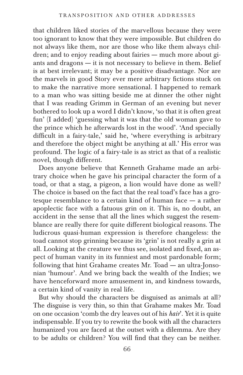that children liked stories of the marvellous because they were too ignorant to know that they were impossible. But children do not always like them, nor are those who like them always children; and to enjoy reading about fairies ― much more about giants and dragons ― it is not necessary to believe in them. Belief is at best irrelevant; it may be a positive disadvantage. Nor are the marvels in good Story ever mere arbitrary fictions stuck on to make the narrative more sensational. I happened to remark to a man who was sitting beside me at dinner the other night that I was reading Grimm in German of an evening but never bothered to look up a word I didn't know, 'so that it is often great fun' (I added) 'guessing what it was that the old woman gave to the prince which he afterwards lost in the wood'. 'And specially difficult in a fairy-tale,' said he, 'where everything is arbitrary and therefore the object might be anything at all.' His error was profound. The logic of a fairy-tale is as strict as that of a realistic novel, though different.

Does anyone believe that Kenneth Grahame made an arbitrary choice when he gave his principal character the form of a toad, or that a stag, a pigeon, a lion would have done as well? The choice is based on the fact that the real toad's face has a grotesque resemblance to a certain kind of human face ― a rather apoplectic face with a fatuous grin on it. This is, no doubt, an accident in the sense that all the lines which suggest the resemblance are really there for quite different biological reasons. The ludicrous quasi-human expression is therefore changeless: the toad cannot stop grinning because its 'grin' is not really a grin at all. Looking at the creature we thus see, isolated and fixed, an aspect of human vanity in its funniest and most pardonable form; following that hint Grahame creates Mr. Toad ― an ultra-Jonsonian 'humour'. And we bring back the wealth of the Indies; we have henceforward more amusement in, and kindness towards, a certain kind of vanity in real life.

But why should the characters be disguised as animals at all? The disguise is very thin, so thin that Grahame makes Mr. Toad on one occasion 'comb the dry leaves out of his *hair*'. Yet it is quite indispensable. If you try to rewrite the book with all the characters humanized you are faced at the outset with a dilemma. Are they to be adults or children? You will find that they can be neither.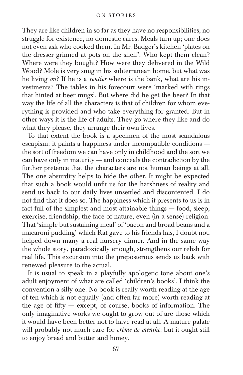They are like children in so far as they have no responsibilities, no struggle for existence, no domestic cares. Meals turn up; one does not even ask who cooked them. In Mr. Badger's kitchen 'plates on the dresser grinned at pots on the shelf'. Who kept them clean? Where were they bought? How were they delivered in the Wild Wood? Mole is very snug in his subterranean home, but what was he living *on*? If he is a *rentier* where is the bank, what are his investments? The tables in his forecourt were 'marked with rings that hinted at beer mugs'. But where did he get the beer? In that way the life of all the characters is that of children for whom everything is provided and who take everything for granted. But in other ways it is the life of adults. They go where they like and do what they please, they arrange their own lives.

To that extent the book is a specimen of the most scandalous escapism: it paints a happiness under incompatible conditions ― the sort of freedom we can have only in childhood and the sort we can have only in maturity ― and conceals the contradiction by the further pretence that the characters are not human beings at all. The one absurdity helps to hide the other. It might be expected that such a book would unfit us for the harshness of reality and send us back to our daily lives unsettled and discontented. I do not find that it does so. The happiness which it presents to us is in fact full of the simplest and most attainable things ― food, sleep, exercise, friendship, the face of nature, even (in a sense) religion. That 'simple but sustaining meal' of 'bacon and broad beans and a macaroni pudding' which Rat gave to his friends has, I doubt not, helped down many a real nursery dinner. And in the same way the whole story, paradoxically enough, strengthens our relish for real life. This excursion into the preposterous sends us back with renewed pleasure to the actual.

It is usual to speak in a playfully apologetic tone about one's adult enjoyment of what are called 'children's books'. I think the convention a silly one. No book is really worth reading at the age of ten which is not equally (and often far more) worth reading at the age of fifty ― except, of course, books of information. The only imaginative works we ought to grow out of are those which it would have been better not to have read at all. A mature palate will probably not much care for *crême de menthe*: but it ought still to enjoy bread and butter and honey.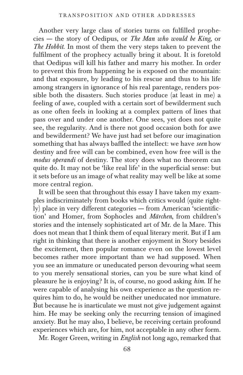Another very large class of stories turns on fulfilled prophecies ― the story of Oedipus, or *The Man who would be King*, or *The Hobbit*. In most of them the very steps taken to prevent the fulfilment of the prophecy actually bring it about. It is foretold that Oedipus will kill his father and marry his mother. In order to prevent this from happening he is exposed on the mountain: and that exposure, by leading to his rescue and thus to his life among strangers in ignorance of his real parentage, renders possible both the disasters. Such stories produce (at least in me) a feeling of awe, coupled with a certain sort of bewilderment such as one often feels in looking at a complex pattern of lines that pass over and under one another. One sees, yet does not quite see, the regularity. And is there not good occasion both for awe and bewilderment? We have just had set before our imagination something that has always baffled the intellect: we have *seen* how destiny and free will can be combined, even how free will is the *modus operandi* of destiny. The story does what no theorem can quite do. It may not be 'like real life' in the superficial sense: but it sets before us an image of what reality may well be like at some more central region.

It will be seen that throughout this essay I have taken my examples indiscriminately from books which critics would (quite rightly) place in very different categories ― from American 'scientifiction' and Homer, from Sophocles and *Märchen*, from children's stories and the intensely sophisticated art of Mr. de la Mare. This does not mean that I think them of equal literary merit. But if I am right in thinking that there is another enjoyment in Story besides the excitement, then popular romance even on the lowest level becomes rather more important than we had supposed. When you see an immature or uneducated person devouring what seem to you merely sensational stories, can you be sure what kind of pleasure he is enjoying? It is, of course, no good asking *him*. If he were capable of analysing his own experience as the question requires him to do, he would be neither uneducated nor immature. But because he is inarticulate we must not give judgement against him. He may be seeking only the recurring tension of imagined anxiety. But he may also, I believe, be receiving certain profound experiences which are, for him, not acceptable in any other form.

Mr. Roger Green, writing in *English* not long ago, remarked that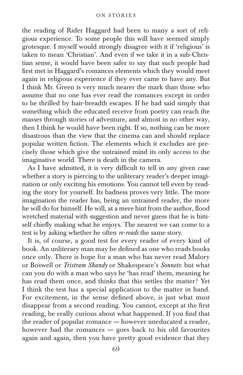the reading of Rider Haggard had been to many a sort of religious experience. To some people this will have seemed simply grotesque. I myself would strongly disagree with it if 'religious' is taken to mean 'Christian'. And even if we take it in a sub-Christian sense, it would have been safer to say that such people had first met in Haggard's romances elements which they would meet again in religious experience if they ever came to have any. But I think Mr. Green is very much nearer the mark than those who assume that no one has ever read the romances except in order to be thrilled by hair-breadth escapes. If he had said simply that something which the educated receive from poetry can reach the masses through stories of adventure, and almost in no other way, then I think he would have been right. If so, nothing can be more disastrous than the view that the cinema can and should replace popular written fiction. The elements which it excludes are precisely those which give the untrained mind its only access to the imaginative world. There is death in the camera.

As I have admitted, it is very difficult to tell in any given case whether a story is piercing to the unliterary reader's deeper imagination or only exciting his emotions. You cannot tell even by reading the story for yourself. Its badness proves very little. The more imagination the reader has, being an untrained reader, the more he will do for himself. He will, at a mere hint from the author, flood wretched material with suggestion and never guess that he is himself chiefly making what he enjoys. The nearest we can come to a test is by asking whether he often *re-reads* the same story.

It is, of course, a good test for every reader of every kind of book. An unliterary man may be defined as one who reads books once only. There is hope for a man who has never read Malory or Boswell or *Tristram Shandy* or Shakespeare's *Sonnets*: but what can you do with a man who says he 'has read' them, meaning he has read them once, and thinks that this settles the matter? Yet I think the test has a special application to the matter in hand. For excitement, in the sense defined above, is just what must disappear from a second reading. You cannot, except at the first reading, be really curious about what happened. If you find that the reader of popular romance ― however uneducated a reader, however bad the romances ― goes back to his old favourites again and again, then you have pretty good evidence that they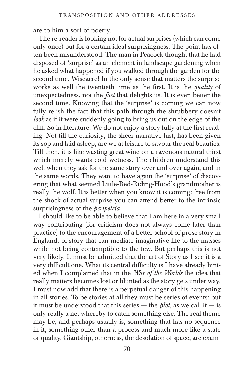are to him a sort of poetry.

The re-reader is looking not for actual surprises (which can come only once) but for a certain ideal surprisingness. The point has often been misunderstood. The man in Peacock thought that he had disposed of 'surprise' as an element in landscape gardening when he asked what happened if you walked through the garden for the second time. Wiseacre! In the only sense that matters the surprise works as well the twentieth time as the first. It is the *quality* of unexpectedness, not the *fact* that delights us. It is even better the second time. Knowing that the 'surprise' is coming we can now fully relish the fact that this path through the shrubbery doesn't *look* as if it were suddenly going to bring us out on the edge of the cliff. So in literature. We do not enjoy a story fully at the first reading. Not till the curiosity, the sheer narrative lust, has been given its sop and laid asleep, are we at leisure to savour the real beauties. Till then, it is like wasting great wine on a ravenous natural thirst which merely wants cold wetness. The children understand this well when they ask for the same story over and over again, and in the same words. They want to have again the 'surprise' of discovering that what seemed Little-Red-Riding-Hood's grandmother is really the wolf. It is better when you know it is coming: free from the shock of actual surprise you can attend better to the intrinsic surprisingness of the *peripeteia*.

I should like to be able to believe that I am here in a very small way contributing (for criticism does not always come later than practice) to the encouragement of a better school of prose story in England: of story that can mediate imaginative life to the masses while not being contemptible to the few. But perhaps this is not very likely. It must be admitted that the art of Story as I see it is a very difficult one. What its central difficulty is I have already hinted when I complained that in the *War of the Worlds* the idea that really matters becomes lost or blunted as the story gets under way. I must now add that there is a perpetual danger of this happening in all stories. To be stories at all they must be series of events: but it must be understood that this series — the *plot*, as we call it — is only really a net whereby to catch something else. The real theme may be, and perhaps usually is, something that has no sequence in it, something other than a process and much more like a state or quality. Giantship, otherness, the desolation of space, are exam-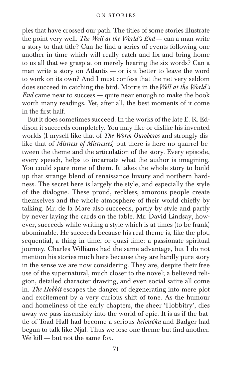#### ON STORIES

ples that have crossed our path. The titles of some stories illustrate the point very well. *The Well at the World's End* ― can a man write a story to that title? Can he find a series of events following one another in time which will really catch and fix and bring home to us all that we grasp at on merely hearing the six words? Can a man write a story on Atlantis — or is it better to leave the word to work on its own? And I must confess that the net very seldom does succeed in catching the bird. Morris in the*Well at the World's End* came near to success ― quite near enough to make the book worth many readings. Yet, after all, the best moments of it come in the first half.

But it does sometimes succeed. In the works of the late E. R. Eddison it succeeds completely. You may like or dislike his invented worlds (I myself like that of *The Worm Ouroboros* and strongly dislike that of *Mistress of Mistresses*) but there is here no quarrel between the theme and the articulation of the story. Every episode, every speech, helps to incarnate what the author is imagining. You could spare none of them. It takes the whole story to build up that strange blend of renaissance luxury and northern hardness. The secret here is largely the style, and especially the style of the dialogue. These proud, reckless, amorous people create themselves and the whole atmosphere of their world chiefly by talking. Mr. de la Mare also succeeds, partly by style and partly by never laying the cards on the table. Mr. David Lindsay, however, succeeds while writing a style which is at times (to be frank) abominable. He succeeds because his real theme is, like the plot, sequential, a thing in time, or quasi-time: a passionate spiritual journey. Charles Williams had the same advantage, but I do not mention his stories much here because they are hardly pure story in the sense we are now considering. They are, despite their free use of the supernatural, much closer to the novel; a believed religion, detailed character drawing, and even social satire all come in. *The Hobbit* escapes the danger of degenerating into mere plot and excitement by a very curious shift of tone. As the humour and homeliness of the early chapters, the sheer 'Hobbitry', dies away we pass insensibly into the world of epic. It is as if the battle of Toad Hall had become a serious *heimsókn* and Badger had begun to talk like Njal. Thus we lose one theme but find another. We kill — but not the same fox.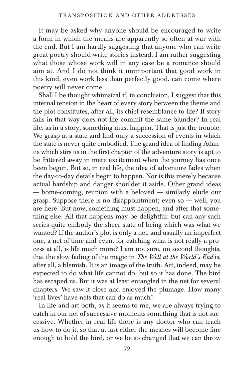It may be asked why anyone should be encouraged to write a form in which the means are apparently so often at war with the end. But I am hardly suggesting that anyone who can write great poetry should write stories instead. I am rather suggesting what those whose work will in any case be a romance should aim at. And I do not think it unimportant that good work in this kind, even work less than perfectly good, can come where poetry will never come.

Shall I be thought whimsical if, in conclusion, I suggest that this internal tension in the heart of every story between the theme and the plot constitutes, after all, its chief resemblance to life? If story fails in that way does not life commit the same blunder? In real life, as in a story, something must happen. That is just the trouble. We grasp at a state and find only a succession of events in which the state is never quite embodied. The grand idea of finding Atlantis which stirs us in the first chapter of the adventure story is apt to be frittered away in mere excitement when the journey has once been begun. But so, in real life, the idea of adventure fades when the day-to-day details begin to happen. Nor is this merely because actual hardship and danger shoulder it aside. Other grand ideas ― home-coming, reunion with a beloved ― similarly elude our grasp. Suppose there is no disappointment; even so ― well, you are here. But now, something must happen, and after that something else. All that happens may be delightful: but can any such series quite embody the sheer state of being which was what we wanted? If the author's plot is only a net, and usually an imperfect one, a net of time and event for catching what is not really a process at all, is life much more? I am not sure, on second thoughts, that the slow fading of the magic in *The Well at the World's End* is, after all, a blemish. It is an image of the truth. Art, indeed, may be expected to do what life cannot do: but so it has done. The bird has escaped us. But it was at least entangled in the net for several chapters. We saw it close and enjoyed the plumage. How many 'real lives' have nets that can do as much?

In life and art both, as it seems to me, we are always trying to catch in our net of successive moments something that is not successive. Whether in real life there is any doctor who can teach us how to do it, so that at last either the meshes will become fine enough to hold the bird, or we be so changed that we can throw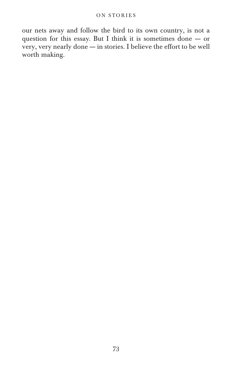our nets away and follow the bird to its own country, is not a question for this essay. But I think it is sometimes done ― or very, very nearly done ― in stories. I believe the effort to be well worth making.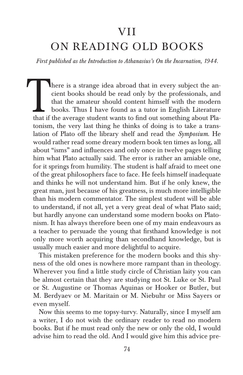#### VII

### ON READING OLD BOOKS

*First published as the Introduction to Athanasius's On the Incarnation, 1944.*

There is a strange idea abroad that in every subject the ancient books should be read only by the professionals, and that the amateur should content himself with the modern books. Thus I have found as a tutor in English Li here is a strange idea abroad that in every subject the ancient books should be read only by the professionals, and that the amateur should content himself with the modern books. Thus I have found as a tutor in English Literature tonism, the very last thing he thinks of doing is to take a translation of Plato off the library shelf and read the *Symposium*. He would rather read some dreary modern book ten times as long, all about "isms" and influences and only once in twelve pages telling him what Plato actually said. The error is rather an amiable one, for it springs from humility. The student is half afraid to meet one of the great philosophers face to face. He feels himself inadequate and thinks he will not understand him. But if he only knew, the great man, just because of his greatness, is much more intelligible than his modern commentator. The simplest student will be able to understand, if not all, yet a very great deal of what Plato said; but hardly anyone can understand some modern books on Platonism. It has always therefore been one of my main endeavours as a teacher to persuade the young that firsthand knowledge is not only more worth acquiring than secondhand knowledge, but is usually much easier and more delightful to acquire.

This mistaken preference for the modern books and this shyness of the old ones is nowhere more rampant than in theology. Wherever you find a little study circle of Christian laity you can be almost certain that they are studying not St. Luke or St. Paul or St. Augustine or Thomas Aquinas or Hooker or Butler, but M. Berdyaev or M. Maritain or M. Niebuhr or Miss Sayers or even myself.

Now this seems to me topsy-turvy. Naturally, since I myself am a writer, I do not wish the ordinary reader to read no modern books. But if he must read only the new or only the old, I would advise him to read the old. And I would give him this advice pre-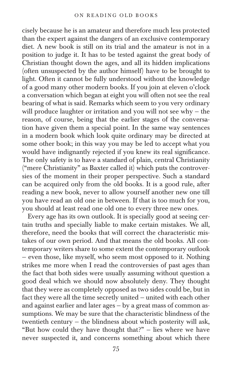cisely because he is an amateur and therefore much less protected than the expert against the dangers of an exclusive contemporary diet. A new book is still on its trial and the amateur is not in a position to judge it. It has to be tested against the great body of Christian thought down the ages, and all its hidden implications (often unsuspected by the author himself) have to be brought to light. Often it cannot be fully understood without the knowledge of a good many other modern books. If you join at eleven o'clock a conversation which began at eight you will often not see the real bearing of what is said. Remarks which seem to you very ordinary will produce laughter or irritation and you will not see why — the reason, of course, being that the earlier stages of the conversation have given them a special point. In the same way sentences in a modern book which look quite ordinary may be directed at some other book; in this way you may be led to accept what you would have indignantly rejected if you knew its real significance. The only safety is to have a standard of plain, central Christianity ("mere Christianity" as Baxter called it) which puts the controversies of the moment in their proper perspective. Such a standard can be acquired only from the old books. It is a good rule, after reading a new book, never to allow yourself another new one till you have read an old one in between. If that is too much for you, you should at least read one old one to every three new ones.

Every age has its own outlook. It is specially good at seeing certain truths and specially liable to make certain mistakes. We all, therefore, need the books that will correct the characteristic mistakes of our own period. And that means the old books. All contemporary writers share to some extent the contemporary outlook — even those, like myself, who seem most opposed to it. Nothing strikes me more when I read the controversies of past ages than the fact that both sides were usually assuming without question a good deal which we should now absolutely deny. They thought that they were as completely opposed as two sides could be, but in fact they were all the time secretly united — united with each other and against earlier and later ages — by a great mass of common assumptions. We may be sure that the characteristic blindness of the twentieth century — the blindness about which posterity will ask, "But how could they have thought that?" — lies where we have never suspected it, and concerns something about which there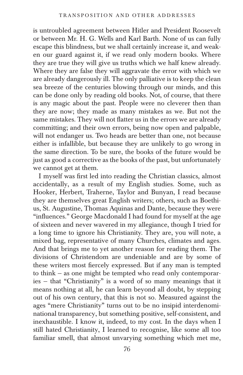is untroubled agreement between Hitler and President Roosevelt or between Mr. H. G. Wells and Karl Barth. None of us can fully escape this blindness, but we shall certainly increase it, and weaken our guard against it, if we read only modern books. Where they are true they will give us truths which we half knew already. Where they are false they will aggravate the error with which we are already dangerously ill. The only palliative is to keep the clean sea breeze of the centuries blowing through our minds, and this can be done only by reading old books. Not, of course, that there is any magic about the past. People were no cleverer then than they are now; they made as many mistakes as we. But not the same mistakes. They will not flatter us in the errors we are already committing; and their own errors, being now open and palpable, will not endanger us. Two heads are better than one, not because either is infallible, but because they are unlikely to go wrong in the same direction. To be sure, the books of the future would be just as good a corrective as the books of the past, but unfortunately we cannot get at them.

I myself was first led into reading the Christian classics, almost accidentally, as a result of my English studies. Some, such as Hooker, Herbert, Traherne, Taylor and Bunyan, I read because they are themselves great English writers; others, such as Boethius, St. Augustine, Thomas Aquinas and Dante, because they were "influences." George Macdonald I had found for myself at the age of sixteen and never wavered in my allegiance, though I tried for a long time to ignore his Christianity. They are, you will note, a mixed bag, representative of many Churches, climates and ages. And that brings me to yet another reason for reading them. The divisions of Christendom are undeniable and are by some of these writers most fiercely expressed. But if any man is tempted to think — as one might be tempted who read only contemporaries — that "Christianity" is a word of so many meanings that it means nothing at all, he can learn beyond all doubt, by stepping out of his own century, that this is not so. Measured against the ages "mere Christianity" turns out to be no insipid interdenominational transparency, but something positive, self-consistent, and inexhaustible. I know it, indeed, to my cost. In the days when I still hated Christianity, I learned to recognise, like some all too familiar smell, that almost unvarying something which met me,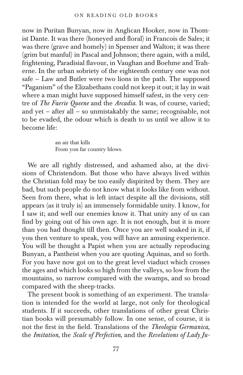now in Puritan Bunyan, now in Anglican Hooker, now in Thomist Dante. It was there (honeyed and floral) in Francois de Sales; it was there (grave and homely) in Spenser and Walton; it was there (grim but manful) in Pascal and Johnson; there again, with a mild, frightening, Paradisial flavour, in Vaughan and Boehme and Traherne. In the urban sobriety of the eighteenth century one was not safe — Law and Butler were two lions in the path. The supposed "Paganism" of the Elizabethans could not keep it out; it lay in wait where a man might have supposed himself safest, in the very centre of *The Faerie Queene* and the *Arcadia*. It was, of course, varied; and yet  $-$  after all  $-$  so unmistakably the same; recognisable, not to be evaded, the odour which is death to us until we allow it to become life:

> an air that kills From yon far country blows.

We are all rightly distressed, and ashamed also, at the divisions of Christendom. But those who have always lived within the Christian fold may be too easily dispirited by them. They are bad, but such people do not know what it looks like from without. Seen from there, what is left intact despite all the divisions, still appears (as it truly is) an immensely formidable unity. I know, for I saw it; and well our enemies know it. That unity any of us can find by going out of his own age. It is not enough, but it is more than you had thought till then. Once you are well soaked in it, if you then venture to speak, you will have an amusing experience. You will be thought a Papist when you are actually reproducing Bunyan, a Pantheist when you are quoting Aquinas, and so forth. For you have now got on to the great level viaduct which crosses the ages and which looks so high from the valleys, so low from the mountains, so narrow compared with the swamps, and so broad compared with the sheep-tracks.

The present book is something of an experiment. The translation is intended for the world at large, not only for theological students. If it succeeds, other translations of other great Christian books will presumably follow. In one sense, of course, it is not the first in the field. Translations of the *Theologia Germanica*, the *Imitation*, the *Scale of Perfection*, and the *Revelations of Lady Ju-*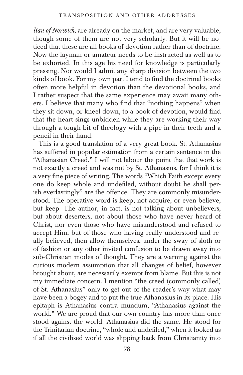*lian of Norwich*, are already on the market, and are very valuable, though some of them are not very scholarly. But it will be noticed that these are all books of devotion rather than of doctrine. Now the layman or amateur needs to be instructed as well as to be exhorted. In this age his need for knowledge is particularly pressing. Nor would I admit any sharp division between the two kinds of book. For my own part I tend to find the doctrinal books often more helpful in devotion than the devotional books, and I rather suspect that the same experience may await many others. I believe that many who find that "nothing happens" when they sit down, or kneel down, to a book of devotion, would find that the heart sings unbidden while they are working their way through a tough bit of theology with a pipe in their teeth and a pencil in their hand.

This is a good translation of a very great book. St. Athanasius has suffered in popular estimation from a certain sentence in the "Athanasian Creed." I will not labour the point that that work is not exactly a creed and was not by St. Athanasius, for I think it is a very fine piece of writing. The words "Which Faith except every one do keep whole and undefiled, without doubt he shall perish everlastingly" are the offence. They are commonly misunderstood. The operative word is keep; not acquire, or even believe, but keep. The author, in fact, is not talking about unbelievers, but about deserters, not about those who have never heard of Christ, nor even those who have misunderstood and refused to accept Him, but of those who having really understood and really believed, then allow themselves, under the sway of sloth or of fashion or any other invited confusion to be drawn away into sub-Christian modes of thought. They are a warning against the curious modern assumption that all changes of belief, however brought about, are necessarily exempt from blame. But this is not my immediate concern. I mention "the creed (commonly called) of St. Athanasius" only to get out of the reader's way what may have been a bogey and to put the true Athanasius in its place. His epitaph is Athanasius contra mundum, "Athanasius against the world." We are proud that our own country has more than once stood against the world. Athanasius did the same. He stood for the Trinitarian doctrine, "whole and undefiled," when it looked as if all the civilised world was slipping back from Christianity into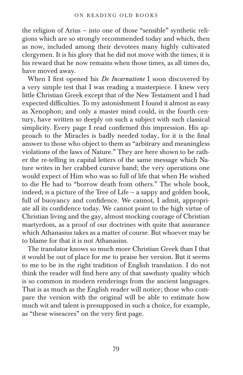the religion of Arius — into one of those "sensible" synthetic religions which are so strongly recommended today and which, then as now, included among their devotees many highly cultivated clergymen. It is his glory that he did not move with the times; it is his reward that he now remains when those times, as all times do, have moved away.

When I first opened his *De Incarnatione* I soon discovered by a very simple test that I was reading a masterpiece. I knew very little Christian Greek except that of the New Testament and I had expected difficulties. To my astonishment I found it almost as easy as Xenophon; and only a master mind could, in the fourth century, have written so deeply on such a subject with such classical simplicity. Every page I read confirmed this impression. His approach to the Miracles is badly needed today, for it is the final answer to those who object to them as "arbitrary and meaningless violations of the laws of Nature." They are here shown to be rather the re-telling in capital letters of the same message which Nature writes in her crabbed cursive hand; the very operations one would expect of Him who was so full of life that when He wished to die He had to "borrow death from others." The whole book, indeed, is a picture of the Tree of Life — a sappy and golden book, full of buoyancy and confidence. We cannot, I admit, appropriate all its confidence today. We cannot point to the high virtue of Christian living and the gay, almost mocking courage of Christian martyrdom, as a proof of our doctrines with quite that assurance which Athanasius takes as a matter of course. But whoever may be to blame for that it is not Athanasius.

The translator knows so much more Christian Greek than I that it would be out of place for me to praise her version. But it seems to me to be in the right tradition of English translation. I do not think the reader will find here any of that sawdusty quality which is so common in modern renderings from the ancient languages. That is as much as the English reader will notice; those who compare the version with the original will be able to estimate how much wit and talent is presupposed in such a choice, for example, as "these wiseacres" on the very first page.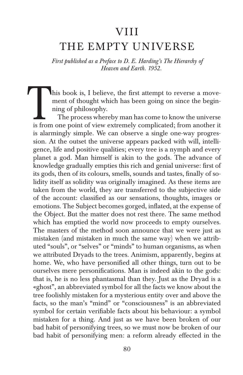#### VIII

### THE EMPTY UNIVERSE

*First published as a Preface to D. E. Harding's The Hierarchy of Heaven and Earth. 1952.*

This book is, I believe, the first attempt to reverse a move-<br>ment of thought which has been going on since the begin-<br>ning of philosophy.<br>The process whereby man has come to know the universe<br>is from one point of view ext his book is, I believe, the first attempt to reverse a movement of thought which has been going on since the beginning of philosophy.

The process whereby man has come to know the universe is alarmingly simple. We can observe a single one-way progression. At the outset the universe appears packed with will, intelligence, life and positive qualities; every tree is a nymph and every planet a god. Man himself is akin to the gods. The advance of knowledge gradually empties this rich and genial universe: first of its gods, then of its colours, smells, sounds and tastes, finally of solidity itself as solidity was originally imagined. As these items are taken from the world, they are transferred to the subjective side of the account: classified as our sensations, thoughts, images or emotions. The Subject becomes gorged, inflated, at the expense of the Object. But the matter does not rest there. The same method which has emptied the world now proceeds to empty ourselves. The masters of the method soon announce that we were just as mistaken (and mistaken in much the same way) when we attributed "souls", or "selves" or "minds" to human organisms, as when we attributed Dryads to the trees. Animism, apparently, begins at home. We, who have personified all other things, turn out to be ourselves mere personifications. Man is indeed akin to the gods: that is, he is no less phantasmal than they. Just as the Dryad is a «ghost", an abbreviated symbol for all the facts we know about the tree foolishly mistaken for a mysterious entity over and above the facts, so the man's "mind" or "consciousness" is an abbreviated symbol for certain verifiable facts about his behaviour: a symbol mistaken for a thing. And just as we have been broken of our bad habit of personifying trees, so we must now be broken of our bad habit of personifying men: a reform already effected in the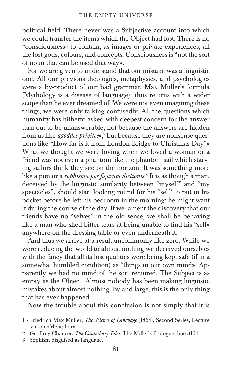political field. There never was a Subjective account into which we could transfer the items which the Object had lost. There is no "consciousness» to contain, as images or private experiences, all the lost gods, colours, and concepts. Consciousness is "not the sort of noun that can be used that way».

For we are given to understand that our mistake was a linguistic one. All our previous theologies, metaphysics, and psychologies were a by-product of our bad grammar. Max Muller's formula  $(Mythology$  is a disease of language)<sup>1</sup> thus returns with a wider scope than he ever dreamed of. We were not even imagining these things, we were only talking confusedly. All the questions which humanity has hitherto asked with deepest concern for the answer turn out to be unanswerable; not because the answers are hidden from us like *agoddes privitee*»,<sup>2</sup> but because they are nonsense questions like "How far is it from London Bridge to Christmas Day?» What we thought we were loving when we loved a woman or a friend was not even a phantom like the phantom sail which starving sailors think they see on the horizon. It was something more like a pun or a *sophisma per figuram dictionis*. <sup>3</sup> It is as though a man, deceived by the linguistic similarity between "myself" and "my spectacles", should start looking round for his "self' to put in his pocket before he left his bedroom in the morning: he might want it during the course of the day. If we lament the discovery that our friends have no "selves" in the old sense, we shall be behaving like a man who shed bitter tears at being unable to find his "self» anywhere on the dressing-table or even underneath it.

And thus we arrive at a result uncommonly like zero. While we were reducing the world to almost nothing we deceived ourselves with the fancy that all its lost qualities were being kept safe (if in a somewhat humbled condition) as "things in our own mind». Apparently we had no mind of the sort required. The Subject is as empty as the Object. Almost nobody has been making linguistic mistakes about almost nothing. By and large, this is the only thing that has ever happened.

Now the trouble about this conclusion is not simply that it is

<sup>1 -</sup> Friedrich Max Muller, *The Science of Language* (1864), Second Series, Lecture viii on «Metaphor».

<sup>2 -</sup> Geoffrey Chaucer, *The Canterbury Tales,* The Miller's Prologue, line 3164.

<sup>3 -</sup> Sophism disguised as language.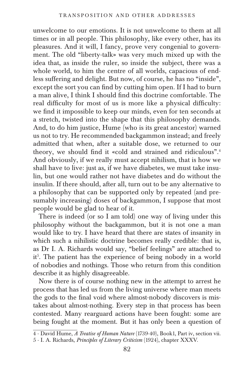unwelcome to our emotions. It is not unwelcome to them at all times or in all people. This philosophy, like every other, has its pleasures. And it will, I fancy, prove very congenial to government. The old "liberty-talk» was very much mixed up with the idea that, as inside the ruler, so inside the subject, there was a whole world, to him the centre of all worlds, capacious of endless suffering and delight. But now, of course, he has no "inside", except the sort you can find by cutting him open. If I had to burn a man alive, I think I should find this doctrine comfortable. The real difficulty for most of us is more like a physical difficulty: we find it impossible to keep our minds, even for ten seconds at a stretch, twisted into the shape that this philosophy demands. And, to do him justice, Hume (who is its great ancestor) warned us not to try. He recommended backgammon instead; and freely admitted that when, after a suitable dose, we returned to our theory, we should find it «cold and strained and ridiculous".4 And obviously, if we really must accept nihilism, that is how we shall have to live: just as, if we have diabetes, we must take insulin, but one would rather not have diabetes and do without the insulin. If there should, after all, turn out to be any alternative to a philosophy that can be supported only by repeated (and presumably increasing) doses of backgammon, I suppose that most people would be glad to hear of it.

There is indeed (or so I am told) one way of living under this philosophy without the backgammon, but it is not one a man would like to try. I have heard that there are states of insanity in which such a nihilistic doctrine becomes really credible: that is, as Dr I. A. Richards would say, "belief feelings" are attached to it<sup>5</sup>. The patient has the experience of being nobody in a world of nobodies and nothings. Those who return from this condition describe it as highly disagreeable.

Now there is of course nothing new in the attempt to arrest he process that has led us from the living universe where man meets the gods to the final void where almost-nobody discovers is mistakes about almost-nothing. Every step in that process has been contested. Many rearguard actions have been fought: some are being fought at the moment. But it has only been a question of

<sup>4 -</sup> David Hume, *A Treatise of Human Nature* (1739-40), Book1, Part iv, section vii. 5 - I. A. Richards, *Principles of Literary Criticism* (1924), chapter XXXV.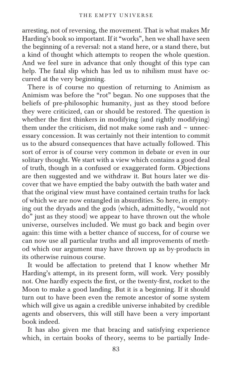arresting, not of reversing, the movement. That is what makes Mr Harding's book so important. If it "works", hen we shall have seen the beginning of a reversal: not a stand here, or a stand there, but a kind of thought which attempts to reopen the whole question. And we feel sure in advance that only thought of this type can help. The fatal slip which has led us to nihilism must have occurred at the very beginning.

There is of course no question of returning to Animism as Animism was before the "rot" began. No one supposes that the beliefs of pre-philosophic humanity, just as they stood before they were criticized, can or should be restored. The question is whether the first thinkers in modifying (and rightly modifying) them under the criticism, did not make some rash and  $\sim$  unnecessary concession. It was certainly not their intention to commit us to the absurd consequences that have actually followed. This sort of error is of course very common in debate or even in our solitary thought. We start with a view which contains a good deal of truth, though in a confused or exaggerated form. Objections are then suggested and we withdraw it. But hours later we discover that we have emptied the baby outwith the bath water and that the original view must have contained certain truths for lack of which we are now entangled in absurdities. So here, in emptying out the dryads and the gods (which, admittedly, "would not do" just as they stood) we appear to have thrown out the whole universe, ourselves included. We must go back and begin over again: this time with a better chance of success, for of course we can now use all particular truths and all improvements of method which our argument may have thrown up as by-products in its otherwise ruinous course.

It would be affectation to pretend that I know whether Mr Harding's attempt, in its present form, will work. Very possibly not. One hardly expects the first, or the twenty-first, rocket to the Moon to make a good landing. But it is a beginning. If it should turn out to have been even the remote ancestor of some system which will give us again a credible universe inhabited by credible agents and observers, this will still have been a very important book indeed.

It has also given me that bracing and satisfying experience which, in certain books of theory, seems to be partially Inde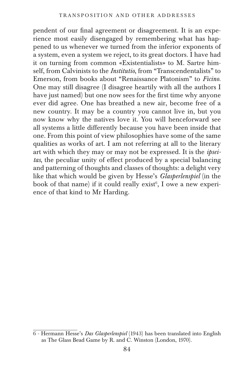pendent of our final agreement or disagreement. It is an experience most easily disengaged by remembering what has happened to us whenever we turned from the inferior exponents of a system, even a system we reject, to its great doctors. I have had it on turning from common «Existentialists» to M. Sartre himself, from Calvinists to the *Institutio*, from "Transcendentalists" to Emerson, from books about "Renaissance Platonism" to *Ficino*. One may still disagree (I disagree heartily with all the authors I have just named) but one now sees for the first time why anyone ever did agree. One has breathed a new air, become free of a new country. It may be a country you cannot live in, but you now know why the natives love it. You will henceforward see all systems a little differently because you have been inside that one. From this point of view philosophies have some of the same qualities as works of art. I am not referring at all to the literary art with which they may or may not be expressed. It is the *ipseitas*, the peculiar unity of effect produced by a special balancing and patterning of thoughts and classes of thoughts: a delight very like that which would be given by Hesse's *Glasperlenspiel* (in the book of that name) if it could really exist $^6,$  I owe a new experience of that kind to Mr Harding.

<sup>6 -</sup> Hermann Hesse's *Das Glasperlenspiel* (1943) has been translated into English as The Glass Bead Game by R. and C. Winston (London, 1970).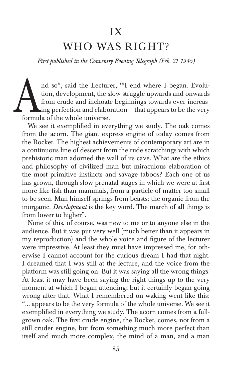#### IX

## WHO WAS RIGHT?

*First published in the Conventry Evening Telegraph (Feb. 21 1945)*

nd so", said the Lecturer, "I end where I began. Evolution, development, the slow struggle upwards and onwards from crude and inchoate beginnings towards ever increasing perfection and elaboration – that appears to be the tion, development, the slow struggle upwards and onwards from crude and inchoate beginnings towards ever increas- $\mathop{\mathsf{Ling}}$  perfection and elaboration  $-$  that appears to be the very formula of the whole universe.

We see it exemplified in everything we study. The oak comes from the acorn. The giant express engine of today comes from the Rocket. The highest achievements of contemporary art are in a continuous line of descent from the rude scratchings with which prehistoric man adorned the wall of its cave. What are the ethics and philosophy of civilized man but miraculous elaboration of the most primitive instincts and savage taboos? Each one of us has grown, through slow prenatal stages in which we were at first more like fish than mammals, from a particle of matter too small to be seen. Man himself springs from beasts: the organic from the inorganic. *Development* is the key word. The march of all things is from lower to higher".

None of this, of course, was new to me or to anyone else in the audience. But it was put very well (much better than it appears in my reproduction) and the whole voice and figure of the lecturer were impressive. At least they must have impressed me, for otherwise I cannot account for the curious dream I had that night. I dreamed that I was still at the lecture, and the voice from the platform was still going on. But it was saying all the wrong things. At least it may have been saying the right things up to the very moment at which I began attending; but it certainly began going wrong after that. What I remembered on waking went like this: "... appears to be the very formula of the whole universe. We see it exemplified in everything we study. The acorn comes from a fullgrown oak. The first crude engine, the Rocket, comes, not from a still cruder engine, but from something much more perfect than itself and much more complex, the mind of a man, and a man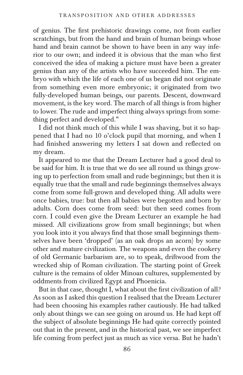of genius. The first prehistoric drawings come, not from earlier scratchings, but from the hand and brain of human beings whose hand and brain cannot be shown to have been in any way inferior to our own; and indeed it is obvious that the man who first conceived the idea of making a picture must have been a greater genius than any of the artists who have succeeded him. The embryo with which the life of each one of us began did not originate from something even more embryonic; it originated from two fully-developed human beings, our parents. Descent, downward movement, is the key word. The march of all things is from higher to lower. The rude and imperfect thing always springs from something perfect and developed."

I did not think much of this while I was shaving, but it so happened that I had no 10 o'clock pupil that morning, and when I had finished answering my letters I sat down and reflected on my dream.

It appeared to me that the Dream Lecturer had a good deal to be said for him. It is true that we do see all round us things growing up to perfection from small and rude beginnings; but then it is equally true that the small and rude beginnings themselves always come from some full-grown and developed thing. All adults were once babies, true: but then all babies were begotten and born by adults. Corn does come from seed: but then seed comes from corn. I could even give the Dream Lecturer an example he had missed. All civilizations grow from small beginnings; but when you look into it you always find that those small beginnings themselves have been 'dropped' (as an oak drops an acorn) by some other and mature civilization. The weapons and even the cookery of old Germanic barbarism are, so to speak, driftwood from the wrecked ship of Roman civilization. The starting point of Greek culture is the remains of older Minoan cultures, supplemented by oddments from civilized Egypt and Phoenicia.

But in that case, thought I, what about the first civilization of all? As soon as I asked this question I realised that the Dream Lecturer had been choosing his examples rather cautiously. He had talked only about things we can see going on around us. He had kept off the subject of absolute beginnings He had quite correctly pointed out that in the present, and in the historical past, we see imperfect life coming from perfect just as much as vice versa. But he hadn't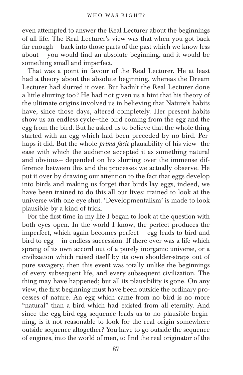even attempted to answer the Real Lecturer about the beginnings of all life. The Real Lecturer's view was that when you got back far enough — back into those parts of the past which we know less about — you would find an absolute beginning, and it would be something small and imperfect.

That was a point in favour of the Real Lecturer. He at least had a theory about the absolute beginning, whereas the Dream Lecturer had slurred it over. But hadn't the Real Lecturer done a little slurring too? He had not given us a hint that his theory of the ultimate origins involved us in believing that Nature's habits have, since those days, altered completely. Her present habits show us an endless cycle—the bird coming from the egg and the egg from the bird. But he asked us to believe that the whole thing started with an egg which had been preceded by no bird. Perhaps it did. But the whole *prima facie* plausibility of his view—the ease with which the audience accepted it as something natural and obvious— depended on his slurring over the immense difference between this and the processes we actually observe. He put it over by drawing our attention to the fact that eggs develop into birds and making us forget that birds lay eggs, indeed, we have been trained to do this all our lives: trained to look at the universe with one eye shut. 'Developmentalism' is made to look plausible by a kind of trick.

For the first time in my life I began to look at the question with both eyes open. In the world I know, the perfect produces the imperfect, which again becomes perfect — egg leads to bird and bird to egg — in endless succession. If there ever was a life which sprang of its own accord out of a purely inorganic universe, or a civilization which raised itself by its own shoulder-straps out of pure savagery, then this event was totally unlike the beginnings of every subsequent life, and every subsequent civilization. The thing may have happened; but all its plausibility is gone. On any view, the first beginning must have been outside the ordinary processes of nature. An egg which came from no bird is no more "natural" than a bird which had existed from all eternity. And since the egg-bird-egg sequence leads us to no plausible beginning, is it not reasonable to look for the real origin somewhere outside sequence altogether? You have to go outside the sequence of engines, into the world of men, to find the real originator of the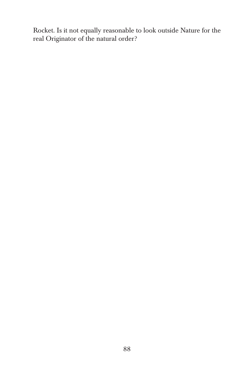Rocket. Is it not equally reasonable to look outside Nature for the real Originator of the natural order?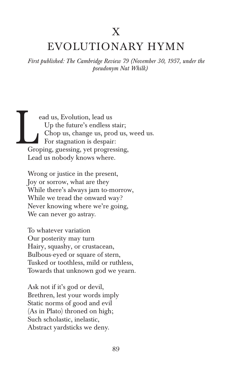X

## EVOLUTIONARY HYMN

*First published: The Cambridge Review 79 (November 30, 1957, under the pseudonym Nat Whilk)*

**Letter** ead us, Evolution, lead us Up the future's endless stair; Chop us, change us, prod us, weed us. For stagnation is despair: Groping, guessing, yet progressing, Lead us nobody knows where.

Wrong or justice in the present, Joy or sorrow, what are they While there's always jam to-morrow, While we tread the onward way? Never knowing where we're going, We can never go astray.

To whatever variation Our posterity may turn Hairy, squashy, or crustacean, Bulbous-eyed or square of stern, Tusked or toothless, mild or ruthless, Towards that unknown god we yearn.

Ask not if it's god or devil, Brethren, lest your words imply Static norms of good and evil (As in Plato) throned on high; Such scholastic, inelastic, Abstract yardsticks we deny.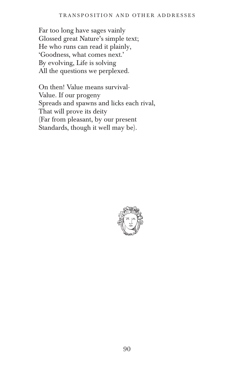Far too long have sages vainly Glossed great Nature's simple text; He who runs can read it plainly, 'Goodness, what comes next.' By evolving, Life is solving All the questions we perplexed.

On then! Value means survival-Value. If our progeny Spreads and spawns and licks each rival, That will prove its deity (Far from pleasant, by our present Standards, though it well may be).

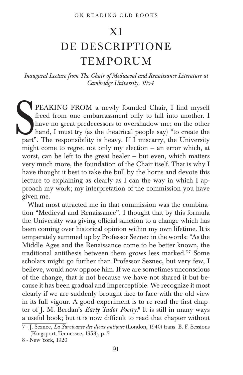# XI DE DESCRIPTIONE **TEMPORUM**

*Inaugural Lecture from The Chair of Mediaeval and Renaissance Literature at Cambridge University, 1954* 

PEAKING FROM a newly founded Chair, I find myself<br>freed from one embarrassment only to fall into another. I<br>have no great predecessors to overshadow me; on the other<br>hand, I must try (as the theatrical people say) "to crea freed from one embarrassment only to fall into another. I have no great predecessors to overshadow me; on the other hand, I must try (as the theatrical people say) "to create the part". The responsibility is heavy. If I miscarry, the University might come to regret not only my election — an error which, at worst, can be left to the great healer — but even, which matters very much more, the foundation of the Chair itself. That is why I have thought it best to take the bull by the horns and devote this lecture to explaining as clearly as I can the way in which I approach my work; my interpretation of the commission you have given me.

What most attracted me in that commission was the combination "Medieval and Renaissance". I thought that by this formula the University was giving official sanction to a change which has been coming over historical opinion within my own lifetime. It is temperately summed up by Professor Seznec in the words: "As the Middle Ages and the Renaissance come to be better known, the traditional antithesis between them grows less marked."7 Some scholars might go further than Professor Seznec, but very few, I believe, would now oppose him. If we are sometimes unconscious of the change, that is not because we have not shared it but because it has been gradual and imperceptible. We recognize it most clearly if we are suddenly brought face to face with the old view in its full vigour. A good experiment is to re-read the first chapter of J. M. Berdan's *Early Tudor Poetry*. <sup>8</sup> It is still in many ways a useful book; but it is now difficult to read that chapter without

<sup>7 -</sup> J. Seznec, *La Survivance des dieux antiques* (London, 1940) trans. B. F. Sessions (Kingsport, Tennessee, 1953), p. 3

<sup>8 -</sup> New York, 1920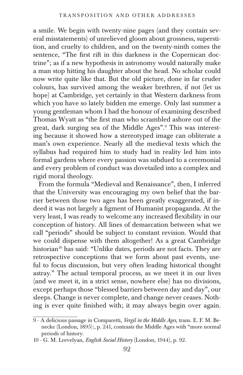a smile. We begin with twenty-nine pages (and they contain several misstatements) of unrelieved gloom about grossness, superstition, and cruelty to children, and on the twenty-ninth comes the sentence, "The first rift in this darkness is the Copernican doctrine"; as if a new hypothesis in astronomy would naturally make a man stop hitting his daughter about the head. No scholar could now write quite like that. But the old picture, done in far cruder colours, has survived among the weaker brethren, if not (let us hope) at Cambridge, yet certainly in that Western darkness from which you have so lately bidden me emerge. Only last summer a young gentleman whom I had the honour of examining described Thomas Wyatt as "the first man who scrambled ashore out of the great, dark surging sea of the Middle Ages".9 This was interesting because it showed how a stereotyped image can obliterate a man's own experience. Nearly all the medieval texts which the syllabus had required him to study had in reality led him into formal gardens where every passion was subdued to a ceremonial and every problem of conduct was dovetailed into a complex and rigid moral theology.

From the formula "Medieval and Renaissance", then, I inferred that the University was encouraging my own belief that the barrier between those two ages has been greatly exaggerated, if indeed it was not largely a figment of Humanist propaganda. At the very least, I was ready to welcome any increased flexibility in our conception of history. All lines of demarcation between what we call "periods" should be subject to constant revision. Would that we could dispense with them altogether! As a great Cambridge historian<sup>10</sup> has said: "Unlike dates, periods are not facts. They are retrospective conceptions that we form about past events, useful to focus discussion, but very often leading historical thought astray." The actual temporal process, as we meet it in our lives (and we meet it, in a strict sense, nowhere else) has no divisions, except perhaps those "blessed barriers between day and day", our sleeps. Change is never complete, and change never ceases. Nothing is ever quite finished with; it may always begin over again.

<sup>9 -</sup> A delicious passage in Comparetti, *Vergil in the Middle Ages*, trans. E. F. M. Benecke (London, 1895):, p. 241, contrasts the Middle Ages with "more normal periods of history.

<sup>10 -</sup> G. M. Lrevelyan, *English Social History* (London, 1944), p. 92.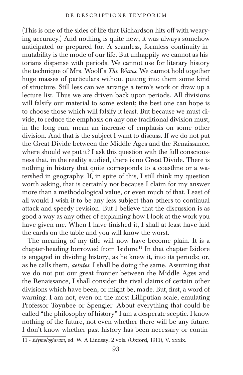(This is one of the sides of life that Richardson hits off with wearying accuracy.) And nothing is quite new; it was always somehow anticipated or prepared for. A seamless, formless continuity-inmutability is the mode of our fife. But unhappily we cannot as historians dispense with periods. We cannot use for literary history the technique of Mrs. Woolf's *The Waves*. We cannot hold together huge masses of particulars without putting into them some kind of structure. Still less can we arrange a term's work or draw up a lecture list. Thus we are driven back upon periods. All divisions will falsify our material to some extent; the best one can hope is to choose those which will falsify it least. But because we must divide, to reduce the emphasis on any one traditional division must, in the long run, mean an increase of emphasis on some other division. And that is the subject I want to discuss. If we do not put the Great Divide between the Middle Ages and the Renaissance, where should we put it? I ask this question with the full consciousness that, in the reality studied, there is no Great Divide. There is nothing in history that quite corresponds to a coastline or a watershed in geography. If, in spite of this, I still think my question worth asking, that is certainly not because I claim for my answer more than a methodological value, or even much of that. Least of all would I wish it to be any less subject than others to continual attack and speedy revision. But I believe that the discussion is as good a way as any other of explaining how I look at the work you have given me. When I have finished it, I shall at least have laid the cards on the table and you will know the worst.

The meaning of my title will now have become plain. It is a chapter-heading borrowed from Isidore.<sup>11</sup> In that chapter Isidore is engaged in dividing history, as he knew it, into its periods; or, as he calls them, *aetates*. I shall be doing the same. Assuming that we do not put our great frontier between the Middle Ages and the Renaissance, I shall consider the rival claims of certain other divisions which have been, or might be, made. But, first, a word of warning. I am not, even on the most Lilliputian scale, emulating Professor Toynbee or Spengler. About everything that could be called "the philosophy of history" I am a desperate sceptic. I know nothing of the future, not even whether there will be any future. I don't know whether past history has been necessary or contin-

<sup>11 -</sup> *Etymologiarum*, ed. W. A Lindsay, 2 vols. (Oxford, 1911), V. xxxix.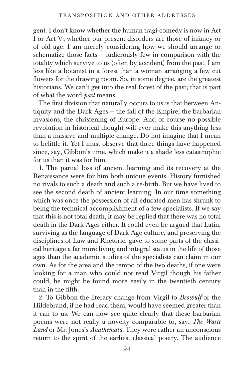gent. I don't know whether the human tragi-comedy is now in Act I or Act V; whether our present disorders are those of infancy or of old age. I am merely considering how we should arrange or schematize those facts — ludicrously few in comparison with the totality which survive to us (often by accident) from the past. I am less like a botanist in a forest than a woman arranging a few cut flowers for the drawing room. So, in some degree, are the greatest historians. We can't get into the real forest of the past; that is part of what the word *past* means.

The first division that naturally occurs to us is that between Antiquity and the Dark Ages — the fall of the Empire, the barbarian invasions, the christening of Europe. And of course no possible revolution in historical thought will ever make this anything less than a massive and multiple change. Do not imagine that I mean to belittle it. Yet I must observe that three things have happened since, say, Gibbon's time, which make it a shade less catastrophic for us than it was for him.

1. The partial loss of ancient learning and its recovery at the Renaissance were for him both unique events. History furnished no rivals to such a death and such a re-birth. But we have lived to see the second death of ancient learning. In our time something which was once the possession of all educated men has shrunk to being the technical accomplishment of a few specialists. If we say that this is not total death, it may be replied that there was no total death in the Dark Ages either. It could even be argued that Latin, surviving as the language of Dark Age culture, and preserving the disciplines of Law and Rhetoric, gave to some parts of the classical heritage a far more living and integral status in the life of those ages than the academic studies of the specialists can claim in our own. As for the area and the tempo of the two deaths, if one were looking for a man who could not read Virgil though his father could, he might be found more easily in the twentieth century than in the fifth.

2. To Gibbon the literary change from Virgil to *Beowulf* or the Hildebrand, if he had read them, would have seemed greater than it can to us. We can now see quite clearly that these barbarian poems were not really a novelty comparable to, say, *The Waste Land* or Mr. Jones's *Anathemata*. They were rather an unconscious return to the spirit of the earliest classical poetry. The audience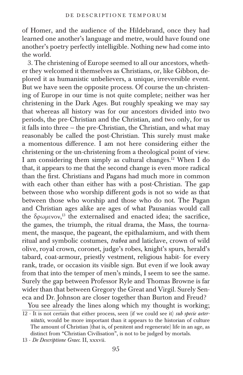of Homer, and the audience of the Hildebrand, once they had learned one another's language and metre, would have found one another's poetry perfectly intelligible. Nothing new had come into the world.

3. The christening of Europe seemed to all our ancestors, whether they welcomed it themselves as Christians, or, like Gibbon, deplored it as humanistic unbelievers, a unique, irreversible event. But we have seen the opposite process. Of course the un-christening of Europe in our time is not quite complete; neither was her christening in the Dark Ages. But roughly speaking we may say that whereas all history was for our ancestors divided into two periods, the pre-Christian and the Christian, and two only, for us it falls into three — the pre-Christian, the Christian, and what may reasonably be called the post-Christian. This surely must make a momentous difference. I am not here considering either the christening or the un-christening from a theological point of view. I am considering them simply as cultural changes.12 When I do that, it appears to me that the second change is even more radical than the first. Christians and Pagans had much more in common with each other than either has with a post-Christian. The gap between those who worship different gods is not so wide as that between those who worship and those who do not. The Pagan and Christian ages alike are ages of what Pausanias would call the δρωμενον, 13 the externalised and enacted idea; the sacrifice, the games, the triumph, the ritual drama, the Mass, the tournament, the masque, the pageant, the epithalamium, and with them ritual and symbolic costumes, *trabea* and laticlave, crown of wild olive, royal crown, coronet, judge's robes, knight's spurs, herald's tabard, coat-armour, priestly vestment, religious habit- for every rank, trade, or occasion its visible sign. But even if we look away from that into the temper of men's minds, I seem to see the same. Surely the gap between Professor Ryle and Thomas Browne is far wider than that between Gregory the Great and Virgil. Surely Seneca and Dr. Johnson are closer together than Burton and Freud?

You see already the lines along which my thought is working;

<sup>12 -</sup> It is not certain that either process, seen (if we could see it) *sub specie aeternitatis*, would be more important than it appears to the historian of culture The amount of Christian (that is, of penitent and regenerate) life in an age, as distinct from "Christian Civilisation", is not to be judged by mortals.

<sup>13 -</sup> *De Descriptione Graec*. II, xxxvii.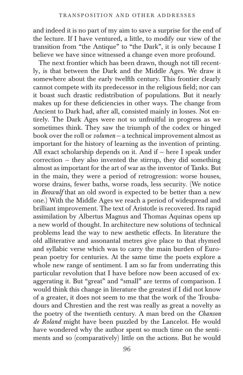and indeed it is no part of my aim to save a surprise for the end of the lecture. If I have ventured, a little, to modify our view of the transition from "the Antique" to "the Dark", it is only because I believe we have since witnessed a change even more profound.

The next frontier which has been drawn, though not till recently, is that between the Dark and the Middle Ages. We draw it somewhere about the early twelfth century. This frontier clearly cannot compete with its predecessor in the religious field; nor can it boast such drastic redistribution of populations. But it nearly makes up for these deficiencies in other ways. The change from Ancient to Dark had, after all, consisted mainly in losses. Not entirely. The Dark Ages were not so unfruitful in progress as we sometimes think. They saw the triumph of the codex or hinged book over the roll or *volumen* — a technical improvement almost as important for the history of learning as the invention of printing. All exact scholarship depends on it. And if — here I speak under correction — they also invented the stirrup, they did something almost as important for the art of war as the inventor of Tanks. But in the main, they were a period of retrogression: worse houses, worse drains, fewer baths, worse roads, less security. (We notice in *Beowulf* that an old sword is expected to be better than a new one.) With the Middle Ages we reach a period of widespread and brilliant improvement. The text of Aristotle is recovered. Its rapid assimilation by Albertus Magnus and Thomas Aquinas opens up a new world of thought. In architecture new solutions of technical problems lead the way to new aesthetic effects. In literature the old alliterative and assonantal metres give place to that rhymed and syllabic verse which was to carry the main burden of European poetry for centuries. At the same time the poets explore a whole new range of sentiment. I am so far from underrating this particular revolution that I have before now been accused of exaggerating it. But "great" and "small" are terms of comparison. I would think this change in literature the greatest if I did not know of a greater, it does not seem to me that the work of the Troubadours and Chrestien and the rest was really as great a novelty as the poetry of the twentieth century. A man bred on the *Chanson de Roland* might have been puzzled by the Lancelot. He would have wondered why the author spent so much time on the sentiments and so (comparatively) little on the actions. But he would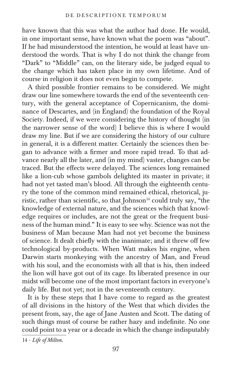have known that this was what the author had done. He would, in one important sense, have known what the poem was "about". If he had misunderstood the intention, he would at least have understood the words. That is why I do not think the change from "Dark" to "Middle" can, on the literary side, be judged equal to the change which has taken place in my own lifetime. And of course in religion it does not even begin to compete.

A third possible frontier remains to be considered. We might draw our line somewhere towards the end of the seventeenth century, with the general acceptance of Copernicanism, the dominance of Descartes, and (in England) the foundation of the Royal Society. Indeed, if we were considering the history of thought (in the narrower sense of the word) I believe this is where I would draw my line. But if we are considering the history of our culture in general, it is a different matter. Certainly the sciences then began to advance with a firmer and more rapid tread. To that advance nearly all the later, and (in my mind) vaster, changes can be traced. But the effects were delayed. The sciences long remained like a lion-cub whose gambols delighted its master in private; it had not yet tasted man's blood. All through the eighteenth century the tone of the common mind remained ethical, rhetorical, juristic, rather than scientific, so that  $J$ ohnson<sup>14</sup> could truly say, "the knowledge of external nature, and the sciences which that knowledge requires or includes, are not the great or the frequent business of the human mind." It is easy to see why. Science was not the business of Man because Man had not yet become the business of science. It dealt chiefly with the inanimate; and it threw off few technological by-products. When Watt makes his engine, when Darwin starts monkeying with the ancestry of Man, and Freud with his soul, and the economists with all that is his, then indeed the lion will have got out of its cage. Its liberated presence in our midst will become one of the most important factors in everyone's daily life. But not yet; not in the seventeenth century.

It is by these steps that I have come to regard as the greatest of all divisions in the history of the West that which divides the present from, say, the age of Jane Austen and Scott. The dating of such things must of course be rather hazy and indefinite. No one could point to a year or a decade in which the change indisputably

<sup>14 -</sup> *Life of Milton*.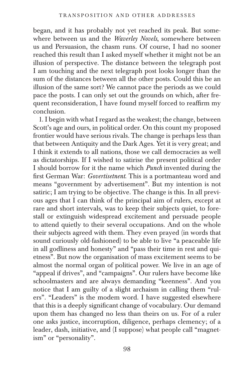began, and it has probably not yet reached its peak. But somewhere between us and the *Waverley Novels*, somewhere between us and Persuasion, the chasm runs. Of course, I had no sooner reached this result than I asked myself whether it might not be an illusion of perspective. The distance between the telegraph post I am touching and the next telegraph post looks longer than the sum of the distances between all the other posts. Could this be an illusion of the same sort? We cannot pace the periods as we could pace the posts. I can only set out the grounds on which, after frequent reconsideration, I have found myself forced to reaffirm my conclusion.

1. I begin with what I regard as the weakest; the change, between Scott's age and ours, in political order. On this count my proposed frontier would have serious rivals. The change is perhaps less than that between Antiquity and the Dark Ages. Yet it is very great; and I think it extends to all nations, those we call democracies as well as dictatorships. If I wished to satirise the present political order I should borrow for it the name which *Punch* invented during the first German War: *Govertisetnent*. This is a portmanteau word and means "government by advertisement". But my intention is not satiric; I am trying to be objective. The change is this. In all previous ages that I can think of the principal aim of rulers, except at rare and short intervals, was to keep their subjects quiet, to forestall or extinguish widespread excitement and persuade people to attend quietly to their several occupations. And on the whole their subjects agreed with them. They even prayed (in words that sound curiously old-fashioned) to be able to live "a peaceable life in all godliness and honesty" and "pass their time in rest and quietness". But now the organisation of mass excitement seems to be almost the normal organ of political power. We live in an age of "appeal if drives", and "campaigns". Our rulers have become like schoolmasters and are always demanding "keenness". And you notice that I am guilty of a slight archaism in calling them "rulers". "Leaders" is the modem word. I have suggested elsewhere that this is a deeply significant change of vocabulary. Our demand upon them has changed no less than theirs on us. For of a ruler one asks justice, incorruption, diligence, perhaps clemency; of a leader, dash, initiative, and (I suppose) what people call "magnetism" or "personality".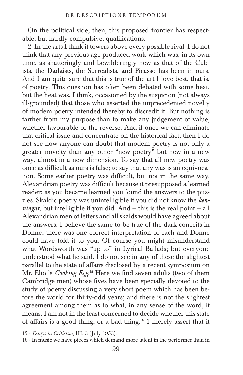On the political side, then, this proposed frontier has respectable, but hardly compulsive, qualifications.

2. In the arts I think it towers above every possible rival. I do not think that any previous age produced work which was, in its own time, as shatteringly and bewilderingly new as that of the Cubists, the Dadaists, the Surrealists, and Picasso has been in ours. And I am quite sure that this is true of the art I love best, that is, of poetry. This question has often been debated with some heat, but the heat was, I think, occasioned by the suspicion (not always ill-grounded) that those who asserted the unprecedented novelty of modem poetry intended thereby to discredit it. But nothing is farther from my purpose than to make any judgement of value, whether favourable or the reverse. And if once we can eliminate that critical issue and concentrate on the historical fact, then I do not see how anyone can doubt that modem poetry is not only a greater novelty than any other "new poetry" but new in a new way, almost in a new dimension. To say that all new poetry was once as difficult as ours is false; to say that any was is an equivocation. Some earlier poetry was difficult, but not in the same way. Alexandrian poetry was difficult because it presupposed a learned reader; as you became learned you found the answers to the puzzles. Skaldic poetry was unintelligible if you did not know the *kenningar*, but intelligible if you did. And — this is the real point — all Alexandrian men of letters and all skalds would have agreed about the answers. I believe the same to be true of the dark conceits in Donne; there was one correct interpretation of each and Donne could have told it to you. Of course you might misunderstand what Wordsworth was "up to" in Lyrical Ballads; but everyone understood what he said. I do not see in any of these the slightest parallel to the state of affairs disclosed by a recent symposium on Mr. Eliot's *Cooking Egg*. 15 Here we find seven adults (two of them Cambridge men) whose fives have been specially devoted to the study of poetry discussing a very short poem which has been before the world for thirty-odd years; and there is not the slightest agreement among them as to what, in any sense of the word, it means. I am not in the least concerned to decide whether this state of affairs is a good thing, or a bad thing.16 1 merely assert that it

<sup>15 -</sup> *Essays in Criticism*, III, 3 (July 1953).

<sup>16 -</sup> In music we have pieces which demand more talent in the performer than in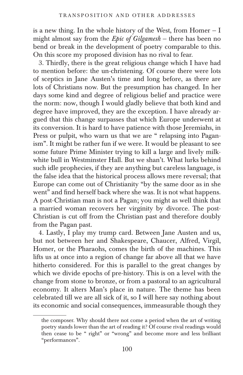is a new thing. In the whole history of the West, from Homer — I might almost say from the *Epic of Gilgamesh* — there has been no bend or break in the development of poetry comparable to this. On this score my proposed division has no rival to fear.

3. Thirdly, there is the great religious change which I have had to mention before: the un-christening. Of course there were lots of sceptics in Jane Austen's time and long before, as there are lots of Christians now. But the presumption has changed. In her days some kind and degree of religious belief and practice were the norm: now, though I would gladly believe that both kind and degree have improved, they are the exception. I have already argued that this change surpasses that which Europe underwent at its conversion. It is hard to have patience with those Jeremiahs, in Press or pulpit, who warn us that we are " relapsing into Paganism". It might be rather fun if we were. It would be pleasant to see some future Prime Minister trying to kill a large and lively milkwhite bull in Westminster Hall. But we shan't. What lurks behind such idle prophecies, if they are anything but careless language, is the false idea that the historical process allows mere reversal; that Europe can come out of Christianity "by the same door as in she went" and find herself back where she was. It is not what happens. A post-Christian man is not a Pagan; you might as well think that a married woman recovers her virginity by divorce. The post-Christian is cut off from the Christian past and therefore doubly from the Pagan past.

4. Lastly, I play my trump card. Between Jane Austen and us, but not between her and Shakespeare, Chaucer, Alfred, Virgil, Homer, or the Pharaohs, comes the birth of the machines. This lifts us at once into a region of change far above all that we have hitherto considered. For this is parallel to the great changes by which we divide epochs of pre-history. This is on a level with the change from stone to bronze, or from a pastoral to an agricultural economy. It alters Man's place in nature. The theme has been celebrated till we are all sick of it, so I will here say nothing about its economic and social consequences, immeasurable though they

the composer. Why should there not come a period when the art of writing poetry stands lower than the art of reading it? Of course rival readings would then cease to be " right" or "wrong" and become more and less brilliant "performances".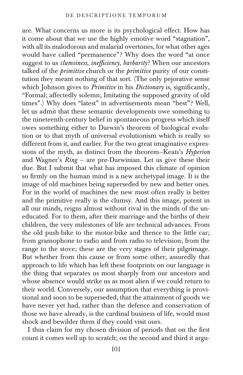are. What concerns us more is its psychological effect. How has it come about that we use the highly emotive word "stagnation", with all its malodorous and malarial overtones, for what other ages would have called "permanence"? Why does the word "at once suggest to us *clumsiness*, *inefficiency*, *barbarity*? When our ancestors talked of the *primitive* church or the *primitive* purity of our constitution they meant nothing of that sort. (The only pejorative sense which Johnson gives to *Primitive* in his *Dictionary* is, significantly, "Formal; affectedly solemn; Imitating the supposed gravity of old times".) Why does "latest" in advertisements mean "best"? Well, let us admit that these semantic developments owe something to the nineteenth-century belief in spontaneous progress which itself owes something either to Darwin's theorem of biological evolution or to that myth of universal evolutionism which is really so different from it, and earlier. For the two great imaginative expressions of the myth, as distinct from the theorem—Keats's *Hyperion* and Wagner's *Ring* — are pre-Darwinian. Let us give these their due. But I submit that what has imposed this climate of opinion so firmly on the human mind is a new archetypal image. It is the image of old machines being superseded by new and better ones. For in the world of machines the new most often really is better and the primitive really is the clumsy. And this image, potent in all our minds, reigns almost without rival in the minds of the uneducated. For to them, after their marriage and the births of their children, the very milestones of life are technical advances. From the old push-bike to the motor-bike and thence to the little car; from gramophone to radio and from radio to television; from the range to the stove; these are the very stages of their pilgrimage. But whether from this cause or from some other, assuredly that approach to life which has left these footprints on our language is the thing that separates us most sharply from our ancestors and whose absence would strike us as most alien if we could return to their world. Conversely, our assumption that everything is provisional and soon to be superseded, that the attainment of goods we have never yet had, rather than the defence and conservation of those we have already, is the cardinal business of life, would most shock and bewilder them if they could visit ours.

I thus claim for my chosen division of periods that on the first count it comes well up to scratch; on the second and third it argu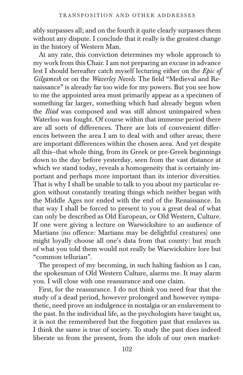ably surpasses all; and on the fourth it quite clearly surpasses them without any dispute. I conclude that it really is the greatest change in the history of Western Man.

At any rate, this conviction determines my whole approach to my work from this Chair. I am not preparing an excuse in advance lest I should hereafter catch myself lecturing either on the *Epic of Gilgamesh* or on the *Waverley Novels*. The field "Medieval and Renaissance" is already far too wide for my powers. But you see how to me the appointed area must primarily appear as a specimen of something far larger, something which had already begun when the *Iliad* was composed and was still almost unimpaired when Waterloo was fought. Of course within that immense period there are all sorts of differences. There are lots of convenient differences between the area I am to deal with and other areas; there are important differences within the chosen area. And yet despite all this—that whole thing, from its Greek or pre-Greek beginnings down to the day before yesterday, seen from the vast distance at which we stand today, reveals a homogeneity that is certainly important and perhaps more important than its interior diversities. That is why I shall be unable to talk to you about my particular region without constantly treating things which neither began with the Middle Ages nor ended with the end of the Renaissance. In that way I shall be forced to present to you a great deal of what can only be described as Old European, or Old Western, Culture. If one were giving a lecture on Warwickshire to an audience of Martians (no offence: Martians may be delightful creatures) one might loyally choose all one's data from that county: but much of what you told them would not really be Warwickshire lore but "common tellurian".

The prospect of my becoming, in such halting fashion as I can, the spokesman of Old Western Culture, alarms me. It may alarm you. I will close with one reassurance and one claim.

First, for the reassurance. I do not think you need fear that the study of a dead period, however prolonged and however sympathetic, need prove an indulgence in nostalgia or an enslavement to the past. In the individual life, as the psychologists have taught us, it is not the remembered but the forgotten past that enslaves us. I think the same is true of society. To study the past does indeed liberate us from the present, from the idols of our own market-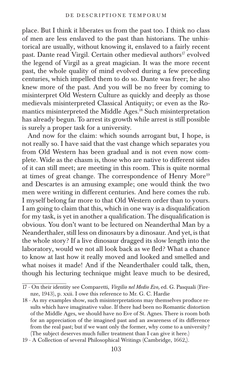place. But I think it liberates us from the past too. I think no class of men are less enslaved to the past than historians. The unhistorical are usually, without knowing it, enslaved to a fairly recent past. Dante read Virgil. Certain other medieval authors<sup>17</sup> evolved the legend of Virgil as a great magician. It was the more recent past, the whole quality of mind evolved during a few preceding centuries, which impelled them to do so. Dante was freer; he also knew more of the past. And you will be no freer by coming to misinterpret Old Western Culture as quickly and deeply as those medievals misinterpreted Classical Antiquity; or even as the Romantics misinterpreted the Middle Ages.<sup>18</sup> Such misinterpretation has already begun. To arrest its growth while arrest is still possible is surely a proper task for a university.

And now for the claim: which sounds arrogant but, I hope, is not really so. I have said that the vast change which separates you from Old Western has been gradual and is not even now complete. Wide as the chasm is, those who are native to different sides of it can still meet; are meeting in this room. This is quite normal at times of great change. The correspondence of Henry More<sup>19</sup> and Descartes is an amusing example; one would think the two men were writing in different centuries. And here comes the rub. I myself belong far more to that Old Western order than to yours. I am going to claim that this, which in one way is a disqualification for my task, is yet in another a qualification. The disqualification is obvious. You don't want to be lectured on Neanderthal Man by a Neanderthaler, still less on dinosaurs by a dinosaur. And yet, is that the whole story? If a live dinosaur dragged its slow length into the laboratory, would we not all look back as we fled? What a chance to know at last how it really moved and looked and smelled and what noises it made! And if the Neanderthaler could talk, then, though his lecturing technique might leave much to be desired,

<sup>17 -</sup> On their identity see Comparetti, *Virgilio nel Medio Evo,* ed. G. Pasquali (Firenze, 1943), p. xxii. I owe this reference to Mr. G. C. Hardie

<sup>18 -</sup> As my examples show, such misinterpretations may themselves produce results which have imaginative value. If there had been no Romantic distortion of the Middle Ages, we should have no Eve of St. Agnes. There is room both for an appreciation of the imagined past and an awareness of its difference from the real past; but if we want only the former, why come to a university? (The subject deserves much fuller treatment than I can give it here.)

<sup>19 -</sup> A Collection of several Philosophical Writings (Cambridge, 1662,).